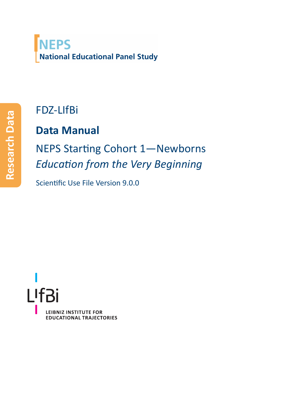## **NEPS National Educational Panel Study**

## FDZ‐LIfBi

## **Data Manual**

NEPS Starting Cohort 1—Newborns *Education from the Very Beginning*

Scientific Use File Version 9.0.0

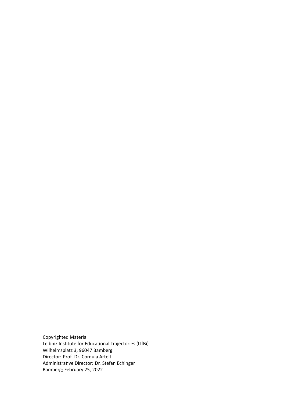Copyrighted Material Leibniz Institute for Educational Trajectories (LIfBi) Wilhelmsplatz 3, 96047 Bamberg Director: Prof. Dr. Cordula Artelt Administrative Director: Dr. Stefan Echinger Bamberg; February 25, 2022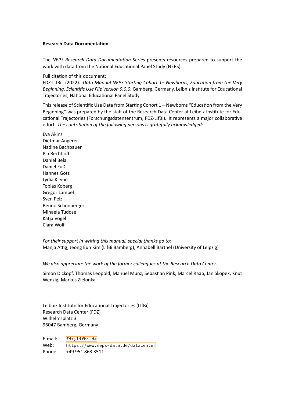The *NEPS Research Data Documentation Series* presents resources prepared to support the work with data from the National Educational Panel Study (NEPS).

Full citation of this document:

FDZ‐LIfBi. (2022). *Data Manual NEPS Starting Cohort 1– Newborns, Education from the Very Beginning, Scientific Use File Version 9.0.0*. Bamberg, Germany, Leibniz Institute for Educational Trajectories, National Educational Panel Study

This release of Scientific Use Data from Starting Cohort 1—Newborns "Education from the Very Beginning" was prepared by the staff of the Research Data Center at Leibniz Institute for Edu‐ cational Trajectories (Forschungsdatenzentrum, FDZ‐LIfBi). It represents a major collaborative effort. *The contribution of the following persons is gratefully acknowledged:*

Eva Akins Dietmar Angerer Nadine Bachbauer Pia Bechtloff Daniel Bela Daniel Fuß Hannes Götz Lydia Kleine Tobias Koberg Gregor Lampel Sven Pelz Benno Schönberger Mihaela Tudose Katja Vogel Clara Wolf

*For their support in writing this manual, special thanks go to:* Manja Attig, Jeong Eun Kim (LIfBi Bamberg), Annabell Barthel (University of Leipzig)

*We also appreciate the work of the former colleagues at the Research Data Center:*

Simon Dickopf, Thomas Leopold, Manuel Munz, Sebastian Pink, Marcel Raab, Jan Skopek, Knut Wenzig, Markus Zielonka

Leibniz Institute for Educational Trajectories (LIfBi) Research Data Center (FDZ) Wilhelmsplatz 3 96047 Bamberg, Germany

E‐mail: fdz@lifbi.de Web: https://www.neps-data.de/datacenter Phone: +49 951 863 3511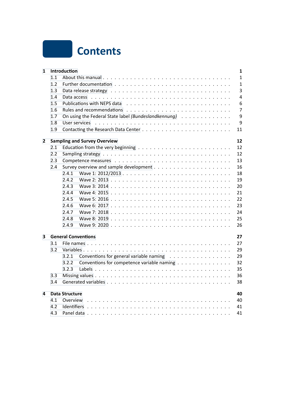

| 1            |     | Introduction                                                                                                  | 1              |
|--------------|-----|---------------------------------------------------------------------------------------------------------------|----------------|
|              | 1.1 |                                                                                                               | $\mathbf{1}$   |
|              | 1.2 |                                                                                                               | $\mathbf{1}$   |
|              | 1.3 |                                                                                                               | $\overline{3}$ |
|              | 1.4 | Data access research research and the contract research research and the contract research of the contract of | 4              |
|              | 1.5 |                                                                                                               | 6              |
|              | 1.6 |                                                                                                               | 7              |
|              | 1.7 | On using the Federal State label (Bundeslandkennung)                                                          | 9              |
|              | 1.8 |                                                                                                               | 9              |
|              | 1.9 |                                                                                                               | 11             |
| $\mathbf{2}$ |     | <b>Sampling and Survey Overview</b>                                                                           | 12             |
|              | 2.1 |                                                                                                               | 12             |
|              | 2.2 |                                                                                                               | 12             |
|              | 2.3 |                                                                                                               | 13             |
|              | 2.4 |                                                                                                               | 16             |
|              |     | 2.4.1                                                                                                         | 18             |
|              |     | 2.4.2                                                                                                         | 19             |
|              |     | 2.4.3                                                                                                         | 20             |
|              |     | 2.4.4                                                                                                         | 21             |
|              |     | 2.4.5                                                                                                         | 22             |
|              |     | 2.4.6                                                                                                         | 23             |
|              |     | 2.4.7                                                                                                         | 24             |
|              |     | 2.4.8                                                                                                         | 25             |
|              |     | 2.4.9                                                                                                         | 26             |
| 3            |     | <b>General Conventions</b>                                                                                    | 27             |
|              | 3.1 |                                                                                                               | 27             |
|              | 3.2 |                                                                                                               | 29             |
|              |     | 3.2.1<br>Conventions for general variable naming                                                              | 29             |
|              |     | Conventions for competence variable naming<br>3.2.2                                                           | 32             |
|              |     | 3.2.3                                                                                                         | 35             |
|              | 3.3 |                                                                                                               | 36             |
|              | 3.4 |                                                                                                               | 38             |
| 4            |     | <b>Data Structure</b>                                                                                         | 40             |
|              | 4.1 | Overview                                                                                                      | 40             |
|              | 4.2 |                                                                                                               | 41             |
|              | 4.3 |                                                                                                               | 41             |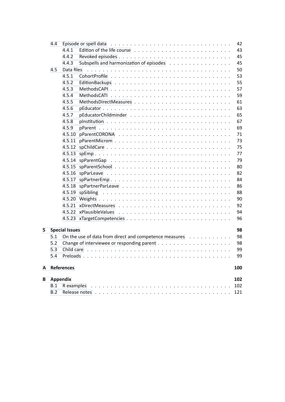|   | 4.4             |                       | 42                                                                                                                                                                                                                                   |  |
|---|-----------------|-----------------------|--------------------------------------------------------------------------------------------------------------------------------------------------------------------------------------------------------------------------------------|--|
|   |                 | 4.4.1                 | 43<br>Edition of the life course $\ldots \ldots \ldots \ldots \ldots \ldots \ldots \ldots$                                                                                                                                           |  |
|   |                 | 4.4.2                 | 45                                                                                                                                                                                                                                   |  |
|   |                 | 4.4.3                 | Subspells and harmonization of episodes<br>45                                                                                                                                                                                        |  |
|   | 4.5             | Data files            | 50                                                                                                                                                                                                                                   |  |
|   |                 | 4.5.1                 | 53                                                                                                                                                                                                                                   |  |
|   |                 | 4.5.2                 | 55                                                                                                                                                                                                                                   |  |
|   |                 | 4.5.3                 | 57                                                                                                                                                                                                                                   |  |
|   |                 | 4.5.4                 | 59                                                                                                                                                                                                                                   |  |
|   |                 | 4.5.5                 | 61                                                                                                                                                                                                                                   |  |
|   |                 | 4.5.6                 | 63                                                                                                                                                                                                                                   |  |
|   |                 | 4.5.7                 | 65                                                                                                                                                                                                                                   |  |
|   |                 | 4.5.8                 | 67                                                                                                                                                                                                                                   |  |
|   |                 | 4.5.9                 | 69                                                                                                                                                                                                                                   |  |
|   |                 | 4.5.10                | 71                                                                                                                                                                                                                                   |  |
|   |                 | 4.5.11                | 73                                                                                                                                                                                                                                   |  |
|   |                 | 4.5.12                | 75                                                                                                                                                                                                                                   |  |
|   |                 |                       | 77                                                                                                                                                                                                                                   |  |
|   |                 |                       | 79                                                                                                                                                                                                                                   |  |
|   |                 |                       | 80                                                                                                                                                                                                                                   |  |
|   |                 |                       | 82                                                                                                                                                                                                                                   |  |
|   |                 |                       | 84                                                                                                                                                                                                                                   |  |
|   |                 |                       | 86                                                                                                                                                                                                                                   |  |
|   |                 |                       | 88<br>4.5.19 spSibling                                                                                                                                                                                                               |  |
|   |                 |                       | 90                                                                                                                                                                                                                                   |  |
|   |                 |                       | 92                                                                                                                                                                                                                                   |  |
|   |                 |                       | 94                                                                                                                                                                                                                                   |  |
|   |                 |                       | 96                                                                                                                                                                                                                                   |  |
|   |                 |                       |                                                                                                                                                                                                                                      |  |
| 5 |                 | <b>Special Issues</b> | 98                                                                                                                                                                                                                                   |  |
|   | 5.1<br>5.2      |                       | On the use of data from direct and competence measures<br>98<br>98                                                                                                                                                                   |  |
|   | 5.3             |                       |                                                                                                                                                                                                                                      |  |
|   |                 |                       | 99<br>Child care (all cases and contact and contact and contact and contact and contact and contact and contact and contact and contact and contact and contact and contact and contact and contact and contact and contact and cont |  |
|   | 5.4             |                       | 99                                                                                                                                                                                                                                   |  |
| A |                 | References            | 100                                                                                                                                                                                                                                  |  |
| B | <b>Appendix</b> |                       | 102                                                                                                                                                                                                                                  |  |
|   | B.1             |                       | 102                                                                                                                                                                                                                                  |  |
|   | B.2             |                       | 121                                                                                                                                                                                                                                  |  |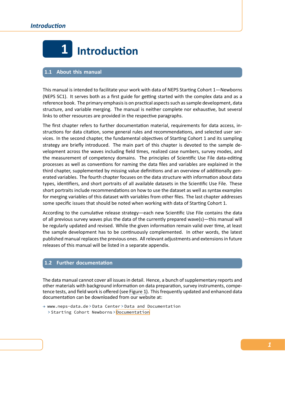

#### <span id="page-5-0"></span>**1.1 About this manual**

<span id="page-5-1"></span>This manual is intended to facilitate your work with data of NEPS Starting Cohort 1—Newborns (NEPS SC1). It serves both as a first guide for getting started with the complex data and as a reference book. The primary emphasis is on practical aspects such as sample development, data structure, and variable merging. The manual is neither complete nor exhaustive, but several links to other resources are provided in the respective paragraphs.

The first chapter refers to further documentation material, requirements for data access, in‐ structions for data citation, some general rules and recommendations, and selected user ser‐ vices. In the second chapter, the fundamental objectives of Starting Cohort 1 and its sampling strategy are briefly introduced. The main part of this chapter is devoted to the sample de‐ velopment across the waves including field times, realized case numbers, survey modes, and the measurement of competency domains. The principles of Scientific Use File data-editing processes as well as conventions for naming the data files and variables are explained in the third chapter, supplemented by missing value definitions and an overview of additionally gen‐ erated variables. The fourth chapter focuses on the data structure with information about data types, identifiers, and short portraits of all available datasets in the Scientific Use File. These short portraits include recommendations on how to use the dataset as well as syntax examples for merging variables of this dataset with variables from other files. The last chapter addresses some specific issues that should be noted when working with data of Starting Cohort 1.

According to the cumulative release strategy—each new Scientific Use File contains the data of all previous survey waves plus the data of the currently prepared wave(s)—this manual will be regularly updated and revised. While the given information remain valid over time, at least the sample development has to be continuously complemented. In other words, the latest published manual replaces the previous ones. All relevant adjustments and extensions in future releases of this manual will be listed in a separate appendix.

## **1.2 Further documentation**

<span id="page-5-2"></span>The data manual cannot cover all issues in detail. Hence, a bunch of supplementary reports and other materials with background information on data preparation, survey instruments, compe‐ tence tests, and field work is offered (see Figure 1). This frequently updated and enhanced data documentation can be downloaded from our website at:

→ www.neps-data.de > Data Center > Data and Documentation > Starting Cohort Newborns > Docum[entatio](#page-6-0)n

*1*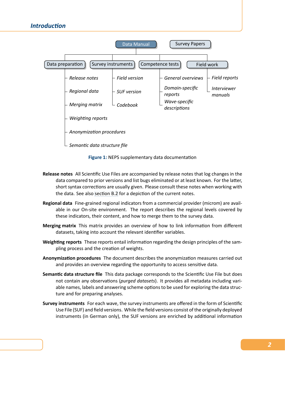<span id="page-6-0"></span>

**Figure 1:** NEPS supplementary data documentation

- **Release notes** All Scientific Use Files are accompanied by release notes that log changes in the data compared to prior versions and list bugs eliminated or at least known. For the latter, short syntax corrections are usually given. Please consult these notes when working with the data. See also section B.2 for a depiction of the current notes.
- **Regional data** Fine‐grained regional indicators from a commercial provider (microm) are avail‐ able in our On‐site environment. The report describes the regional levels covered by these indicators, t[heir content](#page-125-0), and how to merge them to the survey data.
- **Merging matrix** This matrix provides an overview of how to link information from different datasets, taking into account the relevant identifier variables.
- **Weighting reports** These reports entail information regarding the design principles of the sam‐ pling process and the creation of weights.
- **Anonymization procedures** The document describes the anonymization measures carried out and provides an overview regarding the opportunity to access sensitive data.
- **Semantic data structure file** This data package corresponds to the Scientific Use File but does not contain any observations (*purged datasets*). It provides all metadata including vari‐ able names, labels and answering scheme options to be used for exploring the data struc‐ ture and for preparing analyses.
- **Survey instruments** For each wave, the survey instruments are offered in the form of Scientific Use File (SUF) and field versions. While the field versions consist of the originally deployed instruments (in German only), the SUF versions are enriched by additional information

*2*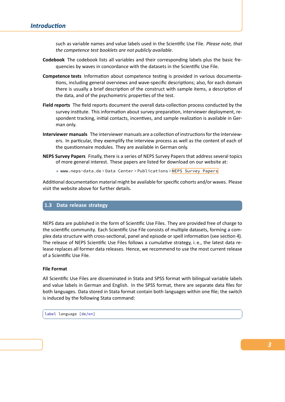## *Introduction*

such as variable names and value labels used in the Scientific Use File. *Please note, that the competence test booklets are not publicly available*.

- **Codebook** The codebook lists all variables and their corresponding labels plus the basic fre‐ quencies by waves in concordance with the datasets in the Scientific Use File.
- **Competence tests** Information about competence testing is provided in various documenta‐ tions, including general overviews and wave‐specific descriptions; also, for each domain there is usually a brief description of the construct with sample items, a description of the data, and of the psychometric properties of the test.
- **Field reports** The field reports document the overall data‐collection process conducted by the survey institute. This information about survey preparation, interviewer deployment, re‐ spondent tracking, initial contacts, incentives, and sample realization is available in Ger‐ man only.
- **Interviewer manuals** The interviewer manuals are a collection of instructions for the interview‐ ers. In particular, they exemplify the interview process as well as the content of each of the questionnaire modules. They are available in German only.
- **NEPS Survey Papers** Finally, there is a series of NEPS Survey Papers that address several topics of more general interest. These papers are listed for download on our website at:

→ www.neps-data.de > Data Center > Publications > NEPS Survey Papers

Additional documentation material might be available for specific cohorts and/or waves. Please visit the website above for further details.

## **1.3 Data release strategy**

<span id="page-7-0"></span>NEPS data are published in the form of Scientific Use Files. They are provided free of charge to the scientific community. Each Scientific Use File consists of multiple datasets, forming a complex data structure with cross‐sectional, panel and episode or spell information (see section 4). The release of NEPS Scientific Use Files follows a cumulative strategy, i. e., the latest data re‐ lease replaces all former data releases. Hence, we recommend to use the most current release of a Scientific Use File.

#### **File Format**

All Scientific Use Files are disseminated in Stata and SPSS format with bilingual variable labels and value labels in German and English. In the SPSS format, there are separate data files for both languages. Data stored in Stata format contain both languages within one file; the switch is induced by the following Stata command:

 $\sqrt{2}$   $\sqrt{2}$   $\sqrt{2}$   $\sqrt{2}$   $\sqrt{2}$   $\sqrt{2}$   $\sqrt{2}$   $\sqrt{2}$   $\sqrt{2}$   $\sqrt{2}$   $\sqrt{2}$   $\sqrt{2}$   $\sqrt{2}$   $\sqrt{2}$   $\sqrt{2}$   $\sqrt{2}$   $\sqrt{2}$   $\sqrt{2}$   $\sqrt{2}$   $\sqrt{2}$   $\sqrt{2}$   $\sqrt{2}$   $\sqrt{2}$   $\sqrt{2}$   $\sqrt{2}$   $\sqrt{2}$   $\sqrt{2}$   $\sqrt{2$ 

label language [de/en] ✝ ✆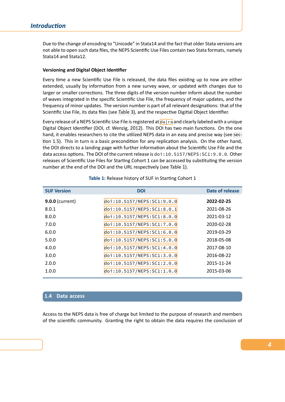Due to the change of encoding to "Unicode" in Stata14 and the fact that older Stata versions are not able to open such data files, the NEPS Scientific Use Files contain two Stata formats, namely Stata14 and Stata12.

#### **Versioning and Digital Object Identifier**

Every time a new Scientific Use File is released, the data files existing up to now are either extended, usually by information from a new survey wave, or updated with changes due to larger or smaller corrections. The three digits of the version number inform about the number of waves integrated in the specific Scientific Use File, the frequency of major updates, and the frequency of minor updates. The version number is part of all relevant designations: that of the Scientific Use File, its data files (see Table 3), and the respective Digitial Object Identifier.

Every release of a NEPS Scientific Use File is registered at da|ra and clearly labeled with a unique Digital Object Identifier (DOI, cf. Wenzig, 2012). This DOI has two main functions. On the one hand, it enables researchers to cite [the utili](#page-32-0)zed NEPS data in an easy and precise way (see sec‐ tion 1.5). This in turn is a basic precondition for any replication analysis. On the other hand, the DOI directs to a landing page with further informati[on abo](https://www.da-ra.de/en/home/)ut the Scientific Use File and the data access options. The DOI of the curre[nt rele](#page-105-0)ase is doi: 10.5157/NEPS: SC1:9.0.0. Other releases of Scientific Use Files for Starting Cohort 1 can be accessed by substituting the ver[sion](#page-10-0) [number](#page-10-0) at the end of the DOI and the URL respectively (see Table 1).

| <b>SUF Version</b>     | <b>DOI</b>                 | <b>Date of release</b> |
|------------------------|----------------------------|------------------------|
| <b>9.0.0 (current)</b> | doi:10.5157/NEPS:SC1:9.0.0 | 2022-02-25             |
| 8.0.1                  | doi:10.5157/NEPS:SC1:8.0.1 | 2021-08-26             |
| 8.0.0                  | doi:10.5157/NEPS:SC1:8.0.0 | 2021-03-12             |
| 7.0.0                  | doi:10.5157/NEPS:SC1:7.0.0 | 2020-02-28             |
| 6.0.0                  | doi:10.5157/NEPS:SC1:6.0.0 | 2019-03-29             |
| 5.0.0                  | doi:10.5157/NEPS:SC1:5.0.0 | 2018-05-08             |
| 4.0.0                  | doi:10.5157/NEPS:SC1:4.0.0 | 2017-08-10             |
| 3.0.0                  | doi:10.5157/NEPS:SC1:3.0.0 | 2016-08-22             |
| 2.0.0                  | doi:10.5157/NEPS:SC1:2.0.0 | 2015-11-24             |
| 1.0.0                  | doi:10.5157/NEPS:SC1:1.0.0 | 2015-03-06             |

**Table 1:** Release history of SUF in Starting Cohort 1

#### **1.4 Data access**

<span id="page-8-0"></span>Access to the NEPS data is free of charge but limited to the purpose of research and members of the scientific community. Granting the right to obtain the data requires the conclusion of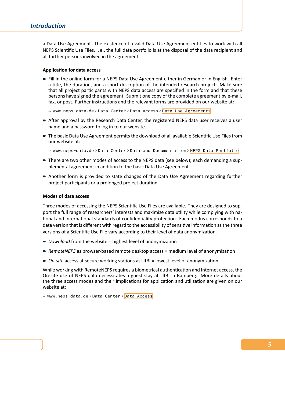a Data Use Agreement. The existence of a valid Data Use Agreement entitles to work with all NEPS Scientific Use Files, i. e., the full data portfolio is at the disposal of the data recipient and all further persons involved in the agreement.

#### **Application for data access**

- Fill in the online form for a NEPS Data Use Agreement either in German or in English. Enter a title, the duration, and a short description of the intended research project. Make sure that all project participants with NEPS data access are specified in the form and that these persons have signed the agreement. Submit one copy of the complete agreement by e‐mail, fax, or post. Further instructions and the relevant forms are provided on our website at:
	- → www.neps-data.de > Data Center > Data Access > Data Use Agreements
- After approval by the Research Data Center, the registered NEPS data user receives a user name and a password to log in to our website.
- The basic Data Use Agreement permits the download [of all available Scientific](https://www.neps-data.de/datacenter/dataaccess/datauseagreements.aspx) Use Files from our website at:
	- → www.neps-data.de > Data Center > Data and Documentation > NEPS Data Portfolio
- There are two other modes of access to the NEPS data (see below); each demanding a supplemental agreement in addition to the basic Data Use Agreement.
- Another form is provided to state changes of the Data Use Agre[ement regarding furthe](https://www.neps-data.de/datacenter/dataanddocumentation/nepsdataportfolio.aspx)r project participants or a prolonged project duration.

#### **Modes of data access**

Three modes of accessing the NEPS Scientific Use Files are available. They are designed to sup‐ port the full range of researchers' interests and maximize data utility while complying with na‐ tional and international standards of confidentiality protection. Each modus corresponds to a data version that is different with regard to the accessibility of sensitive information as the three versions of a Scientific Use File vary according to their level of data anonymization.

- *Download* from the website = highest level of anonymization
- RemoteNEPS as browser-based remote desktop access = medium level of anonymization
- On-site access at secure working stations at LIfBi = lowest level of anonymization

While working with RemoteNEPS requires a biometrical authentication and Internet access, the On‐site use of NEPS data necessitates a guest stay at LIfBi in Bamberg. More details about the three access modes and their implications for application and utilization are given on our website at:

→ www.neps-data.de > Data Center > Data Access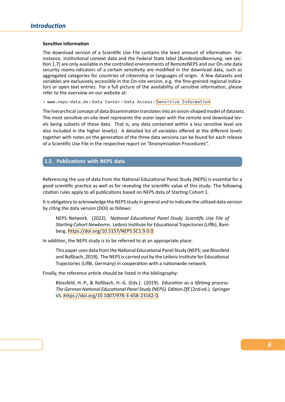#### **Sensitive information**

The download version of a Scientific Use File contains the least amount of information. For instance, institutional context data and the Federal State label (*Bundeslandkennung*, see sec‐ tion 1.7) are only available in the controlled environments of RemoteNEPS and our On‐site data security rooms.ndicators of a certain sensitivity are modified in the download data, such as aggregated categories for countries of citizenship or languages of origin. A few datasets and variables are exclusively accessible in the On-site version, e.g. the fine-grained regional indica[tors or o](#page-13-0)pen text entries. For a full picture of the availability of sensitive information, please refer to the overview on our website at:

→ www.neps-data.de > Data Center > Data Access > Sensitive Information

The hierarchical concept of data dissemination translates into an onion‐shaped model of datasets. The most sensitive on-site level represents the outer layer with the remote and download levels being subsets of these data. That is, any data c[ontained within a less sen](https://www.neps-data.de/datacenter/dataaccess/sensitiveinformation.aspx)sitive level are also included in the higher level(s). A detailed list of variables offered at the different levels together with notes on the generation of the three data versions can be found for each release of a Scientific Use File in the respective report on "Anonymization Procedures".

## **1.5 Publications with NEPS data**

<span id="page-10-0"></span>Referencing the use of data from the National Educational Panel Study (NEPS) is essential for a good scientific practice as well as for revealing the scientific value of this study. The following citation rules apply to all publications based on NEPS data of Starting Cohort 1.

It is obligatory to acknowledge the NEPS study in general and to indicate the utilized data version by citing the data version (DOI) as follows:

NEPS Network. (2022). *National Educational Panel Study, Scientific Use File of Starting Cohort Newborns*. Leibniz Institute for Educational Trajectories (LIfBi), Bam‐ berg. https://doi.org/10.5157/NEPS:SC1:9.0.0

In addition, the NEPS study is to be referred to at an appropriate place:

This paper uses data from the National Educational Panel Study (NEPS; see Blossfeld and Roßbach, [2019\). The NEPS is carried out by](https://doi.org/10.5157/NEPS:SC1:9.0.0) the Leibniz Institute for Educational Trajectories (LIfBi, Germany) in cooperation with a nationwide network.

Finally, the reference article should be listed in the bibliography:

Blossfeld, H.‐[P., & R](#page-104-1)oßbach, H.‐G. (Eds.). (2019). *Education as a lifelong process: The German National Educational Panel Study (NEPS). Edition ZfE* (2nd ed.). Springer VS. https://doi.org/10.1007/978‐3‐658‐23162‐0.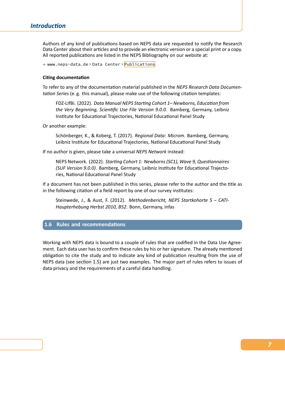Authors of any kind of publications based on NEPS data are requested to notify the Research Data Center about their articles and to provide an electronic version or a special print or a copy. All reported publications are listed in the NEPS Bibliography on our website at:

→ www.neps-data.de > Data Center > Publications

#### **Citing documentation**

To refer to any of the documentation [material publish](https://www.neps-data.de/datacenter/publications.aspx)ed in the *NEPS Research Data Documen‐ tation Series* (e. g. this manual), please make use of the following citation templates:

FDZ‐LIfBi. (2022). *Data Manual NEPS Starting Cohort 1– Newborns, Education from the Very Beginning, Scientific Use File Version 9.0.0*. Bamberg, Germany, Leibniz Institute for Educational Trajectories, National Educational Panel Study

Or another example:

Schönberger, K., & Koberg, T. (2017). *Regional Data: Microm*. Bamberg, Germany, Leibniz Institute for Educational Trajectories, National Educational Panel Study

If no author is given, please take a universal *NEPS Network* instead:

NEPS Network. (2022). *Starting Cohort 1: Newborns (SC1), Wave 9, Questionnaires (SUF Version 9.0.0)*. Bamberg, Germany, Leibniz Institute for Educational Trajecto‐ ries, National Educational Panel Study

If a document has not been published in this series, please refer to the author and the title as in the following citation of a field report by one of our survey institutes:

Steinwede, J., & Aust, F. (2012). *Methodenbericht, NEPS Startkohorte 5 – CATI‐ Haupterhebung Herbst 2010, B52*. Bonn, Germany, infas

#### **1.6 Rules and recommendations**

<span id="page-11-0"></span>Working with NEPS data is bound to a couple of rules that are codified in the Data Use Agree‐ ment. Each data user has to confirm these rules by his or her signature. The already mentioned obligation to cite the study and to indicate any kind of publication resulting from the use of NEPS data (see section 1.5) are just two examples. The major part of rules refers to issues of data privacy and the requirements of a careful data handling.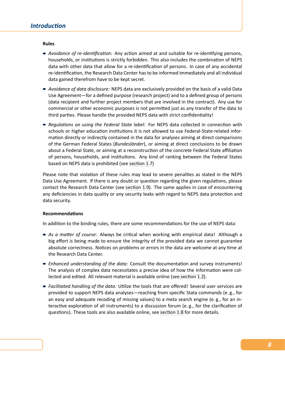#### **Rules**

- *Avoidance of re-identification:* Any action aimed at and suitable for re-identifying persons, households, or institutions is strictly forbidden. This also includes the combination of NEPS data with other data that allow for a re‐identification of persons. In case of any accidental re‐identification, the Research Data Center has to be informed immediately and all individual data gained therefrom have to be kept secret.
- *Avoidance of data disclosure:* NEPS data are exclusively provided on the basis of a valid Data Use Agreement—for a defined purpose (research project) and to a defined group of persons (data recipient and further project members that are involved in the contract). Any use for commercial or other economic purposes is not permitted just as any transfer of the data to third parties. Please handle the provided NEPS data with strict confidentiality!
- *Regulations on using the Federal State label:* For NEPS data collected in connection with schools or higher education institutions it is not allowed to use Federal-State-related information directly or indirectly contained in the data for analyses aiming at direct comparisons of the German Federal States (*Bundesländer*), or aiming at direct conclusions to be drawn about a Federal State, or aiming at a reconstruction of the concrete Federal State affiliation of persons, households, and institutions. Any kind of ranking between the Federal States based on NEPS data is prohibited (see section 1.7)

Please note that violation of these rules may lead to severe penalties as stated in the NEPS Data Use Agreement. If there is any doubt or question regarding the given regulations, please contact the Research Data Center (see s[ection 1.9\).](#page-13-0) The same applies in case of encountering any deficiencies in data quality or any security leaks with regard to NEPS data protection and data security.

#### **Recommendations**

In addition to the binding rules, there are some recommendations for the use of NEPS data:

- *As a matter of course:* Always be critical when working with empirical data! Although a big effort is being made to ensure the integrity of the provided data we cannot guarantee absolute correctness. Notices on problems or errors in the data are welcome at any time at the Research Data Center.
- *Enhanced understanding of the data:* Consult the documentation and survey instruments! The analysis of complex data necessitates a precise idea of how the information were col‐ lected and edited. All relevant material is available online (see section 1.2).
- *Facilitated handling of the data:* Utilize the tools that are offered! Several user services are provided to support NEPS data analyses—reaching from specific Stata commands (e. g., for aneasy and adequate recoding of missing values) to a meta s[earch engin](#page-5-2)e (e.g., for an interactive exploration of all instruments) to a discussion forum (e. g., for the clarification of questions). These tools are also available online, see section 1.8 for more details.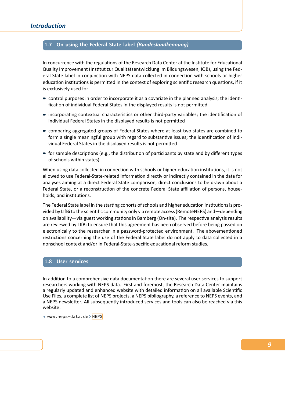## **1.7 On using the Federal State label** *(Bundeslandkennung)*

<span id="page-13-0"></span>In concurrence with the regulations of the Research Data Center at the Institute for Educational Quality Improvement (Institut zur Qualitätsentwicklung im Bildungswesen, IQB), using the Fed‐ eral State label in conjunction with NEPS data collected in connection with schools or higher education institutions is permitted in the context of exploring scientific research questions, if it is exclusively used for:

- control purposes in order to incorporate it as a covariate in the planned analysis; the identification of individual Federal States in the displayed results is not permitted
- incorporating contextual characteristics or other third-party variables; the identification of individual Federal States in the displayed results is not permitted
- comparing aggregated groups of Federal States where at least two states are combined to form a single meaningful group with regard to substantive issues; the identification of indi‐ vidual Federal States in the displayed results is not permitted
- $\blacksquare$  for sample descriptions (e.g., the distribution of participants by state and by different types of schools within states)

When using data collected in connection with schools or higher education institutions, it is not allowed to use Federal‐State‐related information directly or indirectly contained in the data for analyses aiming at a direct Federal State comparison, direct conclusions to be drawn about a Federal State, or a reconstruction of the concrete Federal State affiliation of persons, households, and institutions.

The Federal State label in the starting cohorts of schools and higher education institutions is pro‐ vided by LIfBi to the scientific community only via remote access (RemoteNEPS) and—depending on availability—via guest working stations in Bamberg (On‐site). The respective analysis results are reviewed by LIfBi to ensure that this agreement has been observed before being passed on electronically to the researcher in a password‐protected environment. The abovementioned restrictions concerning the use of the Federal State label do not apply to data collected in a nonschool context and/or in Federal‐State‐specific educational reform studies.

## **1.8 User services**

<span id="page-13-1"></span>In addition to a comprehensive data documentation there are several user services to support researchers working with NEPS data. First and foremost, the Research Data Center maintains a regularly updated and enhanced website with detailed information on all available Scientific Use Files, a complete list of NEPS projects, a NEPS bibliography, a reference to NEPS events, and a NEPS newsletter. All subsequently introduced services and tools can also be reached via this website:

→ www.neps-data.de > NEPS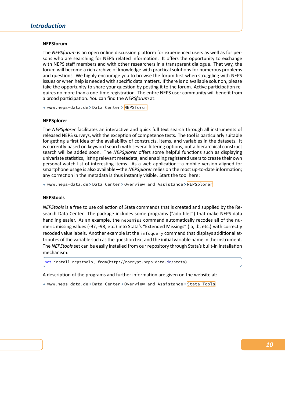#### **NEPSforum**

The *NEPSforum* is an open online discussion platform for experienced users as well as for per‐ sons who are searching for NEPS related information. It offers the opportunity to exchange with NEPS staff members and with other researchers in a transparent dialogue. That way, the forum will become a rich archive of knowledge with practical solutions for numerous problems and questions. We highly encourage you to browse the forum first when struggling with NEPS issues or when help is needed with specific data matters. If there is no available solution, please take the opportunity to share your question by posting it to the forum. Active participation re‐ quires no more than a one‐time registration. The entire NEPS user community will benefit from a broad participation. You can find the *NEPSforum* at:

→ www.neps-data.de > Data Center > NEPSforum

#### **NEPSplorer**

The *NEPSplorer* facilitates an interacti[ve and quic](https://www.neps-data.de/datacenter/nepsforum.aspx)k full text search through all instruments of released NEPS surveys, with the exception of competence tests. The tool is particularly suitable for getting a first idea of the availability of constructs, items, and variables in the datasets. It is currently based on keyword search with several filtering options, but a hierarchical construct search will be added soon. The *NEPSplorer* offers some helpful functions such as displaying univariate statistics, listing relevant metadata, and enabling registered users to create their own personal watch list of interesting items. As a web application—a mobile version aligned for smartphone usage is also available—the *NEPSplorer* relies on the most up-to-date information; any correction in the metadata is thus instantly visible. Start the tool here:

→ www.neps-data.de > Data Center > Overview and Assistance > NEPSplorer

#### **NEPStools**

*NEPStools* is a free to use collection of Stata commands that is creat[ed and suppl](https://www.neps-data.de/datacenter/overviewandassistance/nepsplorer.aspx)ied by the Re‐ search Data Center. The package includes some programs ("ado files") that make NEPS data handling easier. As an example, the nepsmiss command automatically recodes all of the nu‐ meric missing values (‐97, ‐98, etc.) into Stata's "Extended Missings" (.a, .b, etc.) with correctly recoded value labels. Another example ist the infoquery command that displays additional at‐ tributes of the variable such as the question text and the initial variable name in the instrument. The *NEPStools*set can be easily installed from our repository through Stata's built‐in installation mechanism:

 $\sqrt{2\pi}$   $\sqrt{2\pi}$   $\sqrt{2\pi}$   $\sqrt{2\pi}$   $\sqrt{2\pi}$   $\sqrt{2\pi}$   $\sqrt{2\pi}$   $\sqrt{2\pi}$   $\sqrt{2\pi}$   $\sqrt{2\pi}$   $\sqrt{2\pi}$   $\sqrt{2\pi}$   $\sqrt{2\pi}$   $\sqrt{2\pi}$   $\sqrt{2\pi}$   $\sqrt{2\pi}$   $\sqrt{2\pi}$   $\sqrt{2\pi}$   $\sqrt{2\pi}$   $\sqrt{2\pi}$   $\sqrt{2\pi}$   $\sqrt{2\pi}$ 

```
\sqrt{2} \sqrt{2} \sqrt{2} \sqrt{2} \sqrt{2} \sqrt{2} \sqrt{2} \sqrt{2} \sqrt{2} \sqrt{2} \sqrt{2} \sqrt{2} \sqrt{2} \sqrt{2} \sqrt{2} \sqrt{2} \sqrt{2} \sqrt{2} \sqrt{2} \sqrt{2} \sqrt{2} \sqrt{2} \sqrt{2} \sqrt{2} \sqrt{2} \sqrt{2} \sqrt{2} \sqrt{2net install nepstools, from(http://nocrypt.neps-data.de/stata)
```
A description of the programs and further information are given on the website at:

→ www.neps-data.de > Data Center > Overview and Assistance > Stata Tools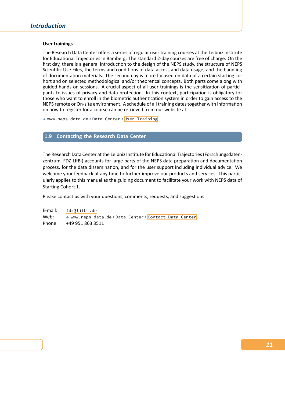#### **User trainings**

The Research Data Center offers a series of regular user training courses at the Leibniz Institute for Educational Trajectories in Bamberg. The standard 2‐day courses are free of charge. On the first day, there is a general introduction to the design of the NEPS study, the structure of NEPS Scientific Use Files, the terms and conditions of data access and data usage, and the handling of documentation materials. The second day is more focused on data of a certain starting co‐ hort and on selected methodological and/or theoretical concepts. Both parts come along with guided hands-on sessions. A crucial aspect of all user trainings is the sensitization of participants to issues of privacy and data protection. In this context, participation is obligatory for those who want to enroll in the biometric authentication system in order to gain access to the NEPS remote or On‐site environment. A schedule of all training dates together with information on how to register for a course can be retrieved from our website at:

→ www.neps-data.de > Data Center > User Training

#### **1.9 Contacting the Research Data Center**

<span id="page-15-0"></span>The Research Data Center at the Leibniz Institute for Educational Trajectories (Forschungsdaten‐ zentrum, FDZ‐LIfBi) accounts for large parts of the NEPS data preparation and documentation process, for the data dissemination, and for the user support including individual advice. We welcome your feedback at any time to further improve our products and services. This particularly applies to this manual as the guiding document to facilitate your work with NEPS data of Starting Cohort 1.

Please contact us with your questions, comments, requests, and suggestions:

E‐mail: fdz@lifbi.de Web: → www.neps-data.de > Data Center > Contact Data Center Phone: +49 951 863 3511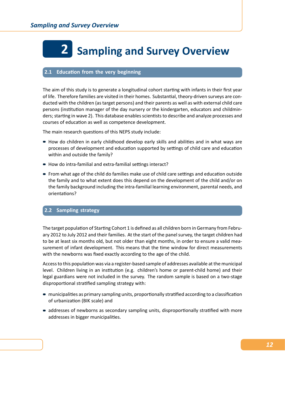# <span id="page-16-0"></span>**2 Sampling and Survey Overview**

## <span id="page-16-1"></span>**2.1 Education from the very beginning**

The aim of this study is to generate a longitudinal cohort starting with infants in their first year of life. Therefore families are visited in their homes. Substantial, theory-driven surveys are conducted with the children (as target persons) and their parents as well as with external child care persons (institution manager of the day nursery or the kindergarten, educators and childmin‐ ders; starting in wave 2). This database enables scientists to describe and analyze processes and courses of education as well as competence development.

The main research questions of this NEPS study include:

- How do children in early childhood develop early skills and abilities and in what ways are processes of development and education supported by settings of child care and education within and outside the family?
- How do intra-familial and extra-familial settings interact?
- From what age of the child do families make use of child care settings and education outside the family and to what extent does this depend on the development of the child and/or on the family background including the intra‐familial learning environment, parental needs, and orientations?

## <span id="page-16-2"></span>**2.2 Sampling strategy**

The target population of Starting Cohort 1 is defined as all children born in Germany from February 2012 to July 2012 and their families. At the start of the panel survey, the target children had to be at least six months old, but not older than eight months, in order to ensure a valid measurement of infant development. This means that the time window for direct measurements with the newborns was fixed exactly according to the age of the child.

Access to this population was via a register‐based sample of addresses available at the municipal level. Children living in an institution (e.g. children's home or parent-child home) and their legal guardians were not included in the survey. The random sample is based on a two‐stage disproportional stratified sampling strategy with:

- municipalities as primary sampling units, proportionally stratified according to a classification of urbanization (BIK scale) and
- addresses of newborns as secondary sampling units, disproportionally stratified with more addresses in bigger municipalities.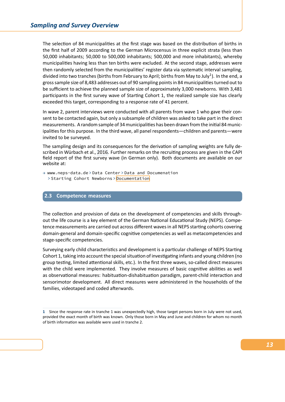The selection of 84 municipalities at the first stage was based on the distribution of births in the first half of 2009 according to the German Microcensus in three explicit strata (less than 50,000 inhabitants; 50,000 to 500,000 inhabitants; 500,000 and more inhabitants), whereby municipalities having less than ten births were excluded. At the second stage, addresses were then randomly selected from the municipalities' register data via systematic interval sampling, divided into two tranches (births from February to April; births from May to July<sup>1</sup>). In the end, a gross sample size of 8,483 addresses out of 90 sampling points in 84 municipalities turned out to be sufficient to achieve the planned sample size of approximately 3,000 newborns. With 3,481 participants in the first survey wave of Starting Cohort 1, the realized sample size has clearly exceeded this target, corresponding to a response rate of 41 percent.

In wave 2, parent interviews were conducted with all parents from wave 1 who gave their con‐ sent to be contacted again, but only a subsample of children was asked to take part in the direct measurements. A random sample of 34 municipalities has been drawn from the initial 84 munic‐ ipalities for this purpose. In the third wave, all panel respondents—children and parents—were invited to be surveyed.

The sampling design and its consequences for the derivation of sampling weights are fully de‐ scribed in Würbach et al., 2016. Further remarks on the recruiting process are given in the CAPI field report of the first survey wave (in German only). Both documents are available on our website at:

→ www.neps-data.de > Data Center > Data and Documenation > Starting Cohort Ne[wborn](#page-105-1)s > Documentation

#### **2.3 Competence measures**

<span id="page-17-0"></span>The collection and provision of data on the development of competencies and skills through‐ out the life course is a key element of the German National Educational Study (NEPS). Compe‐ tence measurements are carried out across different waves in all NEPS starting cohorts covering domain‐general and domain‐specific cognitive competencies as well as metacompetencies and stage‐specific competencies.

Surveying early child characteristics and development is a particular challenge of NEPS Starting Cohort 1, taking into account the special situation of investigating infants and young children (no group testing, limited attentional skills, etc.). In the first three waves, so-called direct measures with the child were implemented. They involve measures of basic cognitive abilities as well as observational measures: habituation‐dishabituation paradigm, parent‐child interaction and sensorimotor development. All direct measures were administered in the households of the families, videotaped and coded afterwards.

**<sup>1</sup>** Since the response rate in tranche 1 was unexpectedly high, those target persons born in July were not used, provided the exact month of birth was known. Only those born in May and June and children for whom no month of birth information was available were used in tranche 2.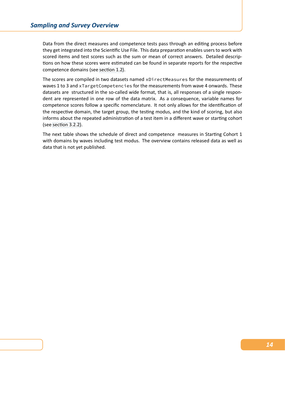Data from the direct measures and competence tests pass through an editing process before they get integrated into the Scientific Use File. This data preparation enables users to work with scored items and test scores such as the sum or mean of correct answers. Detailed descrip‐ tions on how these scores were estimated can be found in separate reports for the respective competence domains (see section 1.2).

The scores are compiled in two datasets named xDirectMeasures for the measurements of waves 1 to 3 and xTargetCompetencies for the measurements from wave 4 onwards. These datasets are structured in the so-called wide format, that is, all responses of a single respondent are represented in one row of the data matrix. As a consequence, variable names for competence scores follow a specific nomenclature. It not only allows for the identification of the respective domain, the target group, the testing modus, and the kind of scoring, but also informs about the repeated administration of a test item in a different wave or starting cohort (see section 3.2.2).

The next table shows the schedule of direct and competence measures in Starting Cohort 1 with domains by waves including test modus. The overview contains released data as well as data [that is not ye](#page-36-0)t published.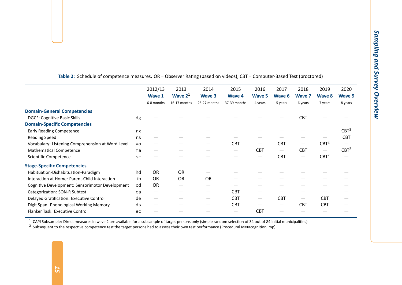| Table 2: Schedule of competence measures. OR = Observer Rating (based on videos), CBT = Computer-Based Test (proctored) |           | 2012/13       | 2013         | 2014          | 2015                            | 2016                            | 2017                            | 2018                            | 2019             | 2020             |
|-------------------------------------------------------------------------------------------------------------------------|-----------|---------------|--------------|---------------|---------------------------------|---------------------------------|---------------------------------|---------------------------------|------------------|------------------|
|                                                                                                                         |           | <b>Wave 1</b> | Wave $21$    | <b>Wave 3</b> | <b>Wave 4</b>                   | <b>Wave 5</b>                   | <b>Wave 6</b>                   | <b>Wave 7</b>                   | <b>Wave 8</b>    | <b>Wave 9</b>    |
|                                                                                                                         |           | 6-8 months    | 16-17 months | 25-27 months  | 37-39 months                    | 4 years                         | 5 years                         | 6 years                         | 7 years          | 8 years          |
| <b>Domain-General Competencies</b>                                                                                      |           |               |              |               |                                 |                                 |                                 |                                 |                  |                  |
| <b>DGCF: Cognitive Basic Skills</b>                                                                                     | dg        |               |              |               |                                 |                                 |                                 | <b>CBT</b>                      |                  |                  |
| <b>Domain-Specific Competencies</b>                                                                                     |           |               |              |               |                                 |                                 |                                 |                                 |                  |                  |
| <b>Early Reading Competence</b>                                                                                         | rx        |               |              |               |                                 |                                 |                                 |                                 |                  | CBT <sup>2</sup> |
| <b>Reading Speed</b>                                                                                                    | rs        |               |              |               |                                 |                                 |                                 |                                 |                  | <b>CBT</b>       |
| Vocabulary: Listening Comprehension at Word Level                                                                       | <b>VO</b> |               |              |               | <b>CBT</b>                      | $\hspace{0.1mm}-\hspace{0.1mm}$ | <b>CBT</b>                      | $\hspace{0.1mm}-\hspace{0.1mm}$ | CBT <sup>2</sup> |                  |
| <b>Mathematical Competence</b>                                                                                          | ma        |               |              |               | $\hspace{0.1mm}-\hspace{0.1mm}$ | <b>CBT</b>                      | $\hspace{0.1mm}-\hspace{0.1mm}$ | <b>CBT</b>                      |                  | CBT <sup>2</sup> |
| Scientific Competence                                                                                                   | <b>SC</b> |               |              |               |                                 | $\hspace{0.1mm}-\hspace{0.1mm}$ | <b>CBT</b>                      | $\hspace{0.1mm}-\hspace{0.1mm}$ | CBT <sup>2</sup> |                  |
| <b>Stage-Specific Competencies</b>                                                                                      |           |               |              |               |                                 |                                 |                                 |                                 |                  |                  |
| Habituation-Dishabituation-Paradigm                                                                                     | hd        | <b>OR</b>     | <b>OR</b>    |               |                                 |                                 |                                 |                                 |                  |                  |
| Interaction at Home: Parent-Child Interaction                                                                           | ih        | <b>OR</b>     | OR           | OR            |                                 |                                 |                                 |                                 |                  |                  |
| Cognitive Development: Sensorimotor Development                                                                         | cd        | <b>OR</b>     |              |               |                                 |                                 |                                 |                                 |                  |                  |
| <b>Categorization: SON-R Subtest</b>                                                                                    | ca        |               |              |               | <b>CBT</b>                      | $\overline{\phantom{a}}$        |                                 |                                 |                  |                  |
| Delayed Gratification: Executive Control                                                                                | de        |               |              |               | <b>CBT</b>                      | $\hspace{0.1mm}-\hspace{0.1mm}$ | <b>CBT</b>                      |                                 | <b>CBT</b>       |                  |
| Digit Span: Phonological Working Memory                                                                                 | ds        |               |              |               | <b>CBT</b>                      | $\hspace{0.1mm}-\hspace{0.1mm}$ | $\hspace{0.1mm}-\hspace{0.1mm}$ | <b>CBT</b>                      | <b>CBT</b>       |                  |
| Flanker Task: Executive Control                                                                                         | ec        |               |              |               | $\hspace{0.1mm}-\hspace{0.1mm}$ | <b>CBT</b>                      |                                 |                                 |                  |                  |

<sup>1</sup> CAPI Subsample: Direct measures in wave 2 are available for a subsample of target persons only (simple random selection of 34 out of 84 initial municipalities)<br><sup>2</sup> Subsequent to the respective competence test the targe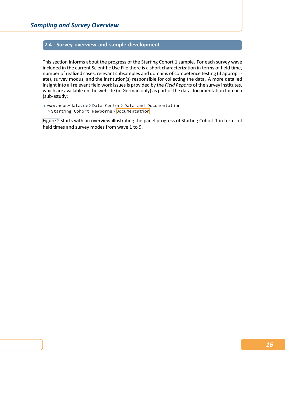#### **2.4 Survey overview and sample development**

<span id="page-20-0"></span>This section informs about the progress of the Starting Cohort 1 sample. For each survey wave included in the current Scientific Use File there is a short characterization in terms of field time, number of realized cases, relevant subsamples and domains of competence testing (if appropri‐ ate), survey modus, and the institution(s) responsible for collecting the data. A more detailed insight into all relevant field work issues is provided by the *Field Reports* of the survey institutes, which are available on the website (in German only) as part of the data documentation for each (sub‐)study:

→ www.neps-data.de > Data Center > Data and Documentation > Starting Cohort Newborns > Documentation

Figure 2 starts with an overview illustrating the panel progress of Starting Cohort 1 in terms of field times and survey modes from wave 1 to 9.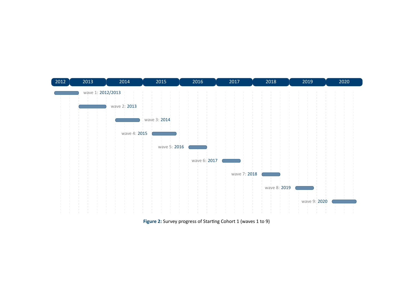

**Figure 2:** Survey progress of Starting Cohort <sup>1</sup> (waves <sup>1</sup> to 9)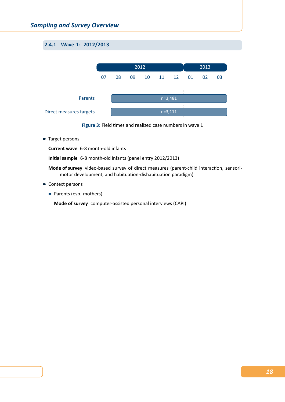## <span id="page-22-0"></span>**2.4.1 Wave 1: 2012/2013**





■ Target persons

**Current wave** 6‐8 month‐old infants

**Initial sample** 6‐8 month‐old infants (panel entry 2012/2013)

Mode of survey video-based survey of direct measures (parent-child interaction, sensorimotor development, and habituation‐dishabituation paradigm)

- **Context persons** 
	- Parents (esp. mothers)

**Mode of survey** computer‐assisted personal interviews (CAPI)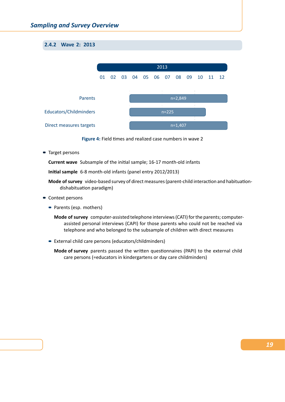## <span id="page-23-0"></span>**2.4.2 Wave 2: 2013**





Target persons

**Current wave** Subsample of the initial sample; 16‐17 month‐old infants

**Initial sample** 6‐8 month‐old infants (panel entry 2012/2013)

**Mode of survey** video‐based survey of direct measures (parent‐child interaction and habituation‐ dishabituation paradigm)

- Context persons
	- Parents (esp. mothers)
		- **Mode of survey** computer‐assisted telephone interviews (CATI) for the parents; computer‐ assisted personal interviews (CAPI) for those parents who could not be reached via telephone and who belonged to the subsample of children with direct measures
	- External child care persons (educators/childminders)
		- **Mode of survey** parents passed the written questionnaires (PAPI) to the external child care persons (=educators in kindergartens or day care childminders)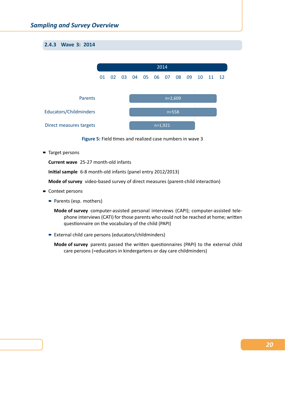## <span id="page-24-0"></span>**2.4.3 Wave 3: 2014**



**Figure 5:** Field times and realized case numbers in wave 3

Target persons

**Current wave** 25‐27 month‐old infants

**Initial sample** 6‐8 month‐old infants (panel entry 2012/2013)

**Mode of survey** video-based survey of direct measures (parent-child interaction)

- Context persons
	- Parents (esp. mothers)

**Mode of survey** computer‐assisted personal interviews (CAPI); computer‐assisted tele‐ phone interviews (CATI) for those parents who could not be reached at home; written questionnaire on the vocabulary of the child (PAPI)

■ External child care persons (educators/childminders)

**Mode of survey** parents passed the written questionnaires (PAPI) to the external child care persons (=educators in kindergartens or day care childminders)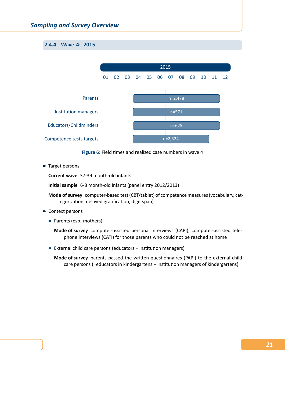## <span id="page-25-0"></span>**2.4.4 Wave 4: 2015**



**Figure 6:** Field times and realized case numbers in wave 4

■ Target persons

**Current wave** 37‐39 month‐old infants

**Initial sample** 6‐8 month‐old infants (panel entry 2012/2013)

- **Mode of survey** computer‐based test (CBT/tablet) of competence measures (vocabulary, cat‐ egorization, delayed gratification, digit span)
- Context persons
	- Parents (esp. mothers)

**Mode of survey** computer‐assisted personal interviews (CAPI); computer‐assisted tele‐ phone interviews (CATI) for those parents who could not be reached at home

■ External child care persons (educators + institution managers)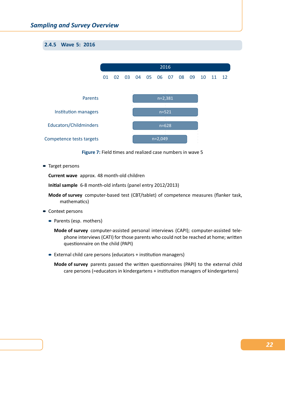## <span id="page-26-0"></span>**2.4.5 Wave 5: 2016**



**Figure 7:** Field times and realized case numbers in wave 5

■ Target persons

**Current wave** approx. 48 month‐old children

**Initial sample** 6‐8 month‐old infants (panel entry 2012/2013)

- **Mode of survey** computer‐based test (CBT/tablet) of competence measures (flanker task, mathematics)
- Context persons
	- Parents (esp. mothers)

**Mode of survey** computer‐assisted personal interviews (CAPI); computer‐assisted tele‐ phone interviews (CATI) for those parents who could not be reached at home; written questionnaire on the child (PAPI)

■ External child care persons (educators + institution managers)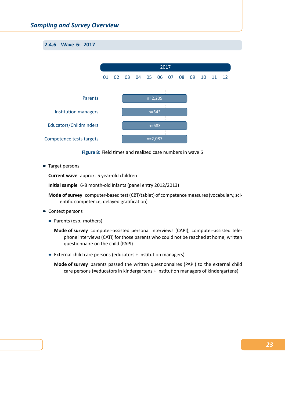<span id="page-27-0"></span>**2.4.6 Wave 6: 2017**



**Figure 8:** Field times and realized case numbers in wave 6

■ Target persons

**Current wave** approx. 5 year‐old children

**Initial sample** 6‐8 month‐old infants (panel entry 2012/2013)

- **Mode of survey** computer‐based test (CBT/tablet) of competence measures (vocabulary, sci‐ entific competence, delayed gratification)
- Context persons
	- Parents (esp. mothers)

**Mode of survey** computer‐assisted personal interviews (CAPI); computer‐assisted tele‐ phone interviews (CATI) for those parents who could not be reached at home; written questionnaire on the child (PAPI)

■ External child care persons (educators + institution managers)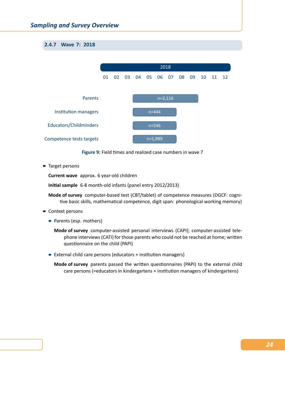## <span id="page-28-0"></span>**2.4.7 Wave 7: 2018**



**Figure 9:** Field times and realized case numbers in wave 7

■ Target persons

**Current wave** approx. 6 year‐old children

**Initial sample** 6‐8 month‐old infants (panel entry 2012/2013)

- **Mode of survey** computer‐based test (CBT/tablet) of competence measures (DGCF: cogni‐ tive basic skills, mathematical competence, digit span: phonological working memory)
- Context persons
	- Parents (esp. mothers)

**Mode of survey** computer‐assisted personal interviews (CAPI); computer‐assisted tele‐ phone interviews (CATI) for those parents who could not be reached at home; written questionnaire on the child (PAPI)

■ External child care persons (educators + institution managers)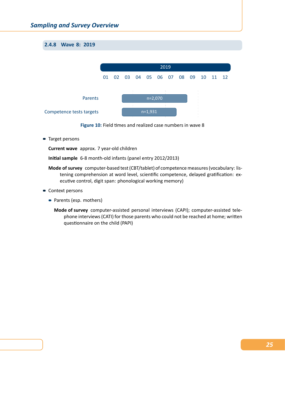## <span id="page-29-0"></span>**2.4.8 Wave 8: 2019**



**Figure 10:** Field times and realized case numbers in wave 8

**Target persons** 

**Current wave** approx. 7 year‐old children

**Initial sample** 6‐8 month‐old infants (panel entry 2012/2013)

- **Mode of survey** computer‐based test (CBT/tablet) of competence measures (vocabulary: lis‐ tening comprehension at word level, scientific competence, delayed gratification: ex‐ ecutive control, digit span: phonological working memory)
- Context persons
	- Parents (esp. mothers)
		- **Mode of survey** computer‐assisted personal interviews (CAPI); computer‐assisted tele‐ phone interviews (CATI) for those parents who could not be reached at home; written questionnaire on the child (PAPI)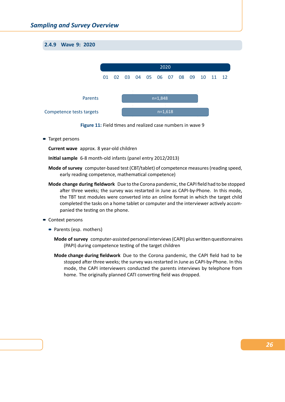## <span id="page-30-0"></span>**2.4.9 Wave 9: 2020**





**Target persons** 

**Current wave** approx. 8 year‐old children

**Initial sample** 6‐8 month‐old infants (panel entry 2012/2013)

- **Mode of survey** computer‐based test (CBT/tablet) of competence measures (reading speed, early reading competence, mathematical competence)
- **Mode change during fieldwork** Due to the Corona pandemic, the CAPI field had to be stopped after three weeks; the survey was restarted in June as CAPI‐by‐Phone. In this mode, the TBT test modules were converted into an online format in which the target child completed the tasks on a home tablet or computer and the interviewer actively accom‐ panied the testing on the phone.
- Context persons
	- Parents (esp. mothers)
		- **Mode of survey** computer‐assisted personal interviews (CAPI) plus written questionnaires (PAPI) during competence testing of the target children
		- **Mode change during fieldwork** Due to the Corona pandemic, the CAPI field had to be stopped after three weeks; the survey was restarted in June as CAPI‐by‐Phone. In this mode, the CAPI interviewers conducted the parents interviews by telephone from home. The originally planned CATI converting field was dropped.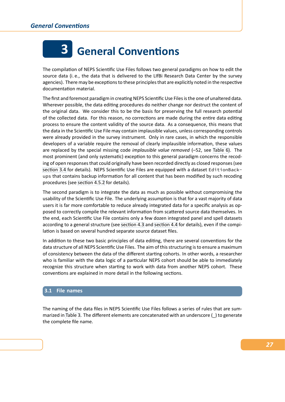

## **3 General Conventions**

<span id="page-31-0"></span>The compilation of NEPS Scientific Use Files follows two general paradigms on how to edit the source data (i. e., the data that is delivered to the LIfBi Research Data Center by the survey agencies). There may be exceptions to these principles that are explicitly noted in the respective documentation material.

The first and foremost paradigm in creating NEPS Scientific Use Files is the one of unaltered data. Wherever possible, the data editing procedures do neither change nor destruct the content of the original data. We consider this to be the basis for preserving the full research potential of the collected data. For this reason, no corrections are made during the entire data editing process to ensure the content validity of the source data. As a consequence, this means that the data in the Scientific Use File may contain implausible values, unless corresponding controls were already provided in the survey instrument. Only in rare cases, in which the responsible developers of a variable require the removal of clearly implausible information, these values are replaced by the special missing code *implausible value removed* (–52, see Table 6). The most prominent (and only systematic) exception to this general paradigm concerns the recod‐ ing of open responses that could originally have been recorded directly as closed responses (see section 3.4 for details). NEPS Scientific Use Files are equipped with a dataset EditionBackups that contains backup information for all content that has been modified by [such rec](#page-41-0)oding procedures (see section 4.5.2 for details).

[The second](#page-42-0) paradigm is to integrate the data as much as possible without compromising the usability of the Scientific Use File. The underlying assumption is that for a vast majority of data users it is far mo[re comfortab](#page-59-0)le to reduce already integrated data for a specific analysis as op‐ posed to correctly compile the relevant information from scattered source data themselves. In the end, each Scientific Use File contains only a few dozen integrated panel and spell datasets according to a general structure (see section 4.3 and section 4.4 for details), even if the compilation is based on several hundred separate source dataset files.

In addition to these two basic principles of data editing, there are several conventions for the data structure of all NEPS Scientific U[se Files. The](#page-45-0) aim [of this struc](#page-46-0)turing is to ensure a maximum of consistency between the data of the different starting cohorts. In other words, a researcher who is familiar with the data logic of a particular NEPS cohort should be able to immediately recognize this structure when starting to work with data from another NEPS cohort. These conventions are explained in more detail in the following sections.

## **3.1 File names**

<span id="page-31-1"></span>The naming of the data files in NEPS Scientific Use Files follows a series of rules that are sum‐ marized in Table 3. The different elements are concatenated with an underscore (\_) to generate the complete file name.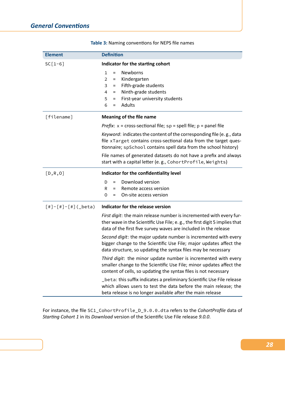<span id="page-32-0"></span>

| <b>Element</b>             | <b>Definition</b>                                                                                                                                                                                                                                                                                                                              |  |  |  |  |  |
|----------------------------|------------------------------------------------------------------------------------------------------------------------------------------------------------------------------------------------------------------------------------------------------------------------------------------------------------------------------------------------|--|--|--|--|--|
| $SC[1-6]$                  | Indicator for the starting cohort                                                                                                                                                                                                                                                                                                              |  |  |  |  |  |
|                            | Newborns<br>1<br>$\equiv$<br>Kindergarten<br>$\overline{2}$<br>$=$<br>3<br>= Fifth-grade students<br>Ninth-grade students<br>4<br>$=$<br>First-year university students<br>5<br>$=$<br><b>Adults</b><br>6<br>$\equiv$                                                                                                                          |  |  |  |  |  |
| [filename]                 | Meaning of the file name                                                                                                                                                                                                                                                                                                                       |  |  |  |  |  |
|                            | <i>Prefix</i> : $x = cross-sectional file; sp = spell file; p = panel file$                                                                                                                                                                                                                                                                    |  |  |  |  |  |
|                            | Keyword: indicates the content of the corresponding file (e.g., data<br>file xTarget contains cross-sectional data from the target ques-<br>tionnaire; spSchool contains spell data from the school history)<br>File names of generated datasets do not have a prefix and always<br>start with a capital letter (e.g., CohortProfile, Weights) |  |  |  |  |  |
| [D,R,0]                    | Indicator for the confidentiality level                                                                                                                                                                                                                                                                                                        |  |  |  |  |  |
|                            | Download version<br>D<br>$=$<br>Remote access version<br>R<br>$=$<br>On-site access version<br>0<br>$=$                                                                                                                                                                                                                                        |  |  |  |  |  |
| $[$ #] - [#] - [#] (_beta) | Indicator for the release version                                                                                                                                                                                                                                                                                                              |  |  |  |  |  |
|                            | First digit: the main release number is incremented with every fur-<br>ther wave in the Scientific Use File; e.g., the first digit 5 implies that<br>data of the first five survey waves are included in the release                                                                                                                           |  |  |  |  |  |
|                            | Second digit: the major update number is incremented with every<br>bigger change to the Scientific Use File; major updates affect the<br>data structure, so updating the syntax files may be necessary                                                                                                                                         |  |  |  |  |  |
|                            | Third digit: the minor update number is incremented with every<br>smaller change to the Scientific Use File; minor updates affect the<br>content of cells, so updating the syntax files is not necessary                                                                                                                                       |  |  |  |  |  |
|                            | _beta: this suffix indicates a preliminary Scientific Use File release<br>which allows users to test the data before the main release; the<br>beta release is no longer available after the main release                                                                                                                                       |  |  |  |  |  |

**Table 3:** Naming conventions for NEPS file names

For instance, the file SC1\_CohortProfile\_D\_9.0.0.dta refers to the *CohortProfile* data of *Starting Cohort 1* in its *Download* version of the Scientific Use File release *9.0.0*.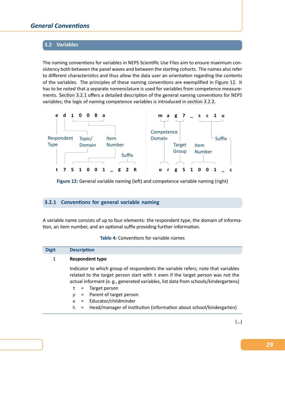## **3.2 Variables**

<span id="page-33-0"></span>The naming conventions for variables in NEPS Scientific Use Files aim to ensure maximum con‐ sistency both between the panel waves and between the starting cohorts. The names also refer to different characteristics and thus allow the data user an orientation regarding the contents of the variables. The principles of these naming conventions are exemplified in Figure 12. It has to be noted that a separate nomenclature is used for variables from competence measure‐ ments. Section 3.2.1 offers a detailed description of the general naming conventions for NEPS variables; the logic of naming competence variables is introduced in section 3.2.2[.](#page-33-2)

<span id="page-33-2"></span>

**Figure 12:** General variable naming (left) and competence variable naming (right)

## **3.2.1 Conventions for general variable naming**

<span id="page-33-1"></span>A variable name consists of up to four elements: the respondent type, the domain of informa‐ tion, an item number, and an optional suffix providing further information.

**Table 4:** Conventions for variable names

| <b>Digit</b> | <b>Description</b>                                                                                                                                                                                                                                                                                                                                                                                                     |  |  |  |  |  |  |  |  |
|--------------|------------------------------------------------------------------------------------------------------------------------------------------------------------------------------------------------------------------------------------------------------------------------------------------------------------------------------------------------------------------------------------------------------------------------|--|--|--|--|--|--|--|--|
| 1            | <b>Respondent type</b>                                                                                                                                                                                                                                                                                                                                                                                                 |  |  |  |  |  |  |  |  |
|              | Indicator to which group of respondents the variable refers; note that variables<br>related to the target person start with t even if the target person was not the<br>actual informant (e.g., generated variables, list data from schools/kindergartens)<br>$t =$ Target person<br>p = Parent of target person<br>e = Educator/childminder<br>h = Head/manager of institution (information about school/kindergarten) |  |  |  |  |  |  |  |  |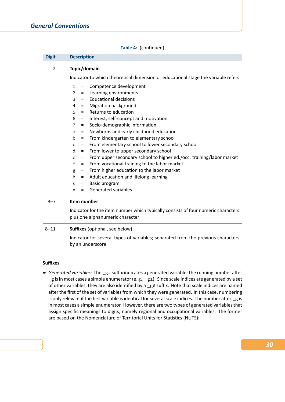#### **Table 4:** (continued)

| <b>Digit</b>   | <b>Description</b>                                                                                   |  |  |  |  |  |  |  |
|----------------|------------------------------------------------------------------------------------------------------|--|--|--|--|--|--|--|
| $\overline{2}$ | Topic/domain                                                                                         |  |  |  |  |  |  |  |
|                | Indicator to which theoretical dimension or educational stage the variable refers                    |  |  |  |  |  |  |  |
|                | Competence development<br>$\mathbf{1}$<br>$\equiv$                                                   |  |  |  |  |  |  |  |
|                | Learning environments<br>2<br>$=$                                                                    |  |  |  |  |  |  |  |
|                | <b>Educational decisions</b><br>3<br>$=$                                                             |  |  |  |  |  |  |  |
|                | Migration background<br>4<br>$=$                                                                     |  |  |  |  |  |  |  |
|                | Returns to education<br>5<br>$=$                                                                     |  |  |  |  |  |  |  |
|                | Interest, self-concept and motivation<br>6<br>$\equiv$                                               |  |  |  |  |  |  |  |
|                | Socio-demographic information<br>$\overline{7}$<br>$\equiv$                                          |  |  |  |  |  |  |  |
|                | Newborns and early childhood education<br>a<br>$\equiv$                                              |  |  |  |  |  |  |  |
|                | From kindergarten to elementary school<br>b<br>$=$                                                   |  |  |  |  |  |  |  |
|                | From elementary school to lower secondary school<br>$\mathsf{C}$<br>$\equiv$                         |  |  |  |  |  |  |  |
|                | From lower to upper secondary school<br>d<br>$=$                                                     |  |  |  |  |  |  |  |
|                | From upper secondary school to higher ed./occ. training/labor market<br>e<br>$=$                     |  |  |  |  |  |  |  |
|                | From vocational training to the labor market<br>$\mathsf{f}$<br>$\equiv$                             |  |  |  |  |  |  |  |
|                | From higher education to the labor market<br>g<br>$\equiv$                                           |  |  |  |  |  |  |  |
|                | Adult education and lifelong learning<br>h<br>$\equiv$                                               |  |  |  |  |  |  |  |
|                | Basic program<br>S<br>$=$                                                                            |  |  |  |  |  |  |  |
|                | Generated variables<br>$=$<br>X                                                                      |  |  |  |  |  |  |  |
| $3 - 7$        | Item number                                                                                          |  |  |  |  |  |  |  |
|                | Indicator for the item number which typically consists of four numeric characters                    |  |  |  |  |  |  |  |
|                | plus one alphanumeric character                                                                      |  |  |  |  |  |  |  |
| $8 - 11$       | <b>Suffixes</b> (optional, see below)                                                                |  |  |  |  |  |  |  |
|                | Indicator for several types of variables; separated from the previous characters<br>by an underscore |  |  |  |  |  |  |  |

#### **Suffixes**

■ Generated variables: The \_g# suffix indicates a generated variable; the running number after  $-g$  is in most cases a simple enumerator (e. g.,  $-g1$ ). Since scale indices are generated by a set of other variables, they are also identified by a \_g# suffix. Note that scale indices are named after the first of the set of variables from which they were generated. In this case, numbering is only relevant if the first variable is identical for several scale indices. The number after \_g is in most cases a simple enumerator. However, there are two types of generated variables that assign specific meanings to digits, namely regional and occupational variables. The former are based on the Nomenclature of Territorial Units for Statistics (NUTS):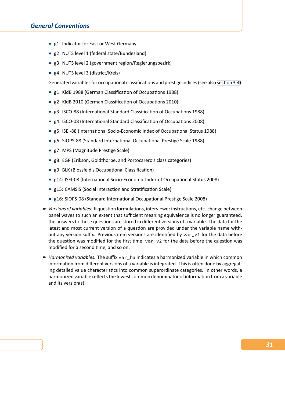- **g1: Indicator for East or West Germany**
- g2: NUTS level 1 (federal state/Bundesland)
- g3: NUTS level 2 (government region/Regierungsbezirk)
- g4: NUTS level 3 (district/Kreis)

Generated variables for occupational classifications and prestige indices (see also section 3.4):

- g1: KldB 1988 (German Classification of Occupations 1988)
- g2: KldB 2010 (German Classification of Occupations 2010)
- g3: ISCO-88 (International Standard Classification of Occupations 1988)
- g4: ISCO-08 (International Standard Classification of Occupations 2008)
- g5: ISEI-88 (International Socio-Economic Index of Occupational Status 1988)
- g6: SIOPS-88 (Standard International Occupational Prestige Scale 1988)
- g7: MPS (Magnitude Prestige Scale)
- g8: EGP (Erikson, Goldthorpe, and Portocarero's class categories)
- g9: BLK (Blossfeld's Occupational Classification)
- g14: ISEI-08 (International Socio-Economic Index of Occupational Status 2008)
- g15: CAMSIS (Social Interaction and Stratification Scale)
- g16: SIOPS-08 (Standard International Occupational Prestige Scale 2008)
- *Versions of variables:* If question formulations, interviewer instructions, etc. change between panel waves to such an extent that sufficient meaning equivalence is no longer guaranteed, the answers to these questions are stored in different versions of a variable. The data for the latest and most current version of a question are provided under the variable name with‐ out any version suffix. Previous item versions are identified by var\_v1 for the data before the question was modified for the first time,  $var_vz$  for the data before the question was modified for a second time, and so on.
- *Harmonized variables:* The suffix var\_ha indicates a harmonized variable in which common information from different versions of a variable is integrated. This is often done by aggregating detailed value characteristics into common superordinate categories. In other words, a harmonized variable reflects the lowest common denominator of information from a variable and its version(s).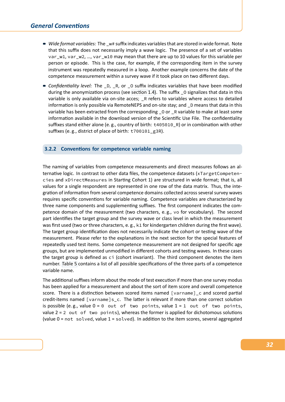- *Wide format variables:* The \_w# suffix indicates variables that are stored in wide format. Note that this suffix does not necessarily imply a wave logic. The presence of a set of variables var\_w1, var\_w2, …, var\_w10 may mean that there are up to 10 values for this variable per person or episode. This is the case, for example, if the corresponding item in the survey instrument was repeatedly measured in a loop. Another example concerns the date of the competence measurement within a survey wave if it took place on two different days.
- *Confidentiality level:* The \_D, \_R, or \_O suffix indicates variables that have been modified during the anonymization process (see section 1.4). The suffix \_0 signalizes that data in this variable is only available via on-site acces; \_R refers to variables where access to detailed information is only possible via RemoteNEPS and on‐site stay; and \_D means that data in this variable has been extracted from the corresponding \_O or \_R variable to make at least some information available in the download [version of t](#page-8-0)he Scientific Use File. The confidentiality suffixes stand either alone (e. g., country of birth: t405010\_R) or in combination with other suffixes (e. g., district of place of birth: t700101\_g3R).

### **3.2.2 Conventions for competence variable naming**

<span id="page-36-0"></span>The naming of variables from competence measurements and direct measures follows an al‐ ternative logic. In contrast to other data files, the competence datasets (xTargetCompetencies and xDirectMeasures in Starting Cohort 1) are structured in wide format; that is, all values for a single respondent are represented in one row of the data matrix. Thus, the inte‐ gration of information from several competence domains collected across several survey waves requires specific conventions for variable naming. Competence variables are characterized by three name components and supplementing suffixes. The first component indicates the com‐ petence domain of the measurement (two characters, e. g., vo for vocabulary). The second part identifies the target group and the survey wave or class level in which the measurement was first used (two or three characters, e.g., k1 for kindergarten children during the first wave). The target group identification does not necessarily indicate the cohort or testing wave of the measurement. Please refer to the explanations in the next section for the special features of repeatedly used test items. Some competence measurement are not designed for specific age groups, but are implemented unmodified in different cohorts and testing waves. In these cases the target group is defined as ci (cohort invariant). The third component denotes the item number. Table 5 contains a list of all possible specifications of the three parts of a competence variable name.

The additional suffixes inform about the mode of test execution if more than one survey modus has bee[n applied](#page-37-0) for a measurement and about the sort of item score and overall competence score. There is a distinction between scored items named [varname]\_c and scored partial credit-items named [varname]s\_c. The latter is relevant if more than one correct solution is possible (e.g., value  $0 = 0$  out of two points, value  $1 = 1$  out of two points, value  $2 = 2$  out of two points), whereas the former is applied for dichotomous solutions (value 0 = not solved, value 1 = solved). In addition to the item scores, several aggregated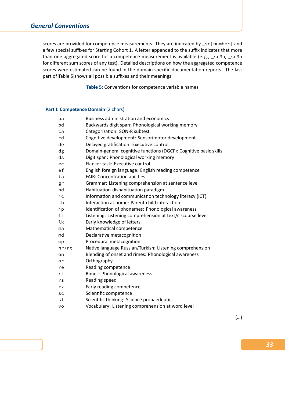# *General Conventions*

scores are provided for competence measurements. They are indicated by \_sc [number] and a few special suffixes for Starting Cohort 1. A letter appended to the suffix indicates that more than one aggregated score for a competence measurement is available (e.g., \_sc3a, \_sc3b for different sum scores of any test). Detailed descriptions on how the aggregated competence scores were estimated can be found in the domain‐specific documentation reports. The last part of Table 5 shows all possible suffixes and their meanings.

**Table 5:** Conventions for competence variable names

### <span id="page-37-0"></span>**Part I: Competence Domain** (2 chars)

| ba    | Business administration and economics                             |
|-------|-------------------------------------------------------------------|
| bd    | Backwards digit span: Phonological working memory                 |
| ca    | Categorization: SON-R subtest                                     |
| cd    | Cognitive development: Sensorimotor development                   |
| de    | Delayed gratification: Executive control                          |
| dg    | Domain-general cognitive functions (DGCF): Cognitive basic skills |
| ds    | Digit span: Phonological working memory                           |
| ec    | Flanker task: Executive control                                   |
| ef    | English foreign language: English reading competence              |
| fa    | <b>FAIR: Concentration abilities</b>                              |
| gr    | Grammar: Listening comprehension at sentence level                |
| hd    | Habituation-dishabituation paradigm                               |
| iс    | Information and communication technology literacy (ICT)           |
| ih    | Interaction at home: Parent-child interaction                     |
| ip    | Identification of phonemes: Phonological awareness                |
| li    | Listening: Listening comprehension at text/ciscourse level        |
| lk    | Early knowledge of letters                                        |
| ma    | Mathematical competence                                           |
| md    | Declarative metacognition                                         |
| mp    | Procedural metacognition                                          |
| nr/nt | Native language Russian/Turkish: Listening comprehension          |
| on    | Blending of onset and rimes: Phonological awareness               |
| or    | Orthography                                                       |
| re    | Reading competence                                                |
| ri    | Rimes: Phonological awareness                                     |
| rs    | Reading speed                                                     |
| rx    | Early reading competence                                          |
| sc    | Scientific competence                                             |
| st    | Scientific thinking: Science propaedeutics                        |
| VO    | Vocabulary: Listening comprehension at word level                 |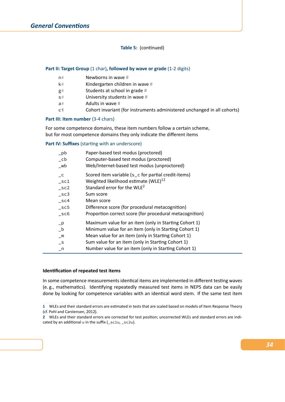### **Table 5:** (continued)

### **Part II: Target Group** (1 char), followed by wave or grade (1-2 digits)

- n# Newborns in wave #
- k# Kindergarten children in wave #
- g# Students at school in grade #
- s# University students in wave #
- a# Adults in wave #
- ci Cohort invariant (for instruments administered unchanged in all cohorts)

### **Part III: Item number** (3‐4 chars)

For some competence domains, these item numbers follow a certain scheme, but for most competence domains they only indicate the different items

#### **Part IV: Suffixes** (starting with an underscore)

| $\n  pb$        | Paper-based test modus (proctored)                      |
|-----------------|---------------------------------------------------------|
| $\_{cb}$        | Computer-based test modus (proctored)                   |
| $_{\mathsf{w}}$ | Web/Internet-based test modus (unproctored)             |
| $-c$            | Scored item variable (s_c for partial credit-items)     |
| $\_sc1$         | Weighted likelihood estimate (WLE) <sup>12</sup>        |
| $\_sc2$         | Standard error for the WLE <sup>2</sup>                 |
| $\_sc3$         | Sum score                                               |
| sc4             | Mean score                                              |
| $\_sc5$         | Difference score (for procedural metacognition)         |
| $\_sc6$         | Proportion correct score (for procedural metacognition) |
| $-p$            | Maximum value for an item (only in Starting Cohort 1)   |
| $_b$            | Minimum value for an item (only in Starting Cohort 1)   |
| $\_m$           | Mean value for an item (only in Starting Cohort 1)      |
| $\mathsf{-}$ S  | Sum value for an item (only in Starting Cohort 1)       |
| $n_{-}$         | Number value for an item (only in Starting Cohort 1)    |

#### **Identification of repeated test items**

In some competence measurements identical items are implemented in different testing waves (e. g., mathematics). Identifying repeatedly measured test items in NEPS data can be easily done by looking for competence variables with an identical word stem. If the same test item

**<sup>1</sup>** WLEs and their standard errors are estimated in tests that are scaled based on models of Item Response Theory (cf. Pohl and Carstensen, 2012).

**<sup>2</sup>** WLEs and their standard errors are corrected for test position; uncorrected WLEs and standard errors are indi‐ cated by an additional u in the suffix (\_sc1u, \_sc2u).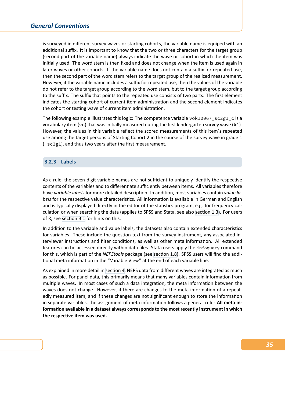is surveyed in different survey waves or starting cohorts, the variable name is equiped with an additional suffix. It is important to know that the two or three characters for the target group (second part of the variable name) always indicate the wave or cohort in which the item was initially used. The word stem is then fixed and does not change when the item is used again in later waves or other cohorts. If the variable name does not contain a suffix for repeated use, then the second part of the word stem refers to the target group of the realized measurement. However, if the variable name includes a suffix for repeated use, then the values of the variable do not refer to the target group according to the word stem, but to the target group according to the suffix. The suffix that points to the repeated use consists of two parts: The first element indicates the starting cohort of current item administration and the second element indicates the cohort or testing wave of current item administration.

The following example illustrates this logic: The competence variable vok10067\_sc2g1\_c is a vocabulary item (vo) that was initially measured during the first kindergarten survey wave (k1). However, the values in this variable reflect the scored measurements of this item´s repeated use among the target persons of Starting Cohort 2 in the course of the survey wave in grade 1 (\_sc2g1), and thus two years after the first measurement.

### **3.2.3 Labels**

As a rule, the seven‐digit variable names are not sufficient to uniquely identify the respective contents of the variables and to differentiate sufficiently between items. All variables therefore have *variable labels* for more detailed description. In addition, most variables contain *value la‐ bels* for the respective value characteristics. All information is available in German and English and is typically displayed directly in the editor of the statistics program, e.g. for frequency calculation or when searching the data (applies to SPSS and Stata, see also section 1.3). For users of R, see section B.1 for hints on this.

In addition to the variable and value labels, the datasets also contain extended characteristics for variables. These include the question text from the survey instrum[ent, any ass](#page-7-0)ociated in‐ terviewe[r instruction](#page-106-0)s and filter conditions, as well as other meta information. All extended features can be accessed directly within data files. Stata users apply the infoquery command for this, which is part of the *NEPStools* package (see section 1.8). SPSS users will find the addi‐ tional meta information in the "Variable View" at the end of each variable line.

As explained in more detail in section 4, NEPS data from different waves are integrated as much as possible. For panel data, this primarily means tha[t many varia](#page-13-0)bles contain information from multiple waves. In most cases of such a data integration, the meta information between the waves does not change. However, if there are changes to the meta information of a repeatedly measured item, and if t[hese chan](#page-44-0)ges are not significant enough to store the information in separate variables, the assignment of meta information follows a general rule: **All meta in‐ formation available in a dataset always corresponds to the most recently instrument in which the respective item was used.**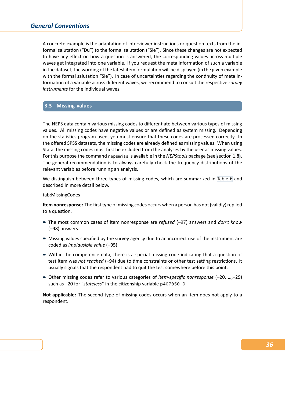# *General Conventions*

A concrete example is the adaptation of interviewer instructions or question texts from the in‐ formal salutation ("Du") to the formal salutation ("Sie"). Since these changes are not expected to have any effect on how a question is answered, the corresponding values across multiple waves get integrated into one variable. If you request the meta information of such a variable in the dataset, the wording of the latest item formulation will be displayed (in the given example with the formal salutation "Sie"). In case of uncertainties regarding the continuity of meta information of a variable across different waves, we recommend to consult the respective *survey instruments* for the individual waves.

# **3.3 Missing values**

The NEPS data contain various missing codes to differentiate between various types of missing values. All missing codes have negative values or are defined as system missing. Depending on the statistics program used, you must ensure that these codes are processed correctly. In the offered SPSS datasets, the missing codes are already defined as missing values. When using Stata, the missing codes must first be excluded from the analyses by the user as missing values. For this purpose the command nepsmiss is available in the *NEPStools* package (see section 1.8). The general recommendation is to always carefully check the frequency distributions of the relevant variables before running an analysis.

We distinguish between three types of missing codes, which are summarized in [Table 6](#page-13-0) and described in more detail below.

#### tab:MissingCodes

**Item nonresponse:** The first type of missing codes occurs when a person has not (va[lidly\) rep](#page-41-0)lied to a question.

- The most common cases of item nonresponse are *refused* (–97) answers and *don't know* (–98) answers.
- Missing values specified by the survey agency due to an incorrect use of the instrument are coded as *implausible value* (–95).
- Within the competence data, there is a special missing code indicating that a question or test item was *not reached* (–94) due to time constraints or other test setting restrictions. It usually signals that the respondent had to quit the test somewhere before this point.
- Other missing codes refer to various categories of *item-specific nonresponse* (-20, ...,-29) such as –20 for "*stateless*" in the citizenship variable p407050\_D.

**Not applicable:** The second type of missing codes occurs when an item does not apply to a respondent.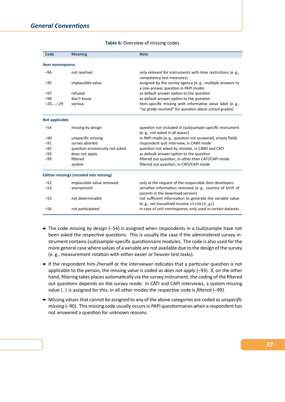| Code             | <b>Meaning</b>                                 | <b>Note</b>                                                                                                        |  |  |  |  |  |
|------------------|------------------------------------------------|--------------------------------------------------------------------------------------------------------------------|--|--|--|--|--|
| Item nonresponse |                                                |                                                                                                                    |  |  |  |  |  |
|                  |                                                |                                                                                                                    |  |  |  |  |  |
| $-94$            | not reached                                    | only relevant for instruments with time restrictions (e.g.,<br>competency test measures)                           |  |  |  |  |  |
| $-95$            | implausible value                              | assigned by the survey agency (e.g., multiple answers to<br>a one-answer question in PAPI mode)                    |  |  |  |  |  |
| $-97$            | refused                                        | as default answer option to the question                                                                           |  |  |  |  |  |
| $-98$            | don't know                                     | as default answer option to the question                                                                           |  |  |  |  |  |
| $-20,,-29$       | various                                        | item-specific missing with informative value label (e.g.,<br>"no grade received" for question about school grades) |  |  |  |  |  |
| Not applicable   |                                                |                                                                                                                    |  |  |  |  |  |
| $-54$            | missing by design                              | question not included in (sub)sample-specific instrument<br>(e.g., not asked in all waves)                         |  |  |  |  |  |
| $-90$            | unspecific missing                             | in PAPI mode (e.g., question not answered, empty field)                                                            |  |  |  |  |  |
| $-91$            | survey aborted                                 | respondent quit interview, in CAWI mode                                                                            |  |  |  |  |  |
| $-92$            | question erroneously not asked                 | question not asked by mistake, in CAWI and CATI                                                                    |  |  |  |  |  |
| $-93$            | does not apply                                 | as default answer option to the question                                                                           |  |  |  |  |  |
| $-99$            | filtered                                       | filtered out question, in other than CATI/CAPI mode                                                                |  |  |  |  |  |
|                  | system                                         | filtered out question, in CATI/CAPI mode                                                                           |  |  |  |  |  |
|                  | <b>Edition missings (recoded into missing)</b> |                                                                                                                    |  |  |  |  |  |
| $-52$            | implausible value removed                      | only at the request of the responsible item developers                                                             |  |  |  |  |  |
| $-53$            | anonymized                                     | sensitive information removed (e.g., country of birth of<br>parents in the download version)                       |  |  |  |  |  |
| $-55$            | not determinable                               | not sufficient information to generate the variable value<br>(e.g., net household income t510010_g1)               |  |  |  |  |  |
| $-56$            | not participated                               | in case of unit nonresponse, only used in certain datasets                                                         |  |  |  |  |  |

<span id="page-41-0"></span>

|  |  | Table 6: Overview of missing codes |  |
|--|--|------------------------------------|--|
|--|--|------------------------------------|--|

- The code *missing by design* (–54) is assigned when respondents in a (sub)sample have not been asked the respective questions. This is usually the case if the administered survey instrument contains (sub)sample‐specific questionnaire modules. The code is also used for the more general case where values of a variable are not available due to the design of the survey (e. g., measurement rotation with either easier or heavier test tasks).
- If the respondent him-/herself or the interviewer indicates that a particular question is not applicable to the person, the missing value is coded as *does not apply* (–93). If, on the other hand, filtering takes places automatically via the survey instrument, the coding of the filtered out questions depends on the survey mode: in CATI and CAPI interviews, a system missing value (.) is assigned for this; in all other modes the respective code is *filtered* (–99).
- Missing values that cannot be assigned to any of the above categories are coded as *unspecific missing* (–90). This missing code usually occurs in PAPI questionnaires when a respondent has not answered a question for unknown reasons.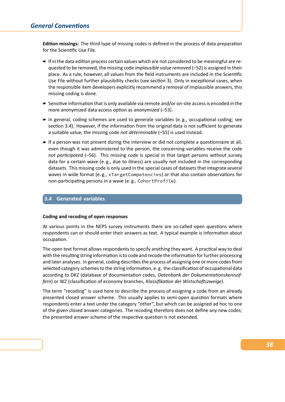**Edition missings:** The third type of missing codes is defined in the process of data preparation for the Scientific Use File.

- If in the data edition process certain values which are not considered to be meaningful are requested to be removed, the missing code *implausible value removed* (–52) is assigned in their place. As a rule, however, all values from the field instruments are included in the Scientific Use File without further plausibility checks (see section 3). Only in exceptional cases, when the responsible item developers explicitly recommend a removal of implausible answers, this missing coding is done.
- Sensitive information that is only available via re[mote and/](#page-31-0)or on-site access is encoded in the more anonymized data access option as *anonymized* (–53).
- In general, coding schemes are used to generate variables (e.g., occupational coding; see section 3.4). However, if the information from the original data is not sufficient to generate a suitable value, the missing code *not determinable* (–55) is used instead.
- If a person was not present during the interview or did not complete a questionnaire at all, [even thoug](#page-42-0)h it was administered to the person, the concerning variables receive the code *not participated* (–56). This missing code is special in that target persons without survey data for a certain wave (e. g., due to illness) are usually not included in the corresponding datasets. This missing code is only used in the special cases of datasets that integrate several waves in wide format (e. g., xTargetCompetencies) or that also contain observations for non-participating persons in a wave (e.g., CohortProfile).

### **3.4 Generated variables**

#### <span id="page-42-0"></span>**Coding and recoding of open responses**

At various points in the NEPS survey instruments there are so-called open questions where respondents can or should enter their answers as text. A typical example is information about occupation.

The open text format allows respondents to specify anything they want. A practical way to deal with the resulting string information is to code and recode the information for further processing and later analyses. In general, coding describes the process of assigning one or more codes from selected category schemes to the string information, e. g. the classification of occupational data according to DKZ (database of documentation codes, *Datenbank der Dokumentationskennzif‐ fern*) or WZ (classification of economy branches, *Klassifikation der Wirtschaftszweige*).

The term "recoding" is used here to describe the process of assigning a code from an already presented closed answer scheme. This usually applies to semi‐open question formats where respondents enter a text under the category "other", but which can be assigned ad hoc to one of the given closed answer categories. The recoding therefore does not define any new codes; the presented answer scheme of the respective question is not extended.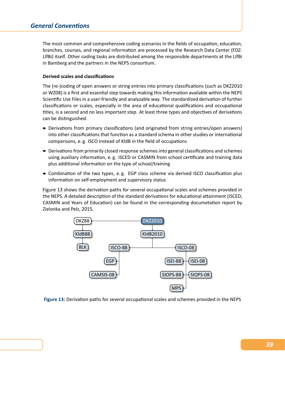The most common and comprehensive coding scenarios in the fields of occupation, education, branches, courses, and regional information are processed by the Research Data Center (FDZ‐ LIfBi) itself. Other coding tasks are distributed among the responsible departments at the LIfBi in Bamberg and the partners in the NEPS consortium.

### **Derived scales and classifications**

The (re-)coding of open answers or string entries into primary classifications (such as DKZ2010 or WZ08) is a first and essential step towards making this information available within the NEPS Scientific Use Files in a user‐friendly and analyzable way. The standardized derivation of further classifications or scales, especially in the area of educational qualifications and occupational titles, is a second and no less important step. At least three types and objectives of derivations can be distinguished:

- Derivations from primary classifications (and originated from string entries/open answers) into other classifications that function as a standard schema in other studies or international comparisons, e. g. ISCO instead of KldB in the field of occupations
- Derivations from primarily closed response schemes into general classifications and schemes using auxiliary information, e. g. ISCED or CASMIN from school certificate and training data plus additional information on the type of school/training
- Combination of the two types, e. g. EGP class scheme via derived ISCO classification plus information on self‐employment and supervisory status

Figure 13 shows the derivation paths for several occupational scales and schemes provided in the NEPS. A detailed description of the standard derivations for educational attainment (ISCED, CASMIN and Years of Education) can be found in the corresponding documetation report by [Zielonka a](#page-43-0)nd Pelz, 2015.

<span id="page-43-0"></span>

**Figure 13:** Derivation paths for several occupational scales and schemes provided in the NEPS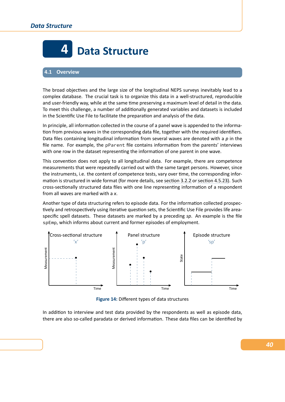

# <span id="page-44-0"></span>**4.1 Overview**

The broad objectives and the large size of the longitudinal NEPS surveys inevitably lead to a complex database. The crucial task is to organize this data in a well‐structured, reproducible and user-friendly way, while at the same time preserving a maximum level of detail in the data. To meet this challenge, a number of additionally generated variables and datasets is included in the Scientific Use File to facilitate the preparation and analysis of the data.

In principle, all information collected in the course of a panel wave is appended to the information from previous waves in the corresponding data file, together with the required identifiers. Data files containing longitudinal information from several waves are denoted with a *p* in the file name. For example, the pParent file contains information from the parents' interviews with one row in the dataset representing the information of one parent in one wave.

This convention does not apply to all longitudinal data. For example, there are competence measurements that were repeatedly carried out with the same target persons. However, since the instruments, i.e. the content of competence tests, vary over time, the corresponding infor‐ mation is structured in wide format (for more details, see section 3.2.2 or section 4.5.23). Such cross‐sectionally structured data files with one line representing information of a respondent from all waves are marked with a *x*.

Another type of data structuring refers to episode data. F[or the inform](#page-36-0)ati[on collected pr](#page-100-0)ospec‐ tively and retrospectively using iterative question sets, the Scientific Use File provides life areaspecific spell datasets. These datasets are marked by a preceding *sp*. An example is the file spEmp, which informs about current and former episodes of employment.



**Figure 14:** Different types of data structures

In addition to interview and test data provided by the respondents as well as episode data, there are also so‐called paradata or derived information. These data files can be identified by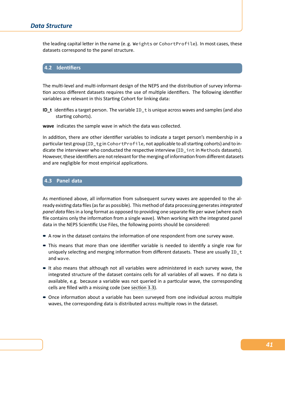# *Data Structure*

the leading capital letter in the name (e. g. Weights or CohortProfile). In most cases, these datasets correspond to the panel structure.



The multi-level and multi-informant design of the NEPS and the distribution of survey information across different datasets requires the use of multiple identifiers. The following identifier variables are relevant in this Starting Cohort for linking data:

**ID\_t** identifies a target person. The variable ID\_t is unique across waves and samples (and also starting cohorts).

**wave** indicates the sample wave in which the data was collected.

In addition, there are other identifier variables to indicate a target person's membership in a particular test group (ID\_tg in CohortProfile, not applicable to all starting cohorts) and to indicate the interviewer who conducted the respective interview (ID\_int in Methods datasets). However, these identifiers are not relevant for the merging of information from different datasets and are negligible for most empirical applications.

# **4.3 Panel data**

As mentioned above, all information from subsequent survey waves are appended to the al‐ ready existing data files (as far as possible). This method of data processing generates*integrated panel data* files in a long format as opposed to providing one separate file per wave (where each file contains only the information from a single wave). When working with the integrated panel data in the NEPS Scientific Use Files, the following points should be considered:

- A row in the dataset contains the information of one respondent from one survey wave.
- This means that more than one identifier variable is needed to identify a single row for uniquely selecting and merging information from different datasets. These are usually ID\_t and wave.
- It also means that although not all variables were administered in each survey wave, the integrated structure of the dataset contains cells for all variables of all waves. If no data is available, e.g. because a variable was not queried in a particular wave, the corresponding cells are filled with a missing code (see section 3.3).
- Once information about a variable has been surveyed from one individual across multiple waves, the corresponding data is distributed across multiple rows in the dataset.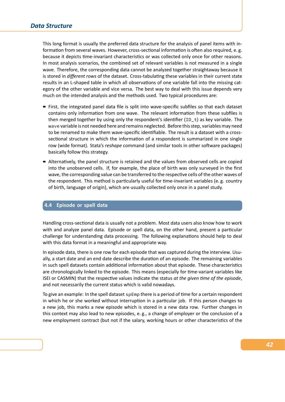This long format is usually the preferred data structure for the analysis of panel items with in‐ formation from several waves. However, cross‐sectional information is often also required, e. g. because it depicts time‐invariant characteristics or was collected only once for other reasons. In most analysis scenarios, the combined set of relevant variables is not measured in a single wave. Therefore, the corresponding data cannot be analyzed together straightaway because it is stored in *different rows* of the dataset. Cross-tabulating these variables in their current state results in an L-shaped table in which all observations of one variable fall into the missing category of the other variable and vice versa. The best way to deal with this issue depends very much on the intended analysis and the methods used. Two typical procedures are:

- First, the integrated panel data file is split into wave-specific subfiles so that each dataset contains only information from one wave. The relevant information from these subfiles is then merged together by using only the respondent's identifier (ID\_t) as key variable. The wave variable is not needed here and remains neglected. Before this step, variables may need to be renamed to make them wave-specific identifiable. The result is a dataset with a crosssectional structure in which the information of a respondent is summarized in one single row (wide format). Stata's *reshape* command (and similar tools in other software packages) basically follow this strategy.
- Alternatively, the panel structure is retained and the values from observed cells are copied into the unobserved cells. If, for example, the place of birth was only surveyed in the first wave, the corresponding value can be transferred to the respective cells of the other waves of the respondent. This method is particularly useful for time-invariant variables (e.g. country of birth, language of origin), which are usually collected only once in a panel study.

### **4.4 Episode or spell data**

Handling cross‐sectional data is usually not a problem. Most data users also know how to work with and analyze panel data. Episode or spell data, on the other hand, present a particular challenge for understanding data processing. The following explanations should help to deal with this data format in a meaningful and appropriate way.

In episode data, there is one row for each episode that was captured during the interview. Usually, a start date and an end date describe the duration of an episode. The remaining variables in such spell datasets contain additional information about that episode. These characteristics are chronologically linked to the episode. This means (especially for time‐variant variables like ISEI or CASMIN) that the respective values indicate the status *at the given time of the episode*, and not necessarily the current status which is valid nowadays.

To give an example: In the spell dataset spEmp there is a period of time for a certain respondent in which he or she worked without interruption in a particular job. If this person changes to a new job, this marks a new episode which is stored in a new data row. Further changes in this context may also lead to new episodes, e. g., a change of employer or the conclusion of a new employment contract (but not if the salary, working hours or other characteristics of the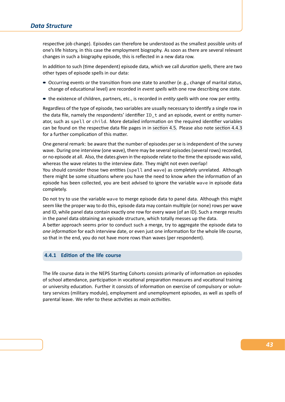respective job change). Episodes can therefore be understood as the smallest possible units of one's life history, in this case the employment biography. As soon as there are several relevant changes in such a biography episode, this is reflected in a new data row.

In addition to such (time dependent) episode data, which we call *duration spells*, there are two other types of episode spells in our data:

- Occurring events or the transition from one state to another (e. g., change of marital status, change of educational level) are recorded in *event spells* with one row describing one state.
- the existence of children, partners, etc., is recorded in *entity spells* with one row per entity.

Regardless of the type of episode, two variables are usually necessary to identify a single row in the data file, namely the respondents' identifier ID\_t and an episode, event or entity numer‐ ator, such as spell or child. More detailed information on the required identifier variables can be found on the respective data file pages in in section 4.5. Please also note section 4.4.3 for a further complication of this matter.

One general remark: be aware that the number of episodes per se is independent of the survey wave. During one interview (one wave), there may b[e several ep](#page-54-0)isodes (several ro[ws\) recorded,](#page-49-0) or no episode at all. Also, the dates given in the episode relate to the time the episode was valid, whereas the wave relates to the interview date. They might not even overlap!

You should consider those two entities (spell and wave) as completely unrelated. Although there might be some situations where you have the need to know *when* the information of an episode has been collected, you are best advised to ignore the variable wave in episode data completely.

Do not try to use the variable wave to merge episode data to panel data. Although this might seem like the proper way to do this, episode data may contain multiple (or none) rows per wave and ID, while panel data contain exactly one row for every wave (of an ID). Such a merge results in the panel data obtaining an episode structure, which totally messes up the data.

A better approach seems prior to conduct such a merge, try to aggregate the episode data to *one information* for each interview date, or even just one information for the whole life course, so that in the end, you do not have more rows than waves (per respondent).

# **4.4.1 Edition of the life course**

The life course data in the NEPS Starting Cohorts consists primarily of information on episodes of school attendance, participation in vocational preparation measures and vocational training or university education. Further it consists of information on exercise of compulsory or volun‐ tary services (military module), employment and unemployment episodes, as well as spells of parental leave. We refer to these activities as *main activities*.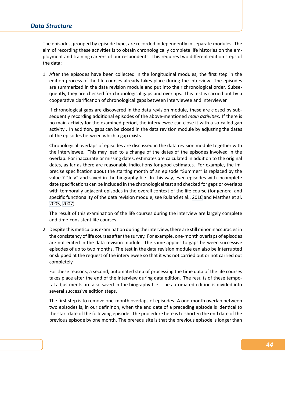The episodes, grouped by episode type, are recorded independently in separate modules. The aim of recording these activities is to obtain chronologically complete life histories on the employment and training careers of our respondents. This requires two different edition steps of the data:

1. After the episodes have been collected in the longitudinal modules, the first step in the edition process of the life courses already takes place during the interview. The episodes are summarized in the data revision module and put into their chronological order. Subse‐ quently, they are checked for chronological gaps and overlaps. This test is carried out by a cooperative clarification of chronological gaps between interviewee and interviewer.

If chronological gaps are discovered in the data revision module, these are closed by sub‐ sequently recording additional episodes of the above-mentioned *main activities*. If there is no main activity for the examined period, the interviewee can close it with a so-called gap activity . In addition, gaps can be closed in the data revision module by adjusting the dates of the episodes between which a gap exists.

Chronological overlaps of episodes are discussed in the data revision module together with the interviewee. This may lead to a change of the dates of the episodes involved in the overlap. For inaccurate or missing dates, estimates are calculated in addition to the original dates, as far as there are reasonable indications for good estimates. For example, the im‐ precise specification about the starting month of an episode "Summer" is replaced by the value 7 "July" and saved in the biography file. In this way, even episodes with incomplete date specifications can be included in the chronological test and checked for gaps or overlaps with temporally adjacent episodes in the overall context of the life course (for general and specific functionality of the data revision module, see Ruland et al., 2016 and Matthes et al. 2005, 2007).

The result of this examination of the life courses during the interview are largely complete and time‐consistent life courses.

2. [Desp](#page-104-0)i[te this](#page-104-1) meticulous examination during the interview, there are still minor inaccuracies in the consistency of life courses after the survey. For example, one‐month overlaps of episodes are not edited in the data revision module. The same applies to gaps between successive episodes of up to two months. The test in the data revision module can also be interrupted or skipped at the request of the interviewee so that it was not carried out or not carried out completely.

For these reasons, a second, automated step of processing the time data of the life courses takes place after the end of the interview during data edition. The results of these temporal adjustments are also saved in the biography file. The automated edition is divided into several successive edition steps.

The first step is to remove one‐month overlaps of episodes. A one‐month overlap between two episodes is, in our definition, when the end date of a preceding episode is identical to the start date of the following episode. The procedure here is to shorten the end date of the previous episode by one month. The prerequisite is that the previous episode is longer than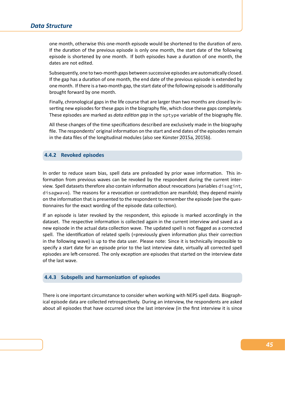one month, otherwise this one‐month episode would be shortened to the duration of zero. If the duration of the previous episode is only one month, the start date of the following episode is shortened by one month. If both episodes have a duration of one month, the dates are not edited.

Subsequently, one to two‐month gaps between successive episodes are automatically closed. If the gap has a duration of one month, the end date of the previous episode is extended by one month. If there is a two‐month gap, the start date of the following episode is additionally brought forward by one month.

Finally, chronological gaps in the life course that are larger than two months are closed by in‐ serting new episodes for these gaps in the biography file, which close these gaps completely. These episodes are marked as *data edition gap* in the sptype variable of the biography file.

All these changes of the time specifications described are exclusively made in the biography file. The respondents' original information on the start and end dates of the episodes remain in the data files of the longitudinal modules (also see Künster 2015a, 2015b).

# **4.4.2 Revoked episodes**

In order to reduce seam bias, spell data are preloaded by prior wave information. This in‐ formation from previous waves can be revoked by the respondent during the current inter‐ view. Spell datasets therefore also contain information about revocations (variables disagint, disagwave). The reasons for a revocation or contradiction are manifold; they depend mainly on the information that is presented to the respondent to remember the episode (see the ques‐ tionnaires for the exact wording of the episode data collection).

If an episode is later revoked by the respondent, this episode is marked accordingly in the dataset. The respective information is collected again in the current interview and saved as a new episode in the actual data collection wave. The updated spell is not flagged as a corrected spell. The identification of related spells (=previously given information plus their correction in the following wave) is up to the data user. Please note: Since it is technically impossible to specify a start date for an episode prior to the last interview date, virtually all corrected spell episodes are left-censored. The only exception are episodes that started on the interview date of the last wave.

### **4.4.3 Subspells and harmonization of episodes**

<span id="page-49-0"></span>There is one important circumstance to consider when working with NEPS spell data. Biograph‐ ical episode data are collected retrospectively. During an interview, the respondents are asked about all episodes that have occurred since the last interview (in the first interview it is since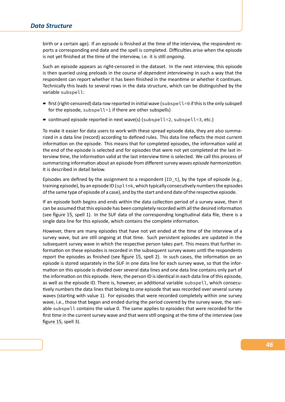birth or a certain age). If an episode is finished at the time of the interview, the respondent re‐ ports a corresponding end date and the spell is completed. Difficulties arise when the episode is not yet finished at the time of the interview, i.e. it is still *ongoing*.

Such an episode appears as right‐censored in the dataset. In the next interview, this episode is then queried using preloads in the course of *dependent interviewing* in such a way that the respondent can report whether it has been finished in the meantime or whether it continues. Technically this leads to several rows in the data structure, which can be distinguished by the variable subspell:

- first (right-censored) data row reported in initial wave (subspell=0 if this is the only subspell for the episode, subspell=1 if there are other subspells)
- continued episode reported in next wave(s) (subspell=2, subspell=3, etc.)

To make it easier for data users to work with these spread episode data, they are also summa‐ rized in a data line (record) according to defined rules. This data line reflects the most current information on the episode. This means that for completed episodes, the information valid at the end of the episode is selected and for episodes that were not yet completed at the last in‐ terview time, the information valid at the last interview time is selected. We call this process of summarizing information about an episode from different survey waves *episode harmonization*. It is described in detail below.

Episodes are defined by the assignment to a respondent  $(ID_t)$ , by the type of episode (e.g., training episode), by an episode ID (splink, which typically consecutively numbers the episodes of the same type of episode of a case), and by the start and end date of the respective episode.

If an episode both begins and ends within the data collection period of a survey wave, then it can be assumed that this episode has been completely recorded with all the desired information (see figure 15, spell 1). In the SUF data of the corresponding longitudinal data file, there is a single data line for this episode, which contains the complete information.

However, there are many episodes that have not yet ended at the time of the interview of a surv[ey wave, b](#page-51-0)ut are still ongoing at that time. Such persistent episodes are updated in the subsequent survey wave in which the respective person takes part. This means that further in‐ formation on these episodes is recorded in the subsequent survey waves until the respondents report the episodes as finished (see figure 15, spell 2). In such cases, the information on an episode is stored separately in the SUF in one data line for each survey wave, so that the infor‐ mation on this episode is divided over several data lines and one data line contains only part of the information on this episode. Here, the person ID is identical in each data line of this episode, as well as the episode ID. There is, h[owever, an](#page-51-0) additional variable subspell, which consecutively numbers the data lines that belong to one episode that was recorded over several survey waves (starting with value 1). For episodes that were recorded completely within one survey wave, i.e., those that began and ended during the period covered by the survey wave, the variable subspell contains the value 0. The same applies to episodes that were recorded for the first time in the current survey wave and that were still ongoing at the time of the interview (see figure 15, spell 3).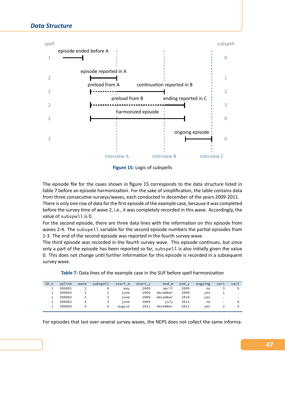<span id="page-51-0"></span>

**Figure 15:** Logic of subspells

The episode file for the cases shown in figure 15 corresponds to the data structure listed in table 7 before an episode harmonization. For the sake of simplification, the table contains data from three consecutive surveys/waves, each conducted in december of the years 2009‐2011.

There is only one row of data for the first episode of the example case, because it was completed before the survey time of wave 2, i.e., it [was compl](#page-51-0)etely recorded in this wave. Accordingly, the [value o](#page-51-1)f subspell is 0.

For the second episode, there are three data lines with the information on this episode from waves 2-4. The subspell variable for the second episode numbers the partial episodes from 1‐3. The end of the second episode was reported in the fourth survey wave.

The third episode was recorded in the fourth survey wave. This episode continues, but since only a part of the episode has been reported so far, subspell is also initially given the value 0. This does not change until further information for this episode is recorded in a subsequent survey wave.

| ID t | splink | wave | subspell | start m | start v | end m    | $end_y$ | ongoing | var1 | var2    |
|------|--------|------|----------|---------|---------|----------|---------|---------|------|---------|
|      | 300001 |      | 0        | max     | 2005    | april    | 2009    | no      |      |         |
|      | 300002 |      |          | iune    | 2009    | december | 2009    | ves     |      |         |
|      | 300002 |      | 2        | iune    | 2009    | december | 2010    | ves     |      | $\cdot$ |
|      | 300002 | 4    |          | iune    | 2009    | iulv     | 2011    | no      |      | 8       |
|      | 300003 | 4    | 0        | august  | 2011    | december | 2011    | ves     |      | 4       |
|      |        |      |          |         |         |          |         |         |      |         |

<span id="page-51-1"></span>**Table 7:** Data lines of the example case in the SUF before spell harmonization

For episodes that last over several survey waves, the NEPS does not collect the same informa-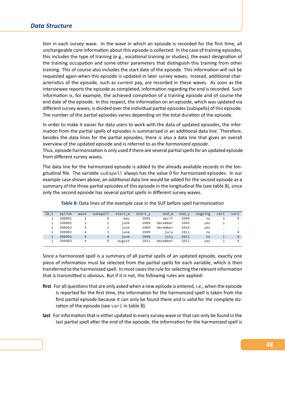tion in each survey wave. In the wave in which an episode is recorded for the first time, all unchangeable core information about this episode is collected. In the case of training episodes, this includes the type of training (e.g., vocational training or studies), the exact designation of the training occupation and some other parameters that distinguish this training from other training. This of course also includes the start date of the episode. This information will not be requested again when this episode is updated in later survey waves. Instead, additional char‐ acteristics of the episode, such as current pay, are recorded in these waves. As soon as the interviewee reports the episode as completed, information regarding the end is recorded. Such information is, for example, the achieved completion of a training episode and of course the end date of the episode. In this respect, the information on an episode, which was updated via different survey waves, is divided over the individual partial episodes (subspells) of this episode. The number of the partial episodes varies depending on the total duration of the episode.

In order to make it easier for data users to work with the data of updated episodes, the infor‐ mation from the partial spells of episodes is summarized in an additional data line. Therefore, besides the data lines for the partial episodes, there is also a data line that gives an overall overview of the updated episode and is referred to as the *harmonized episode*.

Thus, episode harmonization is only used if there are several partial spells for an updated episode from different survey waves.

The data line for the harmonized episode is added to the already available records in the lon‐ gitudinal file. The variable subspell always has the value 0 for harmonized episodes. In our example case shown above, an additional data line would be added for the second episode as a summary of the three partial episodes of this episode in the longitudinal file (see table 8), since only the second episode has several partial spells in different survey waves.

<span id="page-52-0"></span>**Table 8:** Data lines of the example case in the SUF before spell harmonization

| ID t | splink | wave | subspell | start m | start y | end m    | $end_y$ | ongoing | var1      | var2      |
|------|--------|------|----------|---------|---------|----------|---------|---------|-----------|-----------|
|      | 300001 |      | 0        | max     | 2005    | april    | 2009    | no      | 3         | 5         |
|      | 300002 |      | ᅩ        | june    | 2009    | december | 2009    | ves     |           | $\cdot$   |
|      | 300002 |      |          | june    | 2009    | december | 2010    | ves     | $\bullet$ | $\bullet$ |
|      | 300002 | 4    | 3        | june    | 2009    | iulv     | 2011    | no      |           | 8         |
|      | 300002 | 4    | $\Theta$ | june    | 2009    | july     | 2011    | no      |           | 8         |
|      | 300003 | 4    | 0        | august  | 2011    | december | 2011    | ves     | 2         | 4         |
|      |        |      |          |         |         |          |         |         |           |           |

Since a harmonized spell is a summary of all partial spells of an updated episode, exactly one piece of information must be selected from the partial spells for each variable, which is then transferred to the harmonized spell. In most cases the rule for selecting the relevant information that is transmitted is obvious. But if it is not, the following rules are applied:

- **first** For all questions that are only asked when a new episode is entered, i.e., when the episode is reported for the first time, the information for the harmonized spell is taken from the first partial episode because it can only be found there and is valid for the complete du‐ ration of the episode (see var1 in table 8).
- **last** For information that is either updated in every survey wave or that can only be found in the last partial spell after the end of the episode, the information for the harmonized spell is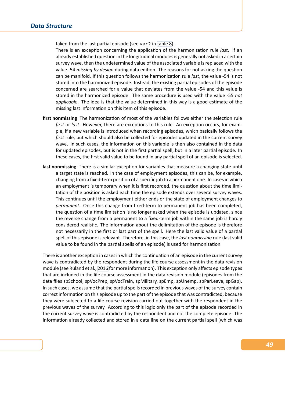taken from the last partial episode (see var2 in table 8).

There is an exception concerning the application of the harmonization rule *last*. If an already established question in the longitudinal modules is generally not asked in a certain survey wave, then the undetermined value of the associated variable is replaced with the value ‐54 *missing by design* during data edition. [The rea](#page-52-0)sons for not asking the question can be manifold. If this question follows the harmonization rule *last*, the value ‐54 is not stored into the harmonized episode. Instead, the existing partial episodes of the episode concerned are searched for a value that deviates from the value ‐54 and this value is stored in the harmonized episode. The same procedure is used with the value ‐55 *not applicable*. The idea is that the value determined in this way is a good estimate of the missing last information on this item of this episode.

- **first nonmissing** The harmonization of most of the variables follows either the selection rule *first* or *last*. However, there are exceptions to this rule. An exception occurs, for exam‐ ple, if a new variable is introduced when recording episodes, which basically follows the *first* rule, but which should also be collected for episodes updated in the current survey wave. In such cases, the information on this variable is then also contained in the data for updated episodes, but is not in the first partial spell, but in a later partial episode. In these cases, the first valid value to be found in any partial spell of an episode is selected.
- **last nonmissing** There is a similar exception for variables that measure a changing state until a target state is reached. In the case of employment episodes, this can be, for example, changing from a fixed‐term position of a specific job to a permanent one. In cases in which an employment is temporary when it is first recorded, the question about the time limitation of the position is asked each time the episode extends over several survey waves. This continues until the employment either ends or the state of employment changes to *permanent*. Once this change from fixed‐term to permanent job has been completed, the question of a time limitation is no longer asked when the episode is updated, since the reverse change from a permanent to a fixed-term job within the same job is hardly considered realistic. The information about the delimitation of the episode is therefore not necessarily in the first or last part of the spell. Here the last valid value of a partial spell of this episode is relevant. Therefore, in this case, the *last nonmissing* rule (last valid value to be found in the partial spells of an episode) is used for harmonization.

There is another exception in cases in which the continuation of an episode in the current survey wave is contradicted by the respondent during the life course assessment in the data revision module (see Ruland et al., 2016 for more information). This exception only affects episode types that are included in the life course assessment in the data revision module (episodes from the data files spSchool, spVocPrep, spVocTrain, spMilitary, spEmp, spUnemp, spParLeave, spGap). In such cases, we assume that the partial spells recorded in previous waves of the survey contain correct information on thi[s episo](#page-104-2)de up to the part of the episode that was contradicted, because they were subjected to a life course revision carried out together with the respondent in the previous waves of the survey. According to this logic only the part of the episode recorded in the current survey wave is contradicted by the respondent and not the complete episode. The information already collected and stored in a data line on the current partial spell (which was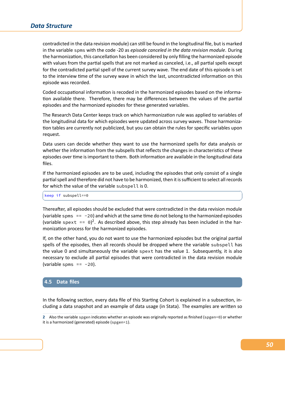contradicted in the data revision module) can still be found in the longitudinal file, but is marked in the variable spms with the code ‐20 as *episode canceled in the data revision module*. During the harmonization, this cancellation has been considered by only filling the harmonized episode with values from the partial spells that are not marked as canceled, i.e., all partial spells except for the contradicted partial spell of the current survey wave. The end date of this episode is set to the interview time of the survey wave in which the last, uncontradicted information on this episode was recorded.

Coded occupational information is recoded in the harmonized episodes based on the informa‐ tion available there. Therefore, there may be differences between the values of the partial episodes and the harmonized episodes for these generated variables.

The Research Data Center keeps track on which harmonization rule was applied to variables of the longitudinal data for which episodes were updated across survey waves. Those harmoniza‐ tion tables are currently not publicized, but you can obtain the rules for specific variables upon request.

Data users can decide whether they want to use the harmonized spells for data analysis or whether the information from the subspells that reflects the changes in characteristics of these episodes over time is important to them. Both information are available in the longitudinal data files.

If the harmonized episodes are to be used, including the episodes that only consist of a single partial spell and therefore did not have to be harmonized, then it is sufficient to select all records for which the value of the variable subspell is 0.

 $\sqrt{2}$ keep if subspell==0 ✝ ✆

Thereafter, all episodes should be excluded that were contradicted in the data revision module (variable spms  $== -20$ ) and which at the same time do not belong to the harmonized episodes (variable spext ==  $\theta$ )<sup>2</sup>. As described above, this step already has been included in the harmonization process for the harmonized episodes.

If, on the other hand, you do not want to use the harmonized episodes but the original partial spells of the episodes, then all records should be dropped where the variable subspell has the value 0 and simultaneously the variable spext has the value 1. Subsequently, it is also necessary to exclude all partial episodes that were contradicted in the data revision module (variable spms  $== -20$ ).

### <span id="page-54-0"></span>**4.5 Data files**

In the following section, every data file of this Starting Cohort is explained in a subsection, in‐ cluding a data snapshot and an example of data usage (in Stata). The examples are written so

**<sup>2</sup>** Also the variable spgen indicates whether an episode was originally reported as finished (spgen=0) or whether it is a harmonized (generated) episode (spgen=1).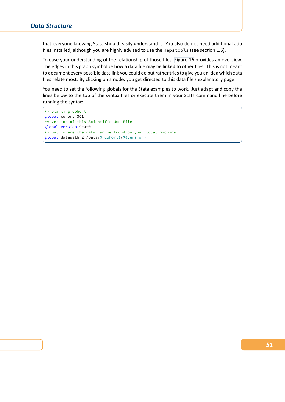that everyone knowing Stata should easily understand it. You also do not need additional ado files installed, although you are highly advised to use the nepstools (see section 1.6).

To ease your understanding of the relationship of those files, Figure 16 provides an overview. The edges in this graph symbolize how a data file may be linked to other files. This is not meant to document every possible data link you could do but rather tries to give yo[u an idea wh](#page-11-0)ich data files relate most. By clicking on a node, you get directed to thi[s data file'](#page-56-0)s explanatory page.

You need to set the following globals for the Stata examples to work. Just adapt and copy the lines below to the top of the syntax files or execute them in your Stata command line before running the syntax:

 $\sqrt{2}$   $\sqrt{2}$   $\sqrt{2}$   $\sqrt{2}$   $\sqrt{2}$   $\sqrt{2}$   $\sqrt{2}$   $\sqrt{2}$   $\sqrt{2}$   $\sqrt{2}$   $\sqrt{2}$   $\sqrt{2}$   $\sqrt{2}$   $\sqrt{2}$   $\sqrt{2}$   $\sqrt{2}$   $\sqrt{2}$   $\sqrt{2}$   $\sqrt{2}$   $\sqrt{2}$   $\sqrt{2}$   $\sqrt{2}$   $\sqrt{2}$   $\sqrt{2}$   $\sqrt{2}$   $\sqrt{2}$   $\sqrt{2}$   $\sqrt{2$ 

\*\* Starting Cohort global cohort SC1 \*\* version of this Scientific Use File global version 9-0-0 \*\* path where the data can be found on your local machine global datapath Z:/Data/\${cohort}/\${version} ✝ ✆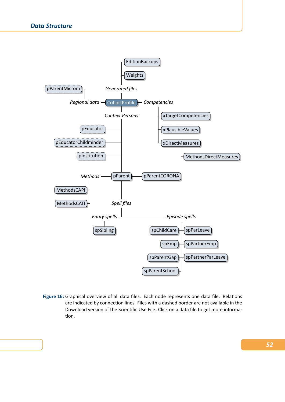<span id="page-56-0"></span>

**Figure 16:** Graphical overview of all data files. [Each node repre](#page-84-0)sents one data file. Relations are indicated by connection lines. Files with a dashed border are not available in the Download version of the Scientific Use File. Click on a data file to get more informa‐ tion.

# *52*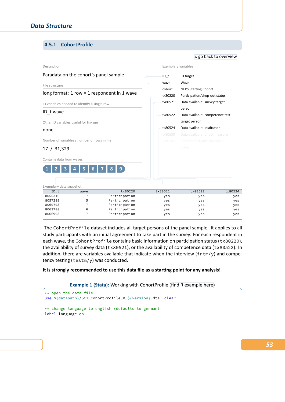# **4.5.1 CohortProfile**

### Description Paradata on the cohort's panel sample File structure long format: 1 row = 1 respondent in 1 wave ID variables needed to identify a single row ID\_t wave Other ID variables useful for linkage none Number of variables / number of rows in file 17 / 31,329 Contains data from waves **1 2 3 4 5 6 7 8 9** Exemplary variables ID\_t ID target wave Wave cohort NEPS Starting Cohort tx80220 Participation/drop‐out status tx80521 Data available: survey target person tx80522 Data available: competence test target person tx80524 Data available: institution Exemplary data snapshot ID\_t wave tx80220 tx80521 tx80522 tx80524 8055316 7 Participation yes yes yes 8057289 5 Participation yes yes yes 8060798 7 Participation yes yes yes 8063788 6 Participation yes yes yes 8066993 7 Participation yes yes yes

« go back to overview

The CohortProfile dataset includes all target persons of the panel sample. It applies to all study participants with an initial agreement to take part in the survey. For each respondent in each wave, the CohortProfile contains basic information on participation status (tx80220), the availability of survey data (tx80521), or the availability of competence data (tx80522). In addition, there are variables available that indicate when the interview (intm/y) and competency testing (testm/y) was conducted.

### **It is strongly recommended to use this data file as a starting point for any analysis!**

#### **Example 1 (Stata):** Working with CohortProfile (find R example here)

```
** open the data file
use ${datapath}/SC1_CohortProfile_D_${version}.dta, clear
** change language to english (defaults to german)
label language en
```
*53*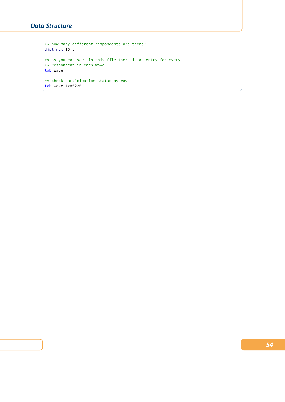# *Data Structure*

```
** how many different respondents are there?
distinct ID_t
** as you can see, in this file there is an entry for every
** respondent in each wave
tab wave
** check participation status by wave
tab wave tx80220
```
 $\begin{pmatrix} 1 & 0 & 0 \\ 0 & 0 & 0 \\ 0 & 0 & 0 \\ 0 & 0 & 0 \\ 0 & 0 & 0 \\ 0 & 0 & 0 \\ 0 & 0 & 0 & 0 \\ 0 & 0 & 0 & 0 \\ 0 & 0 & 0 & 0 \\ 0 & 0 & 0 & 0 \\ 0 & 0 & 0 & 0 & 0 \\ 0 & 0 & 0 & 0 & 0 \\ 0 & 0 & 0 & 0 & 0 & 0 \\ 0 & 0 & 0 & 0 & 0 & 0 \\ 0 & 0 & 0 & 0 & 0 & 0 & 0 \\ 0 & 0 & 0 & 0 & 0 & 0 & 0 \\ 0 &$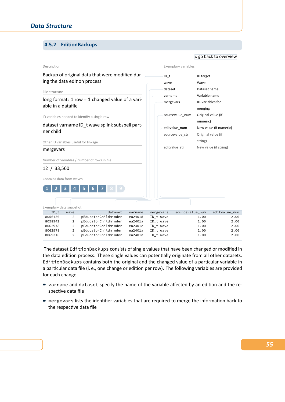# **4.5.2 EditionBackups**

#### <span id="page-59-0"></span>Description Backup of original data that were modified dur‐ ing the data edition process File structure long format: 1 row = 1 changed value of a vari‐ able in a datafile ID variables needed to identify a single row dataset varname ID t wave splink subspell partner child Other ID variables useful for linkage mergevars Number of variables / number of rows in file 12 / 33,560 Contains data from waves **1 2 3 4 5 6 7 8 9** Exemplary variables ID\_t ID target wave [Wave](#page-56-0) dataset Dataset name varname Variable name mergevars ID‐Variables for merging sourcevalue\_num Original value (if numeric) editvalue\_num New value (if numeric) sourcevalue\_str Original value (if string) editvalue\_str New value (if string) Exemplary data snapshot ID\_t wave dataset varname mergevars sourcevalue\_num editvalue\_num 8056430 2 pEducatorChildminder ea2401d ID\_t wave 1.00 2.00 8058942 2 pEducatorChildminder ea2401a ID\_t wave 1.00 2.00 81.00 2 pEducatorChildminder ea2401c ID\_t wave 1.00 8062978 2 pEducatorChildminder ea2401a ID\_t wave 1.00 2.00 8069316 2 pEducatorChildminder ea2401a ID\_t wave 1.00 2.00

« go back to overview

The dataset EditionBackups consists of single values that have been changed or modified in the data edition process. These single values can potentially originate from all other datasets. EditionBackups contains both the original and the changed value of a particular variable in a particular data file (i. e., one change or edition per row). The following variables are provided for each change:

- varname and dataset specify the name of the variable affected by an edition and the respective data file
- mergevars lists the identifier variables that are required to merge the information back to the respective data file

### *55*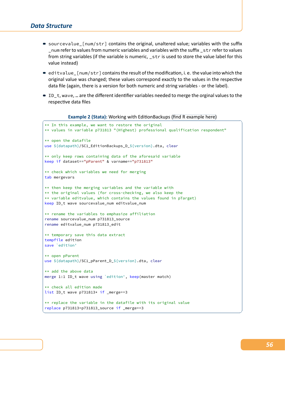- $\blacksquare$  sourcevalue  $\lceil$ num/str $\rceil$  contains the original, unaltered value; variables with the suffix \_num refer to values from numeric variables and variables with the suffix \_str refer to values from string variables (if the variable is numeric, \_str is used to store the value label for this value instead)
- $\bullet$  editvalue\_[num/str] contains the result of the modification, i.e. the value into which the original value was changed; these values correspond exactly to the values in the respective data file (again, there is a version for both numeric and string variables ‐ or the label).
- $\blacksquare$  ID\_t, wave, ... are the different identifier variables needed to merge the orginal values to the respective data files

**Example 2 (Stata):** Working with EditionBackups (find R example here)

```
** In this example, we want to restore the original
** values in variable p731813 "(Highest) professional qualification respondent"
** open the datafile
use ${datapath}/SC1_EditionBackups_D_${version}.dta, clear
** only keep rows containing data of the aforesaid variable
keep if dataset=="pParent" & varname=="p731813"
** check which variables we need for merging
tab mergevars
** then keep the merging variables and the variable with
** the original values (for cross-checking, we also keep the
** variable editvalue, which contains the values found in pTarget)
keep ID_t wave sourcevalue_num editvalue_num
** rename the variables to emphasize affiliation
rename sourcevalue_num p731813_source
rename editvalue_num p731813_edit
** temporary save this data extract
tempfile edition
save `edition'
** open pParent
use ${datapath}/SC1_pParent_D_${version}.dta, clear
** add the above data
merge 1:1 ID_t wave using `edition', keep(master match)
** check all edition made
list ID_t wave p731813* if _merge==3
** replace the variable in the datafile with its original value
replace p731813=p731813_source if _merge==3
```
 $\sqrt{2\pi}$   $\sqrt{2\pi}$   $\sqrt{2\pi}$   $\sqrt{2\pi}$   $\sqrt{2\pi}$   $\sqrt{2\pi}$   $\sqrt{2\pi}$   $\sqrt{2\pi}$   $\sqrt{2\pi}$   $\sqrt{2\pi}$   $\sqrt{2\pi}$   $\sqrt{2\pi}$   $\sqrt{2\pi}$   $\sqrt{2\pi}$   $\sqrt{2\pi}$   $\sqrt{2\pi}$   $\sqrt{2\pi}$   $\sqrt{2\pi}$   $\sqrt{2\pi}$   $\sqrt{2\pi}$   $\sqrt{2\pi}$   $\sqrt{2\pi}$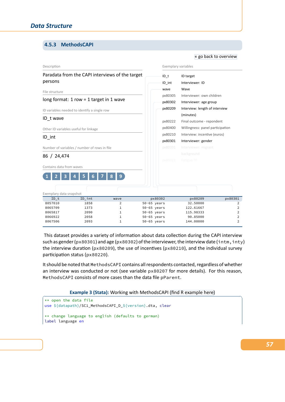# **4.5.3 MethodsCAPI**

#### Description Paradata from the CAPI interviews of the target persons File structure long format: 1 row = 1 target in 1 wave ID variables needed to identify a single row ID\_t wave Other ID variables useful for linkage ID\_int Number of variables / number of rows in file 86 / 24,474 Contains data from waves **1 2 3 4 5 6 7 8 9** Exemplary variables ID\_t ID target ID\_int Intervie[wer: ID](#page-56-0) wave Wave px80305 Interviewer: own children px80302 Interviewer: age group px80209 Interview: length of interview (minutes) px80222 Final outcome ‐ repondent px80400 Willingness: panel participation px80210 Interview: incentive (euros) px80301 Interviewer: gender Exemplary data snapshot ID\_t ID\_int wave px80302 px80209 px80301 8057010 1858 2 50-65 years 32.50000 2 8065709 1373 1 50-65 years 122.61667 2 8065817 2090 1 50-65 years 115.98333 2 8066922 2058 1 50-65 years 90.85000 2 8067506 2093 1 50-65 years 144.00000 2

« go back to overview

This dataset provides a variety of information about data collection during the CAPI interview such as gender (px80301) and age (px80302) of the interviewer, the interview date (intm, inty) the interview duration (px80209), the use of incentives (px80210), and the individual survey participation status (px80220).

It should be noted that MethodsCAPI contains all respondents contacted, regardless of whether an interview was conducted or not (see variable px80207 for more details). For this reason, MethodsCAPI consists of more cases than the data file pParent.

**Example 3 (Stata):** Working with MethodsCAPI (find R example here)

```
** open the data file
use ${datapath}/SC1_MethodsCAPI_D_${version}.dta, clear
** change language to english (defaults to german)
label language en
```
# *57*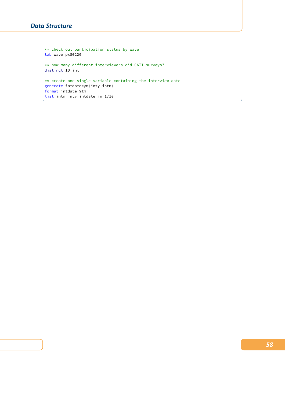# *Data Structure*

\*\* check out participation status by wave tab wave px80220 \*\* how many different interviewers did CATI surveys? distinct ID\_int \*\* create one single variable containing the interview date generate intdate=ym(inty,intm) format intdate %tm list intm inty intdate in 1/10 ✝ ✆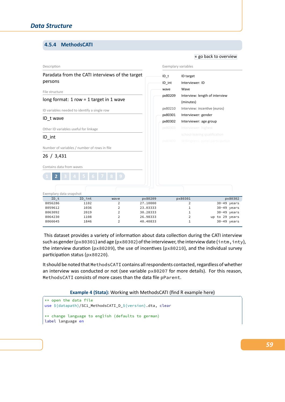# **4.5.4 MethodsCATI**

## Description Paradata from the CATI interviews of the target persons File structure long format: 1 row = 1 target in 1 wave ID variables needed to identify a single row ID\_t wave Other ID variables useful for linkage ID\_int Number of variables / number of rows in file 26 / 3,431 Contains data from waves Exemplary variables ID\_t ID target ID\_int Intervie[wer: ID](#page-56-0) wave Wave px80209 Interview: length of interview (minutes) px80210 Interview: incentive (euros) px80301 Interviewer: gender px80302 Interviewer: age group Exemplary data snapshot ID\_t ID\_int wave px80209 px80301 px80302 8056286 1102 2 27.10000 2 30-49 years 8059612 1036 2 23.03333 1 30-49 years 8063092 2019 2 30.28333 1 30-49 years 8064230 1108 2 26.98333 2 up to 29 years 8066645 1846 2 40.40833 1 30-49 years

« go back to overview

This dataset provides a variety of information about data collection during the CATI interview such as gender (px80301) and age (px80302) of the interviewer, the interview date (intm, inty), the interview duration (px80209), the use of incentives (px80210), and the individual survey participation status (px80220).

It should be noted that MethodsCATI contains all respondents contacted, regardless of whether an interview was conducted or not (see variable px80207 for more details). For this reason, MethodsCATI consists of more cases than the data file pParent.

**Example 4 (Stata):** Working with MethodsCATI (find R example here)

```
** open the data file
use ${datapath}/SC1_MethodsCATI_D_${version}.dta, clear
** change language to english (defaults to german)
label language en
```
*59*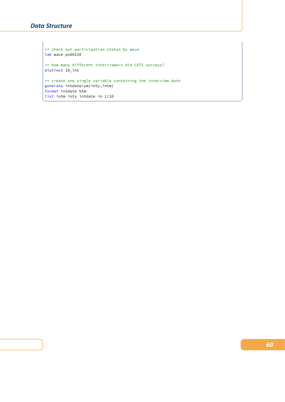# *Data Structure*

\*\* check out participation status by wave tab wave px80220 \*\* how many different interviewers did CATI surveys? distinct ID\_int \*\* create one single variable containing the interview date generate intdate=ym(inty,intm) format intdate %tm list intm inty intdate in 1/10 ✝ ✆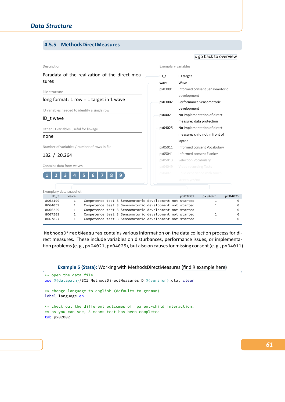### **4.5.5 MethodsDirectMeasures**

#### Description Paradata of the realization of the direct mea‐ sures File structure long format: 1 row = 1 target in 1 wave ID variables needed to identify a single row ID\_t wave Other ID variables useful for linkage none Number of variables / number of rows in file 182 / 20,264 Contains data from waves **1 2 3 4 5 6 7 8 9** Exemplary variables ID\_t ID target wave Wave px03001 Informed consent Sensomotoric development px03002 Performance Sensomotoric development px04021 No implementation of direct measure: data protection px04025 No implementation of direct measure: child not in front of laptop px05011 Informed consent Vocabulary px05041 Informed consent Flanker px05013 Selection Vocabulary Exemplary data snapshot ID\_t wave px03002 px04025<br>8062199 1 Competence test 3 Sensomotoric development not started 1 0 80621 1 Competence test 3 Sensomotoric development not started 1 0 8064059 1 Competence test 3 Sensomotoric development not started 1 0 8066229 1 Competence test 3 Sensomotoric development not started 1 0 8067509 1 Competence test 3 Sensomotoric development not started 1 0 8067827 1 Competence test 3 Sensomotoric development not started 1 0

« go back to overview

MethodsDirectMeasures contains various information on the data collection process for di‐ rect measures. These include variables on disturbances, performance issues, or implementa‐ tion problems (e. g., px04021, px04025), but also on causes for missing consent (e. g., px04011).

**Example 5 (Stata):** Working with MethodsDirectMeasures (find R example here)

```
** open the data file
use ${datapath}/SC1_MethodsDirectMeasures_D_${version}.dta, clear
** change language to english (defaults to german)
label language en
** check out the different outcomes of parent-child interaction.
** as you can see, 3 means test has been completed
tab px02002
```
*61*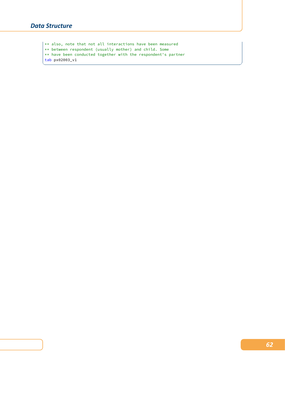$\vert \ast \ast$  also, note that not all interactions have been measured \*\* between respondent (usually mother) and child. Some \*\* have been conducted together with the respondent's partner tab px02003\_v1  $\overline{\phantom{a}}$   $\overline{\phantom{a}}$   $\overline{\phantom{a}}$   $\overline{\phantom{a}}$   $\overline{\phantom{a}}$   $\overline{\phantom{a}}$   $\overline{\phantom{a}}$   $\overline{\phantom{a}}$   $\overline{\phantom{a}}$   $\overline{\phantom{a}}$   $\overline{\phantom{a}}$   $\overline{\phantom{a}}$   $\overline{\phantom{a}}$   $\overline{\phantom{a}}$   $\overline{\phantom{a}}$   $\overline{\phantom{a}}$   $\overline{\phantom{a}}$   $\overline{\phantom{a}}$   $\overline{\$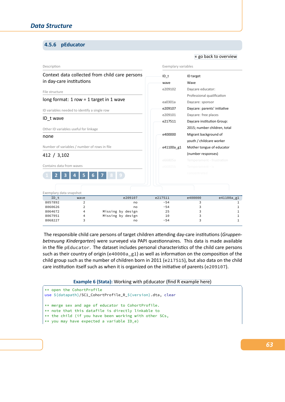### **4.5.6 pEducator**

#### <span id="page-67-0"></span>Description Context data collected from child care persons in day‐care institutions File structure long format: 1 row = 1 target in 1 wave ID variables needed to identify a single row ID\_t wave Other ID variables useful for linkage none Number of variables / number of rows in file 412 / 3,102 Contains data from waves **1 2 3 4 5 6 7 8 9** Exemplary variables ID\_t ID target wave Wav[e](#page-56-0) e209102 Daycare educator: Professional qualification ea0301a Daycare: sponsor e209107 Daycare: parents' initiative e209101 Daycare: free places e217511 Daycare institution Group: 2015; number children, total e400000 Migrant background of youth / childcare worker e41100a\_g1 Mother tongue of educator (number responses) Exemplary data snapshot ID\_t wave e209107 e217511 e400000 e41100a\_g1 8057892 2 no -54 3 1 8060626 2 no -54 3 1 8064672 4 Missing by design 25 3 1 8067951 4 Missing by design 10 3 1 8068227 3 3 no -54 3 1

The responsible child care persons of target children attending day‐care institutions (*Gruppen‐ betreuung Kindergarten*) were surveyed via PAPI questionnaires. This data is made available in the file pEducator. The dataset includes personal characteristics of the child care persons such as their country of origin (e40000a\_g1) as well as information on the composition of the child group such as the number of children born in 2011 (e217515), but also data on the child care institution itself such as when it is organized on the initiative of parents (e209107).

#### **Example 6 (Stata):** Working with pEducator (find R example here)

```
** open the CohortProfile
use ${datapath}/SC1_CohortProfile_R_${version}.dta, clear
** merge sex and age of educator to CohortProfile.
** note that this datafile is directly linkable to
** the child (if you have been working with other SCs,
** you may have expected a variable ID_e)
```
#### « go back to overview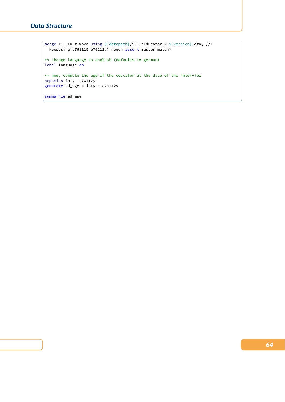```
merge 1:1 ID_t wave using ${datapath}/SC1_pEducator_R_${version}.dta, ///
 keepusing(e761110 e76112y) nogen assert(master match)
** change language to english (defaults to german)
label language en
** now, compute the age of the educator at the date of the interview
nepsmiss inty e76112y
generate ed_age = inty - e76112y
summarize ed_age
```
✝ ✆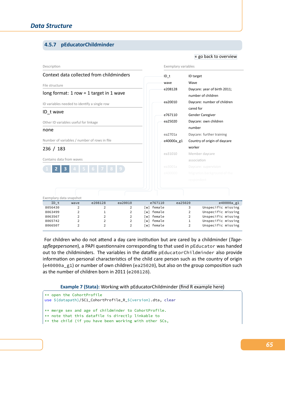# **4.5.7 pEducatorChildminder**

#### Description Context data collected from childminders File structure long format: 1 row = 1 target in 1 wave ID variables needed to identify a single row ID\_t wave Other ID variables useful for linkage none Number of variables / number of rows in file 236 / 183 Contains data from waves **1 2 3 4 5 6 7 8 9** Exemplary variables ID\_t ID target wave Wa[ve](#page-56-0) e208128 Daycare: year of birth 2011; number of children ea20010 Daycare: number of children cared for e767110 Gender Caregiver ea25020 Daycare: own children number ea2701a Daycare: further training e40000a\_g1 Country of origin of daycare worker ea31010 Member daycare association Exemplary data snapshot ID\_t wave e208128 ea20010 e767110 ea25020 e40000a\_g1 8056430 2 2 2 [w] female 3 Unspecific missing 8063499 2 1 2 [w] female 2 Unspecific missing 8063567 2 2 2 [w] female 2 Unspecific missing 8065742 2 2 2 [w] female 1 Unspecific missing 2 [w] female 2 Unspecific missing

For children who do not attend a day care institution but are cared by a childminder (*Tage‐ spflegepersonen*), a PAPI questionnaire corresponding to that used in pEducator was handed out to the childminders. The variables in the datafile pEducatorChildminder also provide information on personal characteristics of the child care person such as the country of origin (e40000a\_g1) or number of own children (ea25020), but also on the group composition such as the number of children born in 2011 (e208128).

#### **Example 7 (Stata):** Working with pEducatorChildminder (find R example here)

```
** open the CohortProfile
use ${datapath}/SC1_CohortProfile_R_${version}.dta, clear
** merge sex and age of childminder to CohortProfile.
** note that this datafile is directly linkable to
** the child (if you have been working with other SCs,
```
« go back to overview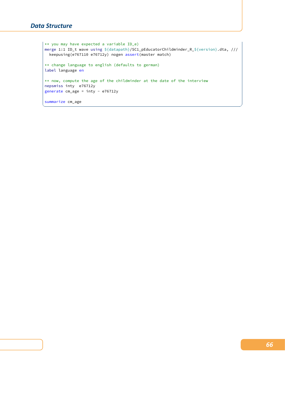\*\* you may have expected a variable ID\_e) merge 1:1 ID\_t wave using \${datapath}/SC1\_pEducatorChildminder\_R\_\${version}.dta, /// keepusing(e767110 e76712y) nogen assert(master match) \*\* change language to english (defaults to german) label language en \*\* now, compute the age of the childminder at the date of the interview nepsmiss inty e76712y generate cm\_age = inty - e76712y summarize cm\_age

✝ ✆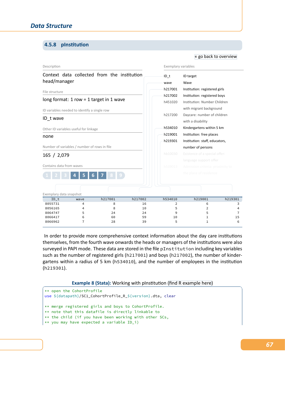# **4.5.8 pInstitution**

#### <span id="page-71-0"></span>Description Context data collected from the institution head/manager File structure long format: 1 row = 1 target in 1 wave ID variables needed to identify a single row ID\_t wave Other ID variables useful for linkage none Number of variables / number of rows in file 165 / 2,079 Contains data from waves **1 2 3 4 5 6 7 8 9** Exemplary variables ID\_t ID targ[et](#page-56-0) wave Wave h217001 Institution: registered girls h217002 Institution: registered boys h451020 Institution: Number Children with migrant background h217200 Daycare: number of children with a disability h534010 Kindergartens within 5 km h219001 Institution: free places h219301 Institution: staff, educators, number of persons Exemplary data snapshot ID\_t wave h217001 h217002 h534010 h219001 h219301 8055731 4 8 16 2 6 3 8056165 4 8 10 5 2 4 8064747 5 24 24 9 5 7 8066417 6 60 59 10 1 15 8066962 7 28 39 5 1 6

In order to provide more comprehensive context information about the day care institutions themselves, from the fourth wave onwards the heads or managers of the institutions were also surveyed in PAPI mode. These data are stored in the file pInstitution including key variables such as the number of registered girls (h217001) and boys (h217002), the number of kindergartens within a radius of 5 km (h534010), and the number of employees in the institution (h219301).

#### **Example 8 (Stata):** Working with pInstitution (find R example here)

```
** open the CohortProfile
use ${datapath}/SC1_CohortProfile_R_${version}.dta, clear
** merge registered girls and boys to CohortProfile.
** note that this datafile is directly linkable to
** the child (if you have been working with other SCs,
** you may have expected a variable ID_i)
```
« go back to overview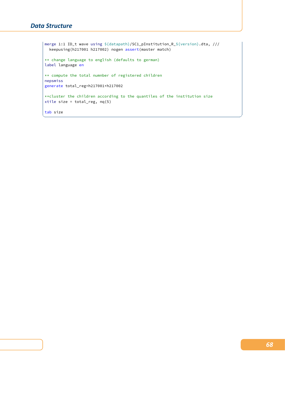```
merge 1:1 ID_t wave using ${datapath}/SC1_pInstitution_R_${version}.dta, ///
 keepusing(h217001 h217002) nogen assert(master match)
** change language to english (defaults to german)
label language en
** compute the total numnber of registered children
nepsmiss
generate total_reg=h217001+h217002
**cluster the children according to the quantiles of the institution size
xtile size = total_reg, nq(5)
tab size
```
 $\begin{pmatrix} 1 & 0 & 0 \\ 0 & 0 & 0 \\ 0 & 0 & 0 \\ 0 & 0 & 0 \\ 0 & 0 & 0 \\ 0 & 0 & 0 \\ 0 & 0 & 0 & 0 \\ 0 & 0 & 0 & 0 \\ 0 & 0 & 0 & 0 \\ 0 & 0 & 0 & 0 \\ 0 & 0 & 0 & 0 & 0 \\ 0 & 0 & 0 & 0 & 0 \\ 0 & 0 & 0 & 0 & 0 \\ 0 & 0 & 0 & 0 & 0 & 0 \\ 0 & 0 & 0 & 0 & 0 & 0 \\ 0 & 0 & 0 & 0 & 0 & 0 & 0 \\ 0 & 0 & 0 &$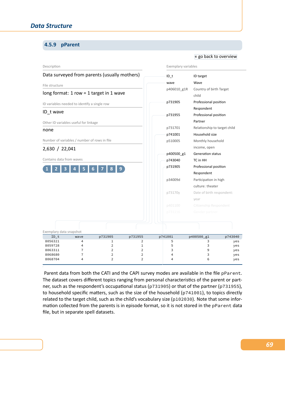### **4.5.9 pParent**

#### « go back to overview

| Description              |                                              |                                               |                   | Exemplary variables          |             |                                     |            |  |
|--------------------------|----------------------------------------------|-----------------------------------------------|-------------------|------------------------------|-------------|-------------------------------------|------------|--|
|                          |                                              | Data surveyed from parents (usually mothers)  |                   |                              | $ID_t$      | ID target                           |            |  |
| File structure           |                                              |                                               |                   |                              | wave        | Wave                                |            |  |
|                          |                                              | long format: $1$ row = $1$ target in $1$ wave |                   |                              | p406010 g1R | Country of birth Target<br>child    |            |  |
|                          | ID variables needed to identify a single row |                                               |                   |                              | p731905     | Professional position               |            |  |
| ID_t wave                |                                              |                                               |                   |                              | p731955     | Respondent<br>Professional position |            |  |
|                          | Other ID variables useful for linkage        |                                               |                   |                              |             | Partner                             |            |  |
| none                     |                                              |                                               |                   |                              | p731701     | Relationship to target child        |            |  |
|                          |                                              |                                               |                   |                              | p741001     | Household size                      |            |  |
|                          | Number of variables / number of rows in file |                                               |                   | p510005<br>Monthly household |             |                                     |            |  |
| 2,630 / 22,041           |                                              |                                               |                   |                              |             | income, open                        |            |  |
|                          |                                              |                                               |                   |                              | p400500_g1  | <b>Generation status</b>            |            |  |
| Contains data from waves |                                              |                                               |                   |                              | p743040     | TC in HH                            |            |  |
|                          |                                              |                                               |                   |                              | p731905     | Professional position               |            |  |
|                          |                                              |                                               |                   |                              |             | Respondent                          |            |  |
|                          |                                              |                                               |                   |                              | p34009d     | Participation in high               |            |  |
|                          |                                              |                                               |                   |                              |             | culture: theater                    |            |  |
|                          |                                              |                                               |                   |                              | p73170y     | Date of birth respondent:           |            |  |
|                          |                                              |                                               |                   |                              |             | year                                |            |  |
|                          |                                              |                                               |                   |                              | p401100     | Citizenship Respondent              |            |  |
|                          |                                              |                                               |                   |                              | p731116     | Gender partner                      |            |  |
| Exemplary data snapshot  |                                              |                                               |                   |                              |             |                                     |            |  |
| $ID_t$                   | wave                                         | p731905                                       | p731955           |                              | p741001     | p400500_g1                          | p743040    |  |
| 8056321<br>8059728       | 4<br>4                                       | 1<br>$\overline{2}$                           | 2<br>$\mathbf{1}$ |                              | 5<br>5      | 3<br>3                              | yes<br>yes |  |
| 8063311                  | 7                                            | $\overline{2}$                                | $\overline{2}$    |                              | 3           | 9                                   | yes        |  |
| 8068680                  | 7                                            | $\overline{2}$                                | $\overline{2}$    |                              | 4           | 3                                   | yes        |  |
| 8068704                  | 4                                            | $\overline{2}$                                | $\overline{2}$    |                              | 4           | 6                                   | yes        |  |

Parent data from both the CATI and the CAPI survey modes are available in the file pParent. The dataset covers different topics ranging from personal characteristics of the parent or part‐ ner, such as the respondent's occupational status (p731905) or that of the partner (p731955), to household specific matters, such as the size of the household (p741001), to topics directly related to the target child, such as the child's vocabulary size (p102030). Note that some infor‐ mation collected from the parents is in episode format, so it is not stored in the pParent data file, but in separate spell datasets.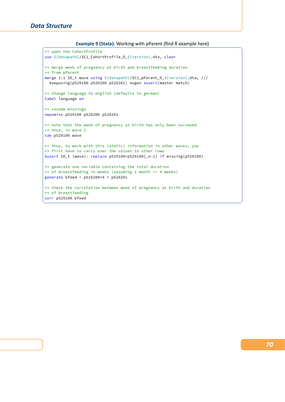#### **Example 9 (Stata):** Working with pParent (find R example here)

```
** open the CohortProfile
use ${datapath}/SC1_CohortProfile_D_${version}.dta, clear
** merge week of pregnancy at birth and breastfeeding duration
** from pParent
merge 1:1 ID_t wave using ${datapath}/SC1_pParent_D_${version}.dta, ///
  keepusing(p529100 p526200 p526201) nogen assert(master match)
** change language to english (defaults to german)
label language en
** recode missings
nepsmiss p529100 p526200 p526201
** note that the week of pregnancy at birth has only been surveyed
** once, in wave 1
tab p529100 wave
** thus, to work with this (static) information in other waves, you
** first have to carry over the values to other rows
bysort ID_t (wave): replace p529100=p529100[_n-1] if missing(p529100)
** generate one variable containing the total duration
** of breastfeeding in weeks (assuming 1 month == 4 weeks)
generate bfeed = p526200*4 + p526201
** check the correlation between week of pregnancy at birth and duration
** of breastfeeding
corr p529100 bfeed
✝ ✆
```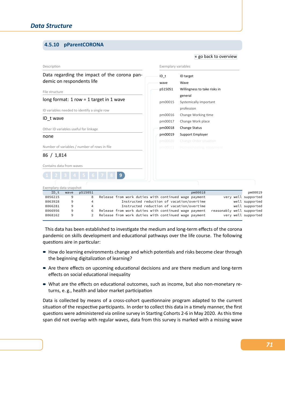# **4.5.10 pParentCORONA**

| Description                                   |        |         |  | Exemplary variables                                                                                          |                    |                                                   |                                   |                                           |         |                           |  |                     |
|-----------------------------------------------|--------|---------|--|--------------------------------------------------------------------------------------------------------------|--------------------|---------------------------------------------------|-----------------------------------|-------------------------------------------|---------|---------------------------|--|---------------------|
| demic on respondents life                     |        |         |  | Data regarding the impact of the corona pan-                                                                 |                    |                                                   | $ID$ t<br>wave                    | ID target<br>Wave                         |         |                           |  |                     |
| File structure                                |        |         |  |                                                                                                              |                    | p515051                                           | Willingness to take risks in      |                                           |         |                           |  |                     |
| long format: $1$ row = $1$ target in $1$ wave |        |         |  |                                                                                                              |                    | pm00015                                           | general<br>Systemically important |                                           |         |                           |  |                     |
| ID variables needed to identify a single row  |        |         |  |                                                                                                              |                    |                                                   |                                   | profession                                |         |                           |  |                     |
|                                               |        |         |  |                                                                                                              |                    |                                                   | pm00016                           | Change Working time                       |         |                           |  |                     |
| ID twave                                      |        |         |  |                                                                                                              |                    |                                                   | pm00017                           | Change Work place                         |         |                           |  |                     |
| Other ID variables useful for linkage         |        |         |  |                                                                                                              |                    |                                                   | pm00018                           | <b>Change Status</b>                      |         |                           |  |                     |
| none                                          |        |         |  |                                                                                                              | pm00019<br>pm00020 | Support Employer<br><b>Change Order situation</b> |                                   |                                           |         |                           |  |                     |
| Number of variables / number of rows in file  |        |         |  |                                                                                                              | pm00051            |                                                   | Homeschooling, equipment          |                                           |         |                           |  |                     |
| 86 / 1,814                                    |        |         |  |                                                                                                              |                    |                                                   |                                   |                                           |         |                           |  |                     |
| Contains data from waves                      |        |         |  |                                                                                                              |                    |                                                   |                                   |                                           |         |                           |  |                     |
|                                               |        |         |  | 9 <sup>1</sup>                                                                                               |                    |                                                   |                                   |                                           |         |                           |  |                     |
| Exemplary data snapshot                       |        |         |  |                                                                                                              |                    |                                                   |                                   |                                           |         |                           |  |                     |
| $ID_t$                                        | wave   | p515051 |  |                                                                                                              |                    |                                                   |                                   |                                           | pm00018 |                           |  | pm00019             |
| 8056215                                       | 9      | 8       |  | Release from work duties with continued wage payment                                                         |                    |                                                   |                                   |                                           |         |                           |  | very well supported |
| 8063928                                       | 9      | 4       |  |                                                                                                              |                    |                                                   |                                   | Instructed reduction of vacation/overtime |         |                           |  | well supported      |
| 8066281                                       | 9      | 4       |  |                                                                                                              |                    |                                                   |                                   | Instructed reduction of vacation/overtime |         |                           |  | well supported      |
| 8066956<br>8068162                            | 9<br>9 | 6<br>2  |  | Release from work duties with continued wage payment<br>Release from work duties with continued wage payment |                    |                                                   |                                   |                                           |         | reasonably well supported |  | very well supported |

« go back to overview

This data has been established to investigate the medium and long‐term effects of the corona pandemic on skills development and educational pathways over the life course. The following questions aire in particular:

- $\blacksquare$  How do learning environments change and which potentials and risks become clear through the beginning digitalization of learning?
- Are there effects on upcoming educational decisions and are there medium and long-term effects on social educational inequality
- What are the effects on educational outcomes, such as income, but also non-monetary returns, e. g., health and labor market participation

Data is collected by means of a cross‐cohort questionnaire program adapted to the current situation of the respective participants. In order to collect this data in a timely manner, the first questions were administered via online survey in Starting Cohorts 2‐6 in May 2020. As this time span did not overlap with regular waves, data from this survey is marked with a missing wave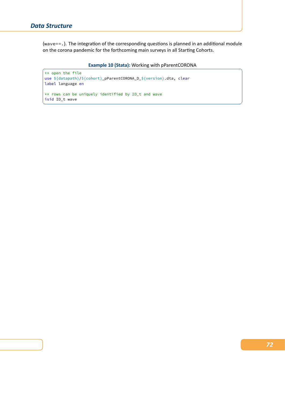(wave==.). The integration of the corresponding questions is planned in an additional module on the corona pandemic for the forthcoming main surveys in all Starting Cohorts.

### **Example 10 (Stata): Working with pParentCORONA**

✝ ✆

```
** open the file
use ${datapath}/${cohort}_pParentCORONA_D_${version}.dta, clear
label language en
** rows can be uniquely identified by ID_t and wave
isid ID_t wave
```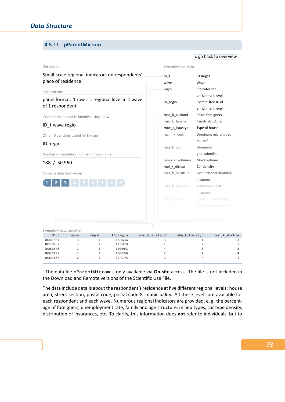# **4.5.11 pParentMicrom**

#### Description Small‐scale regional indicators on respondents' place of residence File structure panel format: 1 row = 1 regional level in 1 wave of 1 respondent ID variables needed to identify a single row ID\_t wave regio Other ID variables useful for linkage ID\_regio Number of variables / number of rows in file 188 / 50,960 Contains data from waves **1 2 3 4 5 6 7 8 9** Exemplary variables ID\_t ID target wave [Wave](#page-56-0) regio Indicator for enrichment level ID\_regio System‐free ID of enrichment level mso\_k\_ausland Share foreigners mso\_k\_familie Family structure mbe\_k\_haustyp Type of house mgm\_k\_dom Dominant microm geo milieu® mgs\_k\_dom Dominant geo‐submilieu mmo\_k\_volumen Move volume mpi\_k\_dichte Car density mas\_k\_berufsuv Occupational disability insurance mas\_k\_krankzuv Additional health insurance Exemplary data snapshot ID\_t wave regio ID\_regio mso\_k\_ausland mbe\_k\_haustyp mpi\_k\_dichte 8055267 3 1 150636 6 1 3 8057067 2 1 118920 1 2 7 8062846 1 1 100053 4 3 3 3 8067293 2 1 100269 7 4 4 8068174 2 1 119795 6 5 4

The data file pParentMicrom is only available via **On‐site** access. The file is not included in the Download and Remote versions of the Scientific Use File.

The data include details about the respondent's residence at five different regional levels: house area, street section, postal code, postal code 8, municipality. All these levels are available for each respondent and each wave. Numerous regional indicators are provided, e. g. the percent‐ age of foreigners, unemployment rate, family and age structure, milieu types, car type density, distribution of insurances, etc. To clarify, this information does **not** refer to individuals, but to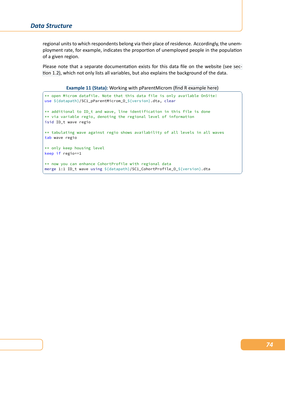regional units to which respondents belong via their place of residence. Accordingly, the unem‐ ployment rate, for example, indicates the proportion of unemployed people in the population of a given region.

Please note that a separate documentation exists for this data file on the website (see sec‐ tion 1.2), which not only lists all variables, but also explains the background of the data.

**Example 11 (Stata):** Working with pParentMicrom (find R example here)

```
** open Microm datafile. Note that this data file is only available OnSite!
use ${datapath}/SC1_pParentMicrom_O_${version}.dta, clear
** additional to ID_t and wave, line identification in this file is done
** via variable regio, denoting the regional level of information
isid ID_t wave regio
** tabulating wave against regio shows availability of all levels in all waves
tab wave regio
** only keep housing level
keep if regio==1
** now you can enhance CohortProfile with regional data
merge 1:1 ID_t wave using ${datapath}/SC1_CohortProfile_O_${version}.dta
✝ ✆
```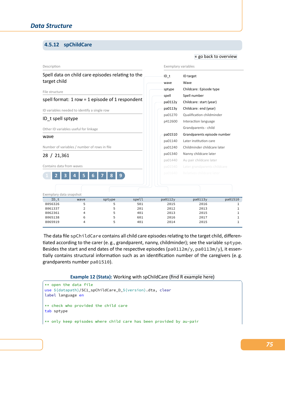# **4.5.12 spChildCare**

#### Description Spell data on child care episodes relating to the target child File structure spell format: 1 row = 1 episode of 1 respondent ID variables needed to identify a single row ID\_t spell sptype Other ID variables useful for linkage wave Number of variables / number of rows in file 28 / 21,361 Contains data from waves **1 2 3 4 5 6 7 8 9** Exemplary variables ID\_t ID targ[et](#page-56-0) wave Wave sptype Childcare: Episode type spell Spell number pa0112y Childcare: start (year) pa0113y Childcare: end (year) pa01270 Qualification childminder p412600 Interaction language Grandparents ‐ child pa01510 Grandparents episode number pa01140 Later institution care pa01240 Childminder childcare later pa01340 Nanny childcare later pa01440 Au pair childcare later Exemplary data snapshot ID\_t wave sptype spell pa0112y pa0113y pa01510 8056326 5 5 501 2015 2016 1 8061337 2 5 201 2012 2013 1 8062361 4 5 401 2013 2015 1 8065138 6 5 601 2016 2017 1 8065919 4 5 401 2014 2015 1

The data file spChildCare contains all child care episodes relating to the target child, differentiated according to the carer (e. g., grandparent, nanny, childminder); see the variable sptype. Besides the start and end dates of the respective episodes (pa0112m/y, pa0113m/y), it essentially contains structural information such as an identification number of the caregivers (e. g. grandparents number pa01510).

#### **Example 12 (Stata):** Working with spChildCare (find R example here)

```
** open the data file
use ${datapath}/SC1_spChildCare_D_${version}.dta, clear
label language en
** check who provided the child care
tab sptype
** only keep episodes where child care has been provided by au-pair
```
*75*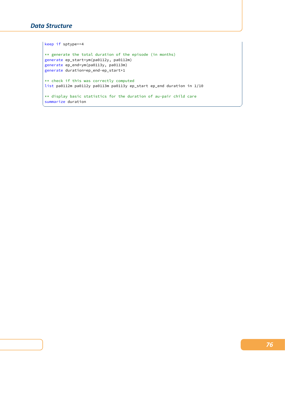# *Data Structure*

```
keep if sptype==4
** generate the total duration of the episode (in months)
generate ep_start=ym(pa0112y, pa0112m)
generate ep_end=ym(pa0113y, pa0113m)
generate duration=ep_end-ep_start+1
** check if this was correctly computed
list pa0112m pa0112y pa0113m pa0113y ep_start ep_end duration in 1/10
** display basic statistics for the duration of au-pair child care
summarize duration
```
✝ ✆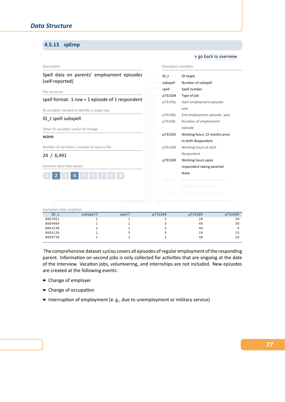# **4.5.13 spEmp**

#### Description Spell data on parents' employment episodes (self‐reported) File structure spell format: 1 row = 1 episode of 1 respondent ID variables needed to identify a single row ID\_t spell subspell Other ID variables useful for linkage wave Number of variables / number of rows in file 24 / 6,491 Contains data from waves **1 2 3 4 5 6 7 8 9** Exemplary variables ID\_t ID target subspell Number [of subspell](#page-56-0) spell Spell number p731504 Type of job p73159y Start employment episode: year p73158y End employment episode: year p73158c Duration of employment episode p731505 Working hours 12 months prior to birth Respondent p731506 Working hours at start Respondent p731509 Working hours upon respondent taking parental leave Exemplary data snapshot ID\_t subspell spell p731504 p731505 p731509  $8067951$  1 1 2 28 20  $8064484$  and  $1$  and  $1$  and  $1$  and  $3$  and  $40$  and  $30$  $8061236$  1 1 1 2 40 4 8055120 1 3 5 10 15  $8059730$  1 1  $1$  1  $40$  20

« go back to overview

The comprehensive dataset spEmp covers all episodes of regular employment of the responding parent. Information on second jobs is only collected for activities that are ongoing at the date of the interview. Vacation jobs, volunteering, and internships are not included. New episodes are created at the following events:

- Change of employer
- Change of occupation
- Interruption of employment (e.g., due to unemployment or military service)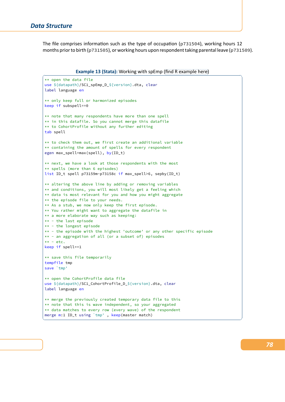The file comprises information such as the type of occupation (p731504), working hours 12 months prior to birth (p731505), or working hours upon respondent taking parental leave (p731509).

**Example 13 (Stata):** Working with spEmp (find R example here)

```
** open the data file
use ${datapath}/SC1_spEmp_D_${version}.dta, clear
label language en
** only keep full or harmonized episodes
keep if subspell==0
** note that many respondents have more than one spell
** in this datafile. So you cannot merge this datafile
** to CohortProfile without any further editing
tab spell
** to check them out, we first create an additional variable
** containing the amount of spells for every respondent
egen max_spell=max(spell), by(ID_t)
** next, we have a look at those respondents with the most
** spells (more than 6 episodes)
list ID_t spell p73159m-p73158c if max_spell>6, sepby(ID_t)
** altering the above line by adding or removing variables
** and conditions, you will most likely get a feeling which
** data is most relevant for you and how you might aggregate
** the episode file to your needs.
** As a stub, we now only keep the first episode.
** You rather might want to aggregate the datafile in
** a more elaborate way such as keeping:
** - the last episode
** - the longest episode
** - the episode with the highest 'outcome' or any other specific episode
** - an aggregation of all (or a subset of) episodes
** - etc.keep if spell==1
** save this file temporarily
tempfile tmp
save `tmp'
** open the CohortProfile data file
use ${datapath}/SC1_CohortProfile_D_${version}.dta, clear
label language en
** merge the previously created temporary data file to this
** note that this is wave independent, so your aggregated
** data matches to every row (every wave) of the respondent
merge m:1 ID_t using `tmp' , keep(master match)
✝ ✆
```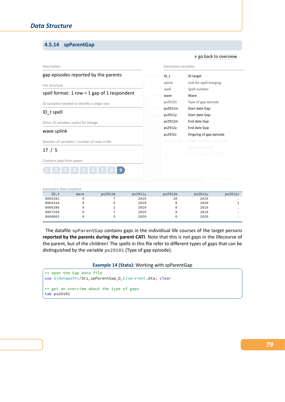# **4.5.14 spParentGap**

### Description gap episodes reported by the parents File structure spell format:  $1$  row =  $1$  gap of  $1$  respondent ID variables needed to identify a single row ID\_t spell Other ID variables useful for linkage wave splink Number of variables / number of rows in file 17 / 5 Contains data from waves **1 2 3 4 5 6 7 8 9** Exemplary variables ID\_t ID target splink Link [for spell merging](#page-56-0) spell Spell number wave Wave ps29101 Type of gap episode ps2911m Start date Gap ps2911y Start date Gap ps2912m End date Gap ps2912y End date Gap ps2912c Ongoing of gap episode Exemplary data snapshot ID\_t wave ps2911m ps2911y ps2912m ps2912y ps2912c 8064281 9 7 2019 10 2019 . 8064318 9 6 2020 8 2020 1 8066386 9 2 2019 8 2019 . 8067260 9 7 2019 9 2019 . 8068603 9 3 2020 6 2020 .

« go back to overview

The datafile spParentGap contains gaps in the individiual life courses of the target persons **reported by the parents during the parent CATI**. Note that this is not gaps in the lifecourse of the parent, but of the children! The spells in this file refer to different types of gaps that can be distinguished by the variable ps29101 (Type of gap episode).

### **Example 14 (Stata): Working with spParentGap**

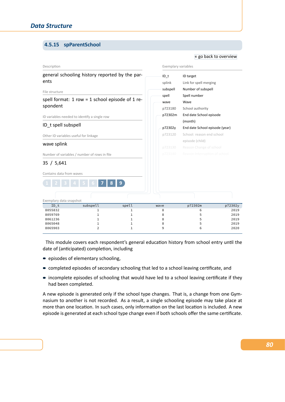# **4.5.15 spParentSchool**

#### « go back to overview

| Description                                                  |                                                                                                 |                       | Exemplary variables                                                                                        |                                                                        |                                      |  |  |
|--------------------------------------------------------------|-------------------------------------------------------------------------------------------------|-----------------------|------------------------------------------------------------------------------------------------------------|------------------------------------------------------------------------|--------------------------------------|--|--|
| ents                                                         | general schooling history reported by the par-                                                  |                       | $ID$ t<br>splink<br>subspell                                                                               | ID target<br>Link for spell merging<br>Number of subspell              |                                      |  |  |
| File structure<br>spondent                                   | spell format: 1 row = 1 school episode of 1 re-<br>ID variables needed to identify a single row |                       | Spell number<br>spell<br>Wave<br>wave<br>School authority<br>p723180<br>p72302m<br>End date School episode |                                                                        |                                      |  |  |
| ID_t spell subspell<br>Other ID variables useful for linkage |                                                                                                 |                       | p72302y<br>p723120                                                                                         | (month)<br>End date School episode (year)<br>School: reason end school |                                      |  |  |
| wave splink                                                  | Number of variables / number of rows in file                                                    |                       | episode (child)<br>p723130<br>Reason Change of school<br>p723140<br>Reason Interruption of school          |                                                                        |                                      |  |  |
| 35 / 5,641<br>Contains data from waves                       |                                                                                                 | 9                     |                                                                                                            |                                                                        |                                      |  |  |
| Exemplary data snapshot<br>$ID_t$                            | subspell                                                                                        | spell                 | wave                                                                                                       | p72302m                                                                | p72302y                              |  |  |
| 8055832<br>8059769<br>8061236<br>8065048<br>8065903          | 1<br>1<br>1<br>1<br>$\overline{2}$                                                              | 1<br>1<br>1<br>1<br>1 | 8<br>8<br>8<br>8<br>9                                                                                      | 6<br>5<br>5<br>5<br>6                                                  | 2019<br>2019<br>2019<br>2019<br>2020 |  |  |

This module covers each respondent's general education history from school entry until the date of (anticipated) completion, including

- **e** episodes of elementary schooling,
- completed episodes of secondary schooling that led to a school leaving certificate, and
- incomplete episodes of schooling that would have led to a school leaving certificate if they had been completed.

A new episode is generated only if the school type changes. That is, a change from one Gym‐ nasium to another is not recorded. As a result, a single schooling episode may take place at more than one location. In such cases, only information on the last location is included. A new episode is generated at each school type change even if both schools offer the same certificate.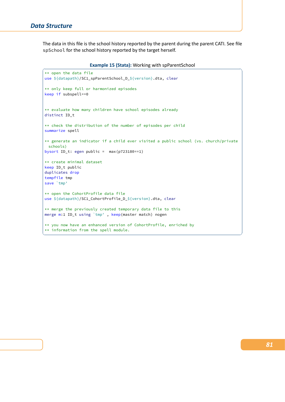The data in this file is the school history reported by the parent during the parent CATI. See file spSchool for the school history reported by the target herself.

| <b>Example 15 (Stata): Working with spParentSchool</b> |  |
|--------------------------------------------------------|--|
|                                                        |  |

```
** open the data file
use ${datapath}/SC1_spParentSchool_D_${version}.dta, clear
** only keep full or harmonized episodes
keep if subspell==0
** evaluate how many children have school episodes already
distinct ID_t
** check the distribution of the number of episodes per child
summarize spell
** generate an indicator if a child ever visited a public school (vs. church/private
 schools)
bysort ID_t: egen public = max(p723180==1)
** create minimal dataset
keep ID_t public
duplicates drop
tempfile tmp
save `tmp'
** open the CohortProfile data file
use ${datapath}/SC1_CohortProfile_D_${version}.dta, clear
** merge the previously created temporary data file to this
merge m:1 ID_t using `tmp' , keep(master match) nogen
** you now have an enhanced version of CohortProfile, enriched by
** information from the spell module.
✝ ✆
```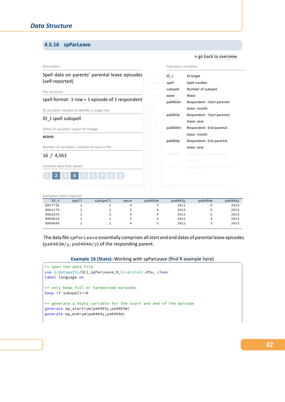# **4.5.16 spParLeave**

### Description Spell data on parents' parental leave episodes (self‐reported) File structure spell format: 1 row = 1 episode of 1 respondent ID variables needed to identify a single row ID\_t spell subspell Other ID variables useful for linkage wave Number of variables / number of rows in file 16 / 4,563 Contains data from waves **1 2 3 4 5 6 7 8 9** Exemplary variables ID\_t ID target spell Spell [number](#page-56-0) subspell Number of subspell wave Wave pa0403m Respondent ‐ Start parental leave: month pa0403y Respondent ‐ Start parental leave: year pa0404m Respondent: End parental leave: month pa0404y Respondent: End parental leave: year Exemplary data snapshot ID\_t spell subspell wave pa0403m pa0403y pa0404m pa0404y 8057736 1 2 4 7 2012 5 2014 8061175 1 1 2 8 2012 6 2013 8062876 1 2 4 4 2012 2 2015 8066018 1 1 2 4 2012 4 2013 8069649 1 2 4 3 2012 3 2015

« go back to overview

The data file spParLeave essentially comprises all start and end dates of parental leave episodes (pa0403m/y, pa0404m/y) of the responding parent.

**Example 16 (Stata):** Working with spParLeave (find R example here)

```
** open the data file
use ${datapath}/SC1_spParLeave_D_${version}.dta, clear
label language en
** only keep full or harmonized episodes
keep if subspell==0
** generate a Stata variable for the start and end of the episode
generate ep_start=ym(pa0403y,pa0403m)
generate ep_end=ym(pa0404y,pa0404m)
```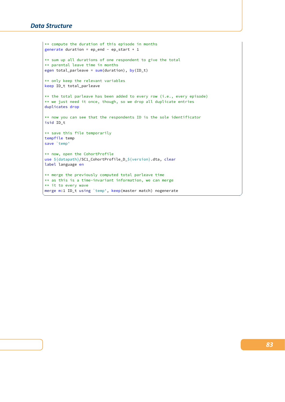```
** compute the duration of this episode in months
generate duration = ep\_end - ep\_start + 1** sum up all durations of one respondent to give the total
** parental leave time in months
egen total_parleave = sum(duration), by(ID_t)
** only keep the relevant variables
keep ID_t total_parleave
** the total parleave has been added to every row (i.e., every episode)
** we just need it once, though, so we drop all duplicate entries
duplicates drop
** now you can see that the respondents ID is the sole identificator
isid ID_t
** save this file temporarily
tempfile temp
save 'temp'
** now, open the CohortProfile
use ${datapath}/SC1_CohortProfile_D_${version}.dta, clear
label language en
** merge the previously computed total parleave time
** as this is a time-invariant information, we can merge
** it to every wave
merge m:1 ID_t using `temp', keep(master match) nogenerate
```
✝ ✆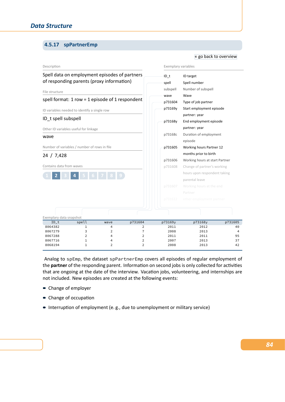# **4.5.17 spPartnerEmp**

| Description              |                                                                                            |                     |                                  | Exemplary variables                                |                                |         |  |  |
|--------------------------|--------------------------------------------------------------------------------------------|---------------------|----------------------------------|----------------------------------------------------|--------------------------------|---------|--|--|
|                          | Spell data on employment episodes of partners<br>of responding parents (proxy information) |                     |                                  | $ID$ t<br>spell                                    | ID target<br>Spell number      |         |  |  |
| File structure           |                                                                                            |                     |                                  | subspell                                           | Number of subspell             |         |  |  |
|                          |                                                                                            |                     |                                  | wave                                               | Wave                           |         |  |  |
|                          | spell format: 1 row = 1 episode of 1 respondent                                            |                     |                                  | p731604                                            | Type of job partner            |         |  |  |
|                          | ID variables needed to identify a single row                                               |                     |                                  | p73169y                                            | Start employment episode       |         |  |  |
| ID_t spell subspell      |                                                                                            |                     |                                  | partner: year<br>p73168y<br>End employment episode |                                |         |  |  |
|                          | Other ID variables useful for linkage                                                      |                     |                                  |                                                    |                                |         |  |  |
| wave                     |                                                                                            |                     |                                  | p73168c                                            | Duration of employment         |         |  |  |
|                          |                                                                                            |                     |                                  |                                                    | episode                        |         |  |  |
|                          | Number of variables / number of rows in file                                               |                     |                                  | p731605                                            | Working hours Partner 12       |         |  |  |
| 24 / 7,428               |                                                                                            |                     |                                  |                                                    | months prior to birth          |         |  |  |
|                          |                                                                                            |                     |                                  | p731606                                            | Working hours at start Partner |         |  |  |
| Contains data from waves |                                                                                            |                     |                                  | p731608                                            | Change of partner's working    |         |  |  |
|                          |                                                                                            | 4 5 6 7 8 9         |                                  |                                                    | hours upon respondent taking   |         |  |  |
|                          |                                                                                            |                     |                                  |                                                    | parental leave                 |         |  |  |
|                          |                                                                                            |                     |                                  | p731607                                            | Working hours at the end       |         |  |  |
|                          |                                                                                            |                     |                                  |                                                    | Partner                        |         |  |  |
|                          |                                                                                            |                     |                                  | p731612                                            | other employment partner       |         |  |  |
| Exemplary data snapshot  |                                                                                            |                     |                                  |                                                    |                                |         |  |  |
| ID t                     | spell                                                                                      | wave                | p731604                          | p73169y                                            | p73168y                        | p731605 |  |  |
| 8064382                  | 1                                                                                          | 4                   | 2                                | 2011                                               | 2012                           | 40      |  |  |
| 8067279<br>8067288       | 3<br>$\overline{2}$                                                                        | $\overline{2}$<br>4 | $\overline{7}$<br>$\overline{2}$ | 2008<br>2011                                       | 2013<br>2011                   | 4<br>95 |  |  |
| 8067716                  | $\mathbf{1}$                                                                               | $\overline{4}$      | $\overline{2}$                   | 2007                                               | 2013                           | 37      |  |  |
| 8068194                  | $\mathbf{1}$                                                                               | $\overline{2}$      | $\overline{2}$                   | 2008                                               | 2013                           | 42      |  |  |

« go back to overview

Analog to spEmp, the dataset spPartnerEmp covers all episodes of regular employment of the **partner** of the responding parent. Information on second jobs is only collected for activities that are ongoing at the date of the interview. Vacation jobs, volunteering, and internships are not included. New episodes are created at the following events:

- Change of employer
- Change of occupation
- Interruption of employment (e.g., due to unemployment or military service)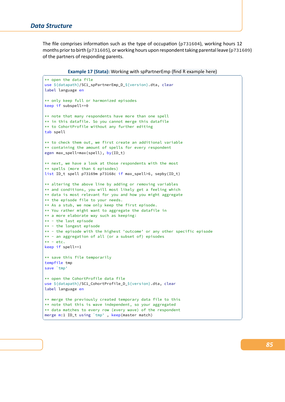The file comprises information such as the type of occupation (p731604), working hours 12 months prior to birth (p731605), or working hours upon respondent taking parental leave (p731609) of the partners of responding parents.

**Example 17 (Stata):** Working with spPartnerEmp (find R example here)

```
** open the data file
use ${datapath}/SC1_spPartnerEmp_D_${version}.dta, clear
label language en
** only keep full or harmonized episodes
keep if subspell==0
** note that many respondents have more than one spell
** in this datafile. So you cannot merge this datafile
** to CohortProfile without any further editing
tab spell
** to check them out, we first create an additional variable
** containing the amount of spells for every respondent
egen max_spell=max(spell), by(ID_t)
** next, we have a look at those respondents with the most
** spells (more than 6 episodes)
list ID_t spell p73169m p73168c if max_spell>6, sepby(ID_t)
** altering the above line by adding or removing variables
** and conditions, you will most likely get a feeling which
** data is most relevant for you and how you might aggregate
** the episode file to your needs.
** As a stub, we now only keep the first episode.
** You rather might want to aggregate the datafile in
** a more elaborate way such as keeping:
** - the last episode
** - the longest episode
** - the episode with the highest 'outcome' or any other specific episode
** - an aggregation of all (or a subset of) episodes
** - etc.keep if spell==1
** save this file temporarily
tempfile tmp
save `tmp'
** open the CohortProfile data file
use ${datapath}/SC1_CohortProfile_D_${version}.dta, clear
label language en
** merge the previously created temporary data file to this
** note that this is wave independent, so your aggregated
** data matches to every row (every wave) of the respondent
merge m:1 ID_t using `tmp' , keep(master match)
✝ ✆
```
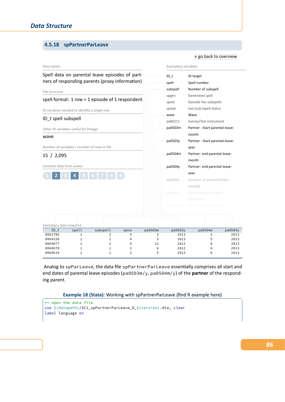# **4.5.18 spPartnerParLeave**

### Description Spell data on parental leave episodes of part‐ ners of responding parents (proxy information) File structure spell format: 1 row = 1 episode of 1 respondent ID variables needed to identify a single row ID\_t spell subspell Other ID variables useful for linkage wave Number of variables / number of rows in file 15 / 2,095 Contains data from waves **1 2 3 4 5 6 7 8 9** Exemplary variables ID\_t ID target spell Spel[l number](#page-56-0) subspell Number of subspell spgen Generated spell spext Episode has subspells spstat last (sub-)spell status wave Wave px80211 Survey/Test instrument pa0503m Partner ‐ Start parental leave: month pa0503y Partner ‐ Start parental leave: year pa0504m Partner: end parental leave: month pa0504y Partner: end parental leave: year pa0504c Duration of parental leave episode Exemplary data snapshot ID\_t spell subspell wave pa0503m pa0503y pa0504m pa0504y 8062785 1 2 4 3 2013 5 2013 8064338 1 2 4 3 2013 5 2013 8064877 1 2 4 12 2012 8 2013 8068678 1 1 2 6 2012 6 2013 8069619 1 1 2 5 2013 6 2013

« go back to overview

Analog to spParLeave, the data file spPartnerParLeave essentially comprises all start and end dates of parental leave episodes (pa0503m/y, pa0504m/y) of the **partner** of the respond‐ ing parent.

**Example 18 (Stata):** Working with spPartnerParLeave (find R example here)

```
** open the data file
use ${datapath}/SC1_spPartnerParLeave_D_${version}.dta, clear
label language en
```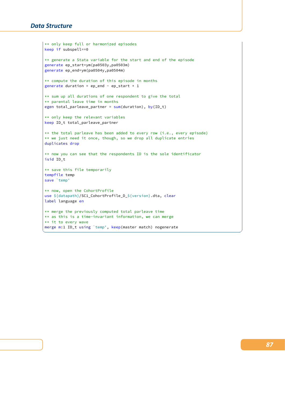```
** only keep full or harmonized episodes
keep if subspell==0
** generate a Stata variable for the start and end of the episode
generate ep_start=ym(pa0503y,pa0503m)
generate ep_end=ym(pa0504y,pa0504m)
** compute the duration of this episode in months
generate duration = ep\_end - ep\_start + 1** sum up all durations of one respondent to give the total
** parental leave time in months
egen total_parleave_partner = sum( duration), by(ID_t)** only keep the relevant variables
keep ID_t total_parleave_partner
** the total parleave has been added to every row (i.e., every episode)
** we just need it once, though, so we drop all duplicate entries
duplicates drop
** now you can see that the respondents ID is the sole identificator
isid ID_t
** save this file temporarily
tempfile temp
save 'temp'
** now, open the CohortProfile
use ${datapath}/SC1_CohortProfile_D_${version}.dta, clear
label language en
** merge the previously computed total parleave time
** as this is a time-invariant information, we can merge
** it to every wave
merge m:1 ID_t using `temp', keep(master match) nogenerate
```
✝ ✆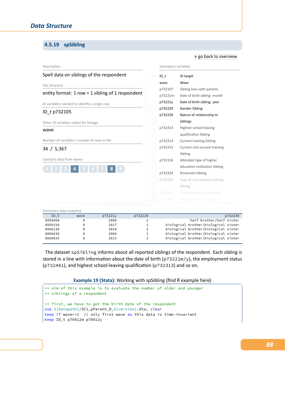### **4.5.19 spSibling**

#### Description Spell data on siblings of the respondent File structure entity format:  $1$  row =  $1$  sibling of  $1$  respondent ID variables needed to identify a single row ID\_t p732105 Other ID variables useful for linkage wave Number of variables / number of rows in file 34 / 5,367 Contains data from waves **1 2 3 4 5 6 7 8 9** Exemplary variables ID\_t ID target wave Wave p732107 Sibling lives with parents p73221m Date of birth sibling: month p73221y Date of birth sibling: year p732220 Gender Sibling p732230 Nature of relationship to siblings p732313 Highest school‐leaving qualification Sibling p732314 Current training Sibling p732315 Current civil servant training Sibling p732316 Attended type of higher education institution Sibling p732324 Doctorate Sibling p732325 Type of civil servant training Sibling Exemplary data snapshot ID\_t wave p73221y p732220 p732230 8058408 8 2008 1 half brother/half sister 8059154 8 2017 1 biological brother/biological sister 8060130 8 2010 2 biological brother/biological sister 8060430 8 2004 1 biological brother/biological sister 8068635 8 2013 2 biological brother/biological sister

The dataset spSibling informs about all reported siblings of the respondent. Each sibling is stored in a line with information about the date of birth ( $p73221m/y$ ), the employment status (p732401), and highest school‐leaving qualification (p732313) and so on.

### **Example 19 (Stata):** Working with spSibling (find R example here)

```
** aim of this example is to evaluate the number of older and younger
** siblings of a respondent
** first, we have to get the birth date of the respondent
use ${datapath}/SC1_pParent_D_${version}.dta, clear
keep if wave==1 // only first wave as this data is time-invariant
keep ID_t p70012m p70012y
```
*88*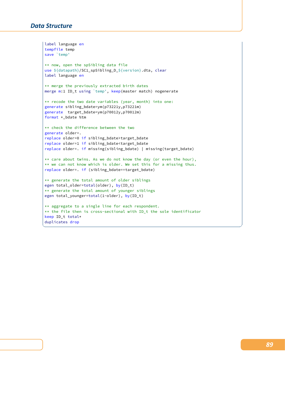```
label language en
tempfile temp
save 'temp'
** now, open the spSibling data file
use ${datapath}/SC1_spSibling_D_${version}.dta, clear
label language en
** merge the previously extracted birth dates
merge m:1 ID_t using `temp', keep(master match) nogenerate
** recode the two date variables (year, month) into one:
generate sibling_bdate=ym(p73221y,p73221m)
generate target_bdate=ym(p70012y,p70012m)
format *_bdate %tm
** check the difference between the two
generate older=.
replace older=0 if sibling_bdate>target_bdate
replace older=1 if sibling_bdate<target_bdate
replace older=. if missing(sibling_bdate) | missing(target_bdate)
** care about twins. As we do not know the day (or even the hour),
** we can not know which is older. We set this for a missing thus.
replace older=. if (sibling_bdate==target_bdate)
** generate the total amount of older siblings
egen total_older=total(older), by(ID_t)
** generate the total amount of younger siblings
egen total_younger=total(1-older), by(ID_t)
** aggregate to a single line for each respondent.
** the file then is cross-sectional with ID_t the sole identificator
keep ID_t total*
duplicates drop
```
 $\begin{pmatrix} 1 & 0 & 0 \\ 0 & 0 & 0 \\ 0 & 0 & 0 \\ 0 & 0 & 0 \\ 0 & 0 & 0 \\ 0 & 0 & 0 \\ 0 & 0 & 0 & 0 \\ 0 & 0 & 0 & 0 \\ 0 & 0 & 0 & 0 \\ 0 & 0 & 0 & 0 \\ 0 & 0 & 0 & 0 & 0 \\ 0 & 0 & 0 & 0 & 0 \\ 0 & 0 & 0 & 0 & 0 \\ 0 & 0 & 0 & 0 & 0 & 0 \\ 0 & 0 & 0 & 0 & 0 & 0 \\ 0 & 0 & 0 & 0 & 0 & 0 & 0 \\ 0 & 0 & 0 &$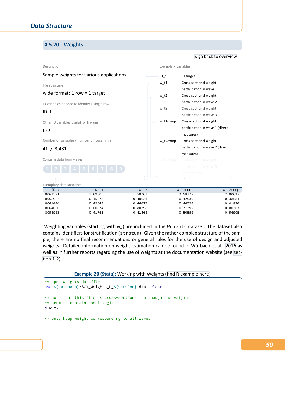### **4.5.20 Weights**

#### Description Sample weights for various applications File structure wide format: 1 row = 1 target ID variables needed to identify a single row ID\_t Other ID variables useful for linkage psu Number of variables / number of rows in file 41 / 3,481 Contains data from waves Exemplary variables ID\_t ID target w\_t1 Cross-se[ctional weight](#page-56-0) participation in wave 1 w\_t2 Cross-sectional weight participation in wave 2 w\_t3 Cross-sectional weight participation in wave 3 w\_t1comp Cross‐sectional weight participation in wave 1 (direct measures) w\_t2comp Cross‐sectional weight participation in wave 2 (direct measures) Exemplary data snapshot ID\_t w\_t1 w\_t2 w\_t1comp w\_t2comp 8061591 1.69605 1.58767 2.58779 2.80627 8068964 0.45873 0.40631 0.42539 0.38581 8061044 0.49640 0.46627 0.44520 0.41820 8064050 0.80874 0.80298 0.71392 0.80367 8058983 0.41765 0.41468 0.50550 0.56905

Weighting variables (starting with w\_) are included in the Weights dataset. The dataset also contains identifiers for stratification (stratum). Given the rather complex structure of the sam‐ ple, there are no final recommendations or general rules for the use of design and adjusted weights. Detailed information on weight estimation can be found in Würbach et al., 2016 as well as in further reports regarding the use of weights at the documentation website (see section 1.2).

### **Example 20 (Stata):** Working with Weights (find R example here)

```
** open Weights datafile
use ${datapath}/SC1_Weights_D_${version}.dta, clear
** note that this file is cross-sectional, although the weights
** seem to contain panel logic
d w_t*
```
\*\* only keep weight corresponding to all waves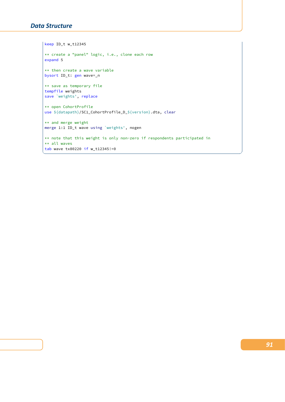```
keep ID_t w_t12345
 ** create a "panel" logic, i.e., clone each row
expand 5
 ** then create a wave variable
bysort ID_t: gen wave=_n
 ** save as temporary file
 tempfile weights
save `weights', replace
 ** open CohortProfile
use ${datapath}/SC1_CohortProfile_D_${version}.dta, clear
** and merge weight
merge 1:1 ID_t wave using `weights', nogen
** note that this weight is only non-zero if respondents participated in
 ** all waves
tab wave tx80220 if w_t12345!=0
\overline{\phantom{a}} \overline{\phantom{a}} \overline{\phantom{a}} \overline{\phantom{a}} \overline{\phantom{a}} \overline{\phantom{a}} \overline{\phantom{a}} \overline{\phantom{a}} \overline{\phantom{a}} \overline{\phantom{a}} \overline{\phantom{a}} \overline{\phantom{a}} \overline{\phantom{a}} \overline{\phantom{a}} \overline{\phantom{a}} \overline{\phantom{a}} \overline{\phantom{a}} \overline{\phantom{a}} \overline{\
```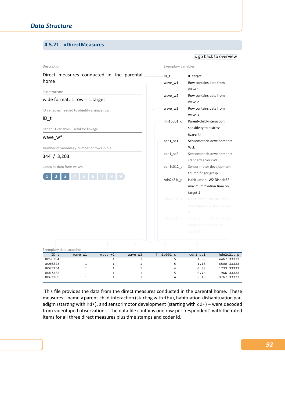# **4.5.21 xDirectMeasures**

### Description Direct measures conducted in the parental home File structure wide format: 1 row = 1 target ID variables needed to identify a single row ID\_t Other ID variables useful for linkage wave\_w\* Number of variables / number of rows in file 344 / 3,203 Contains data from waves **1 2 3 4 5 6 7 8 9** Exemplary variables ID\_t ID target wave\_w1 Ro[w contains data from](#page-56-0) wave 1 wave w2 Row contains data from wave 2 wave\_w3 Row contains data from wave 3 ihn1p001\_c Parent‐child‐interaction: sensitivity to distress (parent) cdn1\_sc1 Sensomotoric development: WLE cdn1\_sc2 Sensomotoric development: standard error (WLE) cdn1c012\_c Sensorimotor development: thumb‐finger grasp hdn2c21t\_p Habituation: W2 DishabB2 maximum fixation time on target 1 Exemplary data snapshot ID\_t wave\_w1 wave\_w2 wave\_w3 ihn1p001\_c cdn1\_sc1 hdn2c21t\_p 8056304 1 1 1 5 1.80 4467.33333 8066823 1 1 1 1 1 5 1.13 6500.33333 8065254 1 1 1 4 0.38 1733.33333 8067335 1 1 1 5 0.74 1966.33333 8062289 1 1 1 4 0.18 9767.33333

This file provides the data from the direct measures conducted in the parental home. These measures – namely parent‐child‐interaction (starting with ih\*), habituation‐dishabituation par‐ adigm (starting with hd\*), and sensorimotor development (starting with  $cd*)$  – were decoded from videotaped observations. The data file contains one row per 'respondent' with the rated items for all three direct measures plus time stamps and coder id.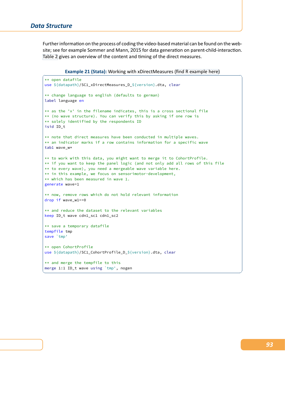Further information on the process of coding the video-based material can be found on the website; see for example Sommer and Mann, 2015 for data generation on parent-child-interaction. Table 2 gives an overview of the content and timing of the direct measures.

**Example 21 (Stata):** Working [with xD](#page-105-0)irectMeasures (find R example here)

```
** open datafile
use ${datapath}/SC1_xDirectMeasures_D_${version}.dta, clear
** change language to english (defaults to german)
label language en
** as the 'x' in the filename indicates, this is a cross sectional file
** (no wave structure). You can verify this by asking if one row is
** solely identified by the respondents ID
isid ID_t
** note that direct measures have been conducted in multiple waves.
** an indicator marks if a row contains information for a specific wave
tab1 wave_w*
** to work with this data, you might want to merge it to CohortProfile.
** if you want to keep the panel logic (and not only add all rows of this file
** to every wave), you need a mergeable wave variable here.
** in this example, we focus on sensorimotor-development,
** which has been measured in wave 1.
generate wave=1
** now, remove rows which do not hold relevant information
drop if wave_w1==0
** and reduce the dataset to the relevant variables
keep ID_t wave cdn1_sc1 cdn1_sc2
** save a temporary datafile
tempfile tmp
save `tmp'
** open CohortProfile
use ${datapath}/SC1_CohortProfile_D_${version}.dta, clear
** and merge the tempfile to this
merge 1:1 ID_t wave using `tmp', nogen
```
✝ ✆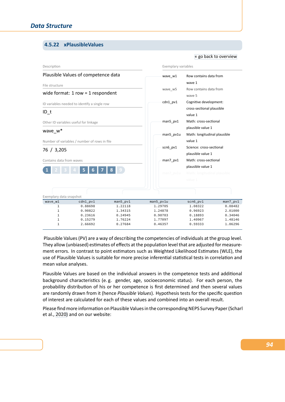# **4.5.22 xPlausibleValues**

#### Description Plausible Values of competence data File structure wide format: 1 row = 1 respondent ID variables needed to identify a single row ID\_t Other ID variables useful for linkage wave\_w\* Number of variables / number of rows in file 76 / 3,205 Contains data from waves **1 2 3 4 5 6 7 8 9** Exemplary variables wave\_w1 Row contains data from wave [1](#page-56-0) wave\_w5 Row contains data from wave 5 cdn1\_pv1 Cognitive development: cross‐sectional plausible value 1 man5\_pv1 Math: cross-sectional plausible value 1 man5\_pv1u Math: longitudinal plausible value 1 scn6\_pv1 Science: cross-sectional plausible value 1 man7\_pv1 Math: cross-sectional plausible value 1 Exemplary data snapshot wave\_w1 cdn1\_pv1 man5\_pv1 man5\_pv1u scn6\_pv1 man7\_pv1 1 0.88698 1.22118 1.29705 1.08322 0.08482 1 0.90822 1.34315 1.24878 0.96923 2.01000 1 0.23616 0.24945 0.90703 0.18893 0.34046 1 0.15279 1.76224 1.77097 1.40967 1.48146 1 2.66692 0.27684 0.46357 0.59333 1.06296

Plausible Values (PV) are a way of describing the competencies of individuals at the group level. They allow (unbiased) estimates of effects at the population level that are adjusted for measure‐ ment errors. In contrast to point estimators such as Weighted Likelihood Estimates (WLE), the use of Plausible Values is suitable for more precise inferential statistical tests in correlation and mean value analyses.

Plausible Values are based on the individual answers in the competence tests and additional background characteristics (e. g. gender, age, socioeconomic status). For each person, the probability distribution of his or her competence is first determined and then several values are randomly drawn from it (hence *Plausible Values*). Hypothesis tests for the specific question of interest are calculated for each of these values and combined into an overall result.

Please find more information on Plausible Values in the corresponding NEPS Survey Paper (Scharl et al., 2020) and on our website: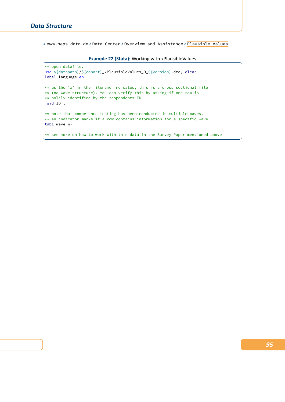→ www.neps-data.de > Data Center > Overview and Assistance > Plausible Values

**Example 22 (Stata):** Working with xPlausibleValues

 $\sqrt{2\pi}$   $\sqrt{2\pi}$   $\sqrt{2\pi}$   $\sqrt{2\pi}$   $\sqrt{2\pi}$   $\sqrt{2\pi}$   $\sqrt{2\pi}$   $\sqrt{2\pi}$   $\sqrt{2\pi}$   $\sqrt{2\pi}$   $\sqrt{2\pi}$   $\sqrt{2\pi}$   $\sqrt{2\pi}$   $\sqrt{2\pi}$   $\sqrt{2\pi}$   $\sqrt{2\pi}$   $\sqrt{2\pi}$   $\sqrt{2\pi}$   $\sqrt{2\pi}$   $\sqrt{2\pi}$   $\sqrt{2\pi}$   $\sqrt{2\pi}$ 

```
** open datafile.
use ${datapath}/${cohort}_xPlausibleValues_D_${version}.dta, clear
label language en
** as the 'x' in the filename indicates, this is a cross sectional file
** (no wave structure). You can verify this by asking if one row is
** solely identified by the respondents ID
isid ID_t
** note that competence testing has been conducted in multiple waves.
** An indicator marks if a row contains information for a specific wave.
tab1 wave_w*
** see more on how to work with this data in the Survey Paper mentioned above!
```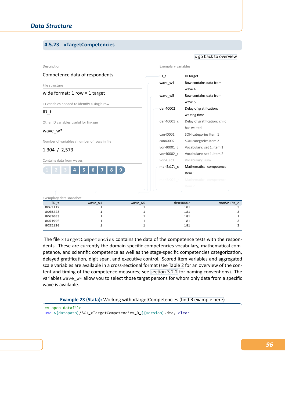# **4.5.23 xTargetCompetencies**

#### Description Competence data of respondents File structure wide format: 1 row = 1 target ID variables needed to identify a single row ID\_t Other ID variables useful for linkage wave\_w\* Number of variables / number of rows in file 1,304 / 2,573 Contains data from waves **1 2 3 4 5 6 7 8 9** Exemplary variables ID\_t ID target wave\_w4 Row c[ontains data from](#page-56-0) wave 4 wave w5 Row contains data from wave 5 den40002 Delay of gratification: waiting time den40001\_c Delay of gratification: child has waited can40001 SON categories Item 1 can40002 SON categories Item 2 von40001\_c Vocabulary: set 1, item 1 von40002 c Vocabulary: set 1, item 2 von4\_sc3 Vocabulary: sum man5z17s\_c Mathematical competence Item 1 Exemplary data snapshot ID\_t wave\_w4 wave\_w5 den40002 man5z17s\_c 8062112 1 1 1 181 3  $8065223$  1 1 3 8063003 1 1 181 1  $8054996$  1 1 3  $8055120$  1 1 181 3

The file xTargetCompetencies contains the data of the competence tests with the respondents. These are currently the domain‐specific competencies vocabulary, mathematical com‐ petence, and scientific competence as well as the stage‐specific competencies categorization, delayed gratification, digit span, and executive control. Scored item variables and aggregated scale variables are available in a cross-sectional format (see Table 2 for an overview of the content and timing of the competence measures; see section 3.2.2 for naming conventions). The variables wave\_w\* allow you to select those target persons for whom only data from a specific wave is available.

**Example 23 (Stata):** Working with xTarget[Competencies](#page-36-0) (find R example here)

```
** open datafile
use ${datapath}/SC1_xTargetCompetencies_D_${version}.dta, clear
```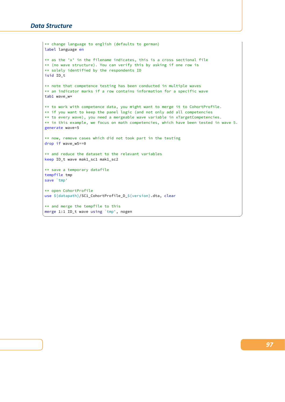```
** change language to english (defaults to german)
label language en
** as the 'x' in the filename indicates, this is a cross sectional file
** (no wave structure). You can verify this by asking if one row is
** solely identified by the respondents ID
isid ID_t
** note that competence testing has been conducted in multiple waves
** an indicator marks if a row contains information for a specific wave
tab1 wave_w*
** to work with competence data, you might want to merge it to CohortProfile.
** if you want to keep the panel logic (and not only add all competencies
** to every wave), you need a mergeable wave variable in xTargetCompetencies.
** in this example, we focus on math competencies, which have been tested in wave 5.
generate wave=5
** now, remove cases which did not took part in the testing
drop if wave_w5==0
** and reduce the dataset to the relevant variables
keep ID_t wave mak1_sc1 mak1_sc2
** save a temporary datafile
tempfile tmp
save `tmp'
** open CohortProfile
use ${datapath}/SC1_CohortProfile_D_${version}.dta, clear
** and merge the tempfile to this
merge 1:1 ID_t wave using `tmp', nogen
✝ ✆
```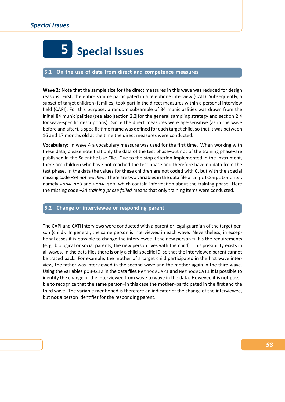

### **5.1 On the use of data from direct and competence measures**

**Wave 2:** Note that the sample size for the direct measures in this wave was reduced for design reasons. First, the entire sample participated in a telephone interview (CATI). Subsequently, a subset of target children (families) took part in the direct measures within a personal interview field (CAPI). For this purpose, a random subsample of 34 municipalities was drawn from the initial 84 municipalities (see also section 2.2 for the general sampling strategy and section 2.4 for wave-specific descriptions). Since the direct measures were age-sensitive (as in the wave before and after), a specific time frame was defined for each target child, so that it was between 16 and 17 months old at the time [the direct m](#page-16-0)easures were conducted.

**Vocabulary:** In wave 4 a vocabulary measure was used for the first time. When working with these data, please note that only the data of the test phase–but not of the training phase–are published in the Scientific Use File. Due to the stop criterion implemented in the instrument, there are children who have not reached the test phase and therefore have no data from the test phase. In the data the values for these children are not coded with 0, but with the special missing code –94 *not reached*. There are two variables in the data file xTargetCompetencies, namely von4\_sc3 and von4\_sc8, which contain information about the training phase. Here the missing code –24 *training phase failed* means that only training items were conducted.

# **5.2 Change of interviewee or responding parent**

The CAPI and CATI interviews were conducted with a parent or legal guardian of the target per‐ son (child). In general, the same person is interviewed in each wave. Nevertheless, in exceptional cases it is possible to change the interviewee if the new person fulfils the requirements (e. g. biological or social parents, the new person lives with the child). This possibility exists in all waves. In the data files there is only a child-specific ID, so that the interviewed parent cannot be traced back. For example, the mother of a target child participated in the first wave inter‐ view, the father was interviewed in the second wave and the mother again in the third wave. Using the variables px80212 in the data files MethodsCAPI and MethodsCATI it is possible to identify the change of the interviewee from wave to wave in the data. However, it is **not** possi‐ ble to recognize that the same person–in this case the mother–participated in the first and the third wave. The variable mentioned is therefore an indicator of the change of the interviewee, but **not** a person identifier for the responding parent.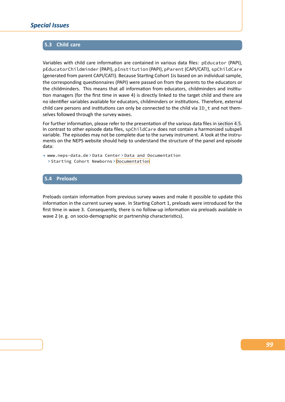# **5.3 Child care**

Variables with child care information are contained in various data files: pEducator (PAPI), pEducatorChildminder (PAPI), pInstitution (PAPI), pParent (CAPI/CATI), spChildCare (generated from parent CAPI/CATI). Because Starting Cohort 1is based on an individual sample, the corresponding questionnaires (PAPI) were passed on from the parents to the educators or the childminders. This means that all information from educators, childminders and institu‐ tion managers (for the first time in wave 4) is directly linked to the target child and there are no identifier variables available for educators, childminders or institutions. Therefore, external child care persons and institutions can only be connected to the child via ID\_t and not themselves followed through the survey waves.

For further information, please refer to the presentation of the various data files in section 4.5. In contrast to other episode data files, spChildCare does not contain a harmonized subspell variable. The episodes may not be complete due to the survey instrument. A look at the instruments on the NEPS website should help to understand the structure of the panel and episode data:

→ www.neps-data.de > Data Center > Data and Documentation > Starting Cohort Newborns > Documentation

### **5.4 Preloads**

Preloads contain information from previous survey waves and make it possible to update this information in the current survey wave. In Starting Cohort 1, preloads were introduced for the first time in wave 3. Consequently, there is no follow‐up information via preloads available in wave 2 (e.g. on socio-demographic or partnership characteristics).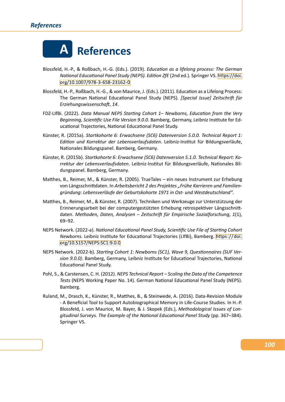### *References*



- Blossfeld, H.‐P., & Roßbach, H.‐G. (Eds.). (2019). *Education as a lifelong process: The German National Educational Panel Study (NEPS). Edition ZfE* (2nd ed.). Springer VS. https://doi. org/10.1007/978‐3‐658‐23162‐0
- Blossfeld, H.‐P., Roßbach, H.‐G., & von Maurice, J. (Eds.). (2011). Education as a Lifelong Process: The German National Educational Panel Study (NEPS). *[Special Issue] Z[eitschrift für](https://doi.org/10.1007/978-3-658-23162-0) [Erziehungswissenschaft](https://doi.org/10.1007/978-3-658-23162-0)*, *14*.
- FDZ‐LIfBi. (2022). *Data Manual NEPS Starting Cohort 1– Newborns, Education from the Very Beginning, Scientific Use File Version 9.0.0*. Bamberg, Germany, Leibniz Institute for Ed‐ ucational Trajectories, National Educational Panel Study.
- Künster, R. (2015a). *Startkohorte 6: Erwachsene (SC6) Datenversion 5.0.0. Technical Report 1: Edition und Korrektur der Lebensverlaufsdaten*. Leibniz‐Institut für Bildungsverläufe, Nationales Bildungspanel. Bamberg, Germany.
- Künster, R. (2015b). *Startkohorte 6: Erwachsene (SC6) Datenversion 5.1.0. Technical Report: Ko‐ rrektur der Lebensverlaufsdaten*. Leibniz‐Institut für Bildungsverläufe, Nationales Bil‐ dungspanel. Bamberg, Germany.
- Matthes, B., Reimer, M., & Künster, R. (2005). TrueTales ein neues Instrument zur Erhebung von Längsschnittdaten. In *Arbeitsbericht 2 des Projektes "Frühe Karrieren und Familiengründung: Lebensverläufe der Geburtskohorte 1971 in Ost‐ und Westdeutschland"*.
- Matthes, B., Reimer, M., & Künster, R. (2007). Techniken und Werkzeuge zur Unterstützung der Erinnerungsarbeit bei der computergestützten Erhebung retrospektiver Längsschnitt‐ daten. *Methoden, Daten, Analysen – Zeitschrift für Empirische Sozialforschung*, *1*(1), 69–92.
- NEPS Network. (2022‐a). *National Educational Panel Study, Scientific Use File of Starting Cohort Newborns*. Leibniz Institute for Educational Trajectories (LIfBi), Bamberg. https://doi. org/10.5157/NEPS:SC1:9.0.0
- NEPS Network. (2022‐b). *Starting Cohort 1: Newborns (SC1), Wave 9, Questionnaires (SUF Ver‐ sion 9.0.0)*. Bamberg, Germany, Leibniz Institute for Educational Trajector[ies, National](https://doi.org/10.5157/NEPS:SC1:9.0.0) [Educational Panel Study.](https://doi.org/10.5157/NEPS:SC1:9.0.0)
- Pohl, S., & Carstensen, C. H. (2012). *NEPS Technical Report Scaling the Data of the Competence Tests* (NEPS Working Paper No. 14). German National Educational Panel Study (NEPS). Bamberg.
- Ruland, M., Drasch, K., Künster, R., Matthes, B., & Steinwede, A. (2016). Data‐Revision Module ‐ A Beneficial Tool to Support Autobiographical Memory in Life‐Course Studies. In H.‐P. Blossfeld, J. von Maurice, M. Bayer, & J. Skopek (Eds.), *Methodological Issues of Lon‐ gitudinal Surveys. The Example of the National Educational Panel Study* (pp. 367–384). Springer VS.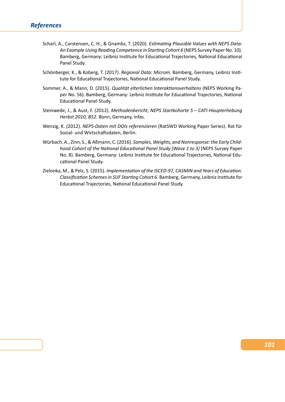- Scharl, A., Carstensen, C. H., & Gnambs, T. (2020). *Estimating Plausible Values with NEPS Data: An Example Using Reading Competence in Starting Cohort 6* (NEPS Survey Paper No. 10). Bamberg, Germany: Leibniz Institute for Educational Trajectories, National Educational Panel Study.
- Schönberger, K., & Koberg, T. (2017). *Regional Data: Microm*. Bamberg, Germany, Leibniz Insti‐ tute for Educational Trajectories, National Educational Panel Study.
- <span id="page-105-0"></span>Sommer, A., & Mann, D. (2015). *Qualität elterlichen Interaktionsverhaltens* (NEPS Working Pa‐ per No. 56). Bamberg, Germany: Leibniz Institute for Educational Trajectories, National Educational Panel Study.
- Steinwede, J., & Aust, F. (2012). *Methodenbericht, NEPS Startkohorte 5 CATI‐Haupterhebung Herbst 2010, B52*. Bonn, Germany, infas.
- Wenzig, K. (2012). *NEPS‐Daten mit DOIs referenzieren* (RatSWD Working Paper Series). Rat für Sozial‐ und Wirtschaftsdaten, Berlin.
- Würbach, A., Zinn, S., & Aßmann, C. (2016). *Samples, Weights, and Nonresponse: the Early Child‐ hood Cohort of the National Educational Panel Study (Wave 1 to 3)* (NEPS Survey Paper No. 8). Bamberg, Germany: Leibniz Institute for Educational Trajectories, National Edu‐ cational Panel Study.
- Zielonka, M., & Pelz, S. (2015). *Implementation of the ISCED‐97, CASMIN and Years of Education. Classification Schemes in SUF Starting Cohort 6*. Bamberg, Germany, Leibniz Institute for Educational Trajectories, National Educational Panel Study.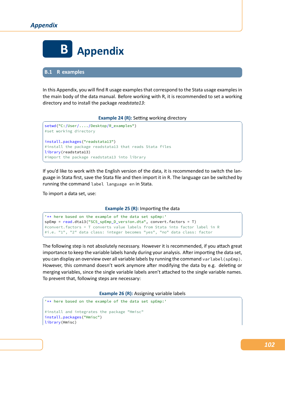

**B.1 R examples**

In this Appendix, you will find R usage examples that correspond to the Stata usage examples in the main body of the data manual. Before working with R, it is recommended to set a working directory and to install the package *readstata13*:

### **Example 24 (R):** Setting working directory

```
setwd("C:/User/..../Desktop/R_examples")
 #set working directory
 install.packages("readstata13")
 #install the package readstata13 that reads Stata files
 library(readstata13)
 #import the package readstata13 into library
\begin{pmatrix} 1 & 0 & 0 \\ 0 & 0 & 0 \\ 0 & 0 & 0 \\ 0 & 0 & 0 \\ 0 & 0 & 0 \\ 0 & 0 & 0 \\ 0 & 0 & 0 & 0 \\ 0 & 0 & 0 & 0 \\ 0 & 0 & 0 & 0 \\ 0 & 0 & 0 & 0 \\ 0 & 0 & 0 & 0 & 0 \\ 0 & 0 & 0 & 0 & 0 \\ 0 & 0 & 0 & 0 & 0 & 0 \\ 0 & 0 & 0 & 0 & 0 & 0 \\ 0 & 0 & 0 & 0 & 0 & 0 & 0 \\ 0 & 0 & 0 & 0 & 0 & 0 & 0 \\ 0 &
```
If you'd like to work with the English version of the data, it is recommended to switch the language in Stata first, save the Stata file and then import it in R. The language can be switched by running the command label language en in Stata.

To import a data set, use:

### **Example 25 (R):** Importing the data

```
'** here based on the example of the data set spEmp:'
spEmp = read.dta13("SC5_spEmp_D_version.dta", convert.factors = T)
#convert.factors = T converts value labels from Stata into factor label in R
#i.e. "1", "2" data class: integer becomes "yes", "no" data class: factor
✝ ✆
```
The following step is not absolutely necessary. However it is recommended, if you attach great importance to keep the variable labels handy during your analysis. After importing the data set, you can display an overview over all variable labels by running the command varlabel(spEmp). However, this command doesn't work anymore after modifying the data by e.g. deleting or merging variables, since the single variable labels aren't attached to the single variable names. To prevent that, following steps are necessary:

**Example 26 (R):** Assigning variable labels

```
'** here based on the example of the data set spEmp:'
#install and integrates the package "Hmisc"
install.packages("Hmisc")
library(Hmisc)
```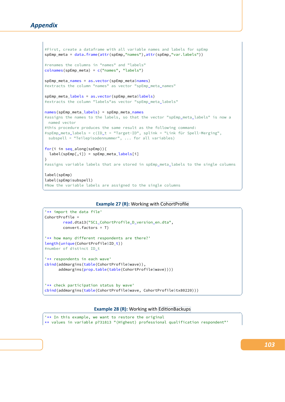```
#First, create a dataframe with all variable names and labels for spEmp
spEmp_meta = data.frame(attr(spEmp,"names"),attr(spEmp,"var.labels"))
#renames the columns in "names" and "labels"
colnames(spEmp_meta) = c("names", "labels")
spEmp_meta_names = as.vector(spEmp_meta$names)
#extracts the column "names" as vector "spEmp_meta_names"
spEmp_meta_labels = as.vector(spEmp_meta$labels)
#extracts the column "labels"as vector "spEmp_meta_labels"
names(spEmp_meta_labels) = spEmp_meta_names
#assigns the names to the labels, so that the vector "spEmp_meta_labels" is now a
 named vector
#this procedure produces the same result as the following command:
#spEmp_meta_labels = c(ID_t = "Target-ID", splink = "Link für Spell-Merging",
 subspell = "Teilepisodennummer", ... for all variables)
for(i in seq_along(spEmp)){
  label(spEmp[,i]) = spEmp_meta_labels[i]
}
#assigns variable labels that are stored in spEmp_meta_labels to the single columns
label(spEmp)
label(spEmp$subspell)
#Now the variable labels are assigned to the single columns
\sqrt{2\pi} \sqrt{2\pi} \sqrt{2\pi} \sqrt{2\pi} \sqrt{2\pi} \sqrt{2\pi} \sqrt{2\pi} \sqrt{2\pi} \sqrt{2\pi} \sqrt{2\pi} \sqrt{2\pi} \sqrt{2\pi} \sqrt{2\pi} \sqrt{2\pi} \sqrt{2\pi} \sqrt{2\pi} \sqrt{2\pi} \sqrt{2\pi} \sqrt{2\pi} \sqrt{2\pi} \sqrt{2\pi} \sqrt{2\pi}
```
#### **Example 27 (R):** Working with CohortProfile

```
'** import the data file'
CohortProfile =
       read.dta13("SC1_CohortProfile_D_version_en.dta",
       convert.factors = T)
'** how many different respondents are there?'
length(unique(CohortProfile$ID_t))
#number of distinct ID_t
'** respondents in each wave'
cbind(addmargins(table(CohortProfile$wave)),
     addmargins(prop.table(table(CohortProfile$wave))))
'** check participation status by wave'
cbind(addmargins(table(CohortProfile$wave, CohortProfile$tx80220)))
✝ ✆
```
### **Example 28 (R):** Working with EditionBackups

'\*\* In this example, we want to restore the original \*\* values in variable p731813 "(Highest) professional qualification respondent"'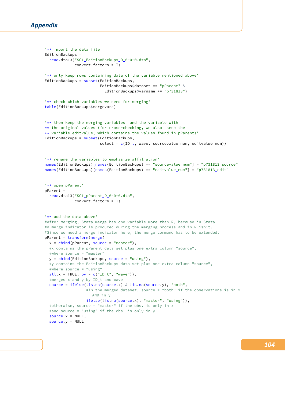```
'** import the data file'
EditionBackups =
 read.dta13("SC1_EditionBackups_D_6-0-0.dta",
             convert.factors = T)
'** only keep rows containing data of the variable mentioned above'
EditionBackups = subset(EditionBackups,
                        EditionBackups$dataset == "pParent" &
                          EditionBackups$varname == "p731813")
'** check which variables we need for merging'
table(EditionBackups$mergevars)
'** then keep the merging variables and the variable with
** the original values (for cross-checking, we also keep the
** variable editvalue, which contains the values found in pParent)'
EditionBackups = subset(EditionBackups,
                        select = c(ID_t, wave, sourcevalue_name, editvalue_name)'** rename the variables to emphasize affiliation'
names(EditionBackups)[names(EditionBackups) == "sourcevalue_num"] = "p731813_source"
names(EditionBackups)[names(EditionBackups) == "editvalue_num"] = "p731813_edit"
'** open pParent'
pParent =
 read.dta13("SC1_pParent_D_6-0-0.dta",
             convert.factors = T)
'** add the data above'
#After merging, Stata merge has one variable more than R, because in Stata
#a merge indicator is produced during the merging process and in R isn't.
#Since we need a merge indicator here, the merge command has to be extended:
pParent = transform(merge(
 x = \text{cbind}(pParent, source = "master"),#x contains the pParent data set plus one extra column "source",
 #where source = "master"
 y = cbind(EditionBackups, source = "using"),
 #y contains the EditionBackups data set plus one extra column "source",
 #where source = "using"
 all.x = TRUE, by = c("ID_t", "wave");#merges x and y by ID_t and wave
 source = ifelse(!is.na(source.x) & !is.na(source.y), "both",
                  #in the merged dataset, source = "both" if the observations is in x
                    AND in y
                  ifelse(!is.na(source.x), "master", "using")),
 #otherwise, source = "master" if the obs. is only in x
  #and source = "using" if the obs. is only in y
  source.x = NULL,
  source.y = NULL
```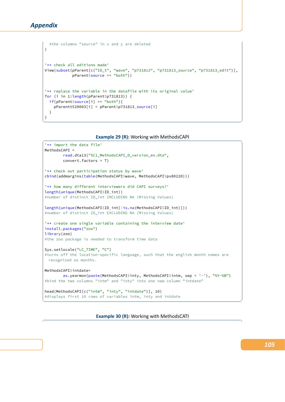```
)
'** check all editions made'
View(subset(pParent[c("ID_t", "wave", "p731813", "p731813_source", "p731813_edit")],
            pParent$source == "both"))
'** replace the variable in the datafile with its original value'
for (i in 1:length(pParent$p731813)) {
 if(pParent$source[i] == "both"){
    pParentt520003[i] = pParent$p731813_source[i]
 }
}
```
#the columns "source" in x and y are deleted

**Example 29 (R): Working with MethodsCAPI** 

 $\sqrt{2\pi}$   $\sqrt{2\pi}$   $\sqrt{2\pi}$   $\sqrt{2\pi}$   $\sqrt{2\pi}$   $\sqrt{2\pi}$   $\sqrt{2\pi}$   $\sqrt{2\pi}$   $\sqrt{2\pi}$   $\sqrt{2\pi}$   $\sqrt{2\pi}$   $\sqrt{2\pi}$   $\sqrt{2\pi}$   $\sqrt{2\pi}$   $\sqrt{2\pi}$   $\sqrt{2\pi}$   $\sqrt{2\pi}$   $\sqrt{2\pi}$   $\sqrt{2\pi}$   $\sqrt{2\pi}$   $\sqrt{2\pi}$   $\sqrt{2\pi}$ 

```
'** import the data file'
MethodsCAPI =
       read.dta13("SC1_MethodsCAPI_D_version_en.dta",
       convert.factors = T)
'** check out participation status by wave'
cbind(addmargins(table(MethodsCAPI$wave, MethodsCAPI$px80220)))
'** how many different interviewers did CAPI surveys?'
length(unique(MethodsCAPI$ID_int))
#number of distinct ID_int INCLUDING NA (Missing Values)
length(unique(MethodsCAPI$ID_int[!is.na(MethodsCAPI$ID_int)]))
#number of distinct ID_int EXCLUDING NA (Missing Values)
'** create one single variable containing the interview date'
install.packages("zoo")
library(zoo)
#the zoo package is needed to transform time data
Sys.setlocale("LC_TIME", "C")
#turns off the location-specific language, such that the english month names are
 recognized as months.
MethodsCAPI$intdate=
       as.yearmon(paste(MethodsCAPI$inty, MethodsCAPI$intm, sep = '-'), "%Y-%B")
#bind the two columns "intm" and "inty" into one new column "intdate"
head(MethodsCAPI[c("intm", "inty", "intdate")], 10)
```
✝ ✆

**Example 30 (R):** Working with MethodsCATI

#displays first 10 rows of variables intm, inty and intdate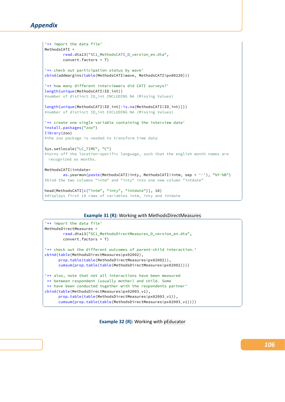```
'** import the data file'
MethodsCATI =
       read.dta13("SC1_MethodsCATI_D_version_en.dta",
       convert.factors = T)
'** check out participation status by wave'
cbind(addmargins(table(MethodsCATI$wave, MethodsCATI$px80220)))
'** how many different interviewers did CATI surveys?'
length(unique(MethodsCATI$ID_int))
#number of distinct ID_int INCLUDING NA (Missing Values)
length(unique(MethodsCATI$ID_int[!is.na(MethodsCATI$ID_int)]))
#number of distinct ID_int EXCLUDING NA (Missing Values)
'** create one single variable containing the interview date'
install.packages("zoo")
library(zoo)
#the zoo package is needed to transform time data
Sys.setlocale("LC_TIME", "C")
#turns off the location-specific language, such that the english month names are
 recognized as months.
MethodsCATI$intdate=
       as.yearmon(paste(MethodsCATI$inty, MethodsCATI$intm, sep = '-'), "%Y-%B")
#bind the two columns "intm" and "inty" into one new column "intdate"
head(MethodsCATI[c("intm", "inty", "intdate")], 10)
#displays first 10 rows of variables intm, inty and intdate
```
## **Example 31 (R):** Working with MethodsDirectMeasures

✝ ✆

```
'** import the data file'
MethodsDirectMeasures =
       read.dta13("SC1_MethodsDirectMeasures_D_version_en.dta",
       convert.factors = T)
'** check out the different outcomes of parent-child interaction.'
cbind(table(MethodsDirectMeasures$px02002),
     prop.table(table(MethodsDirectMeasures$px02002)),
     cumsum(prop.table(table(MethodsDirectMeasures$px02002))))
'** also, note that not all interactions have been measured
 ** between respondent (usually mother) and child. Some
 ** have been conducted together with the respondents partner'
cbind(table(MethodsDirectMeasures$px02003_v1),
     prop.table(table(MethodsDirectMeasures$px02003_v1)),
     cumsum(prop.table(table(MethodsDirectMeasures$px02003_v1))))
✝ ✆
```
**Example 32 (R):** Working with pEducator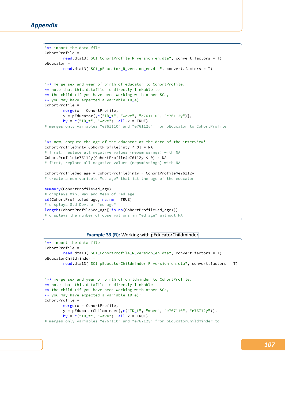```
\sqrt{2} \sqrt{2} \sqrt{2} \sqrt{2} \sqrt{2} \sqrt{2} \sqrt{2} \sqrt{2} \sqrt{2} \sqrt{2} \sqrt{2} \sqrt{2} \sqrt{2} \sqrt{2} \sqrt{2} \sqrt{2} \sqrt{2} \sqrt{2} \sqrt{2} \sqrt{2} \sqrt{2} \sqrt{2} \sqrt{2} \sqrt{2} \sqrt{2} \sqrt{2} \sqrt{2} \sqrt{2'** import the data file'
CohortProfile =
        read.dta13("SC1_CohortProfile_R_version_en.dta", convert.factors = T)
pEducator =
        read.dta13("SC1_pEducator_R_version_en.dta", convert.factors = T)
'** merge sex and year of birth of educator to CohortProfile.
** note that this datafile is directly linkable to
** the child (if you have been working with other SCs,
** you may have expected a variable ID_e)'
CohortProfile =
        merge(x = CohortProfile,
        y = pEducator[,c("ID_t", "wave", "e761110", "e76112y")],
        by = c("ID_t", "wave"), all.x = TRUE)# merges only variables "e761110" and "e76112y" from pEducator to CohortProfile
'** now, compute the age of the educator at the date of the interview'
CohortProfile$inty[CohortProfile$inty < 0] = NA
# first, replace all negative values (nepsmissings) with NA
CohortProfile$e76112y[CohortProfile$e76112y < 0] = NA
# first, replace all negative values (nepsmissings) with NA
CohortProfile$ed_age = CohortProfile$inty - CohortProfile$e76112y
# create a new variable "ed_age" that ist the age of the educator
summary(CohortProfile$ed_age)
# displays Min, Max and Mean of "ed_age"
sd(CohortProfile$ed_age, na.rm = TRUE)
# displays Std.Dev. of "ed_age"
length(CohortProfile$ed_age[!is.na(CohortProfile$ed_age)])
# displays the number of observations in "ed_age" without NA
✝ ✆
```
# **Example 33 (R):** Working with pEducatorChildminder

```
'** import the data file'
CohortProfile =
        read.dta13("SC1 CohortProfile R version en.dta", convert.factors = T)
pEducatorChildminder =
        read.dta13("SC1_pEducatorChildminder_R_version_en.dta", convert.factors = T)
'** merge sex and year of birth of childminder to CohortProfile.
** note that this datafile is directly linkable to
** the child (if you have been working with other SCs,
** you may have expected a variable ID_e)'
CohortProfile =
        merge(x = CohortProfile,
        y = pEducatorChildminder[,c("ID_t", "wave", "e767110", "e76712y")],
        by = c("ID_t", "wave"), all.x = TRUE)# merges only variables "e767110" and "e76712y" from pEducatorChildminder to
```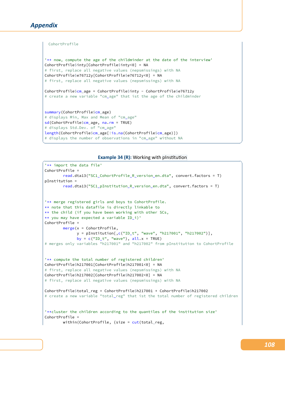```
CohortProfile
'** now, compute the age of the childminder at the date of the interview'
CohortProfile$inty[CohortProfile$inty<0] = NA
# first, replace all negative values (nepsmissings) with NA
CohortProfile$e76712y[CohortProfile$e76712y<0] = NA
# first, replace all negative values (nepsmissings) with NA
CohortProfile$cm_age = CohortProfile$inty - CohortProfile$e76712y
# create a new variable "cm_age" that ist the age of the childminder
summary(CohortProfile$cm age)
# displays Min, Max and Mean of "cm_age"
sd(CohortProfile$cm_age, na.rm = TRUE)
# displays Std.Dev. of "cm_age"
length(CohortProfile$cm_age[!is.na(CohortProfile$cm_age)])
# displays the number of observations in "cm_age" without NA
✝ ✆
```
**Example 34 (R):** Working with pInstitution

```
'** import the data file'
CohortProfile =
       read.dta13("SC1_CohortProfile_R_version_en.dta", convert.factors = T)
pInstitution =
        read.dta13("SC1_pInstitution_R_version_en.dta", convert.factors = T)
'** merge registered girls and boys to CohortProfile.
** note that this datafile is directly linkable to
** the child (if you have been working with other SCs,
** you may have expected a variable ID_i)'
CohortProfile =
       merge(x = CohortProfile,
              y = pInstitution[,c("ID_t", "wave", "h217001", "h217002")],
              by = c("ID_t", "wave"), all.x = TRUE)# merges only variables "h217001" and "h217002" from pInstitution to CohortProfile
'** compute the total number of registered children'
CohortProfile$h217001[CohortProfile$h217001<0] = NA
# first, replace all negative values (nepsmissings) with NA
CohortProfile$h217002[CohortProfile$h217002<0] = NA
# first, replace all negative values (nepsmissings) with NA
CohortProfile$total_reg = CohortProfile$h217001 + CohortProfile$h217002
# create a new variable "total_reg" that ist the total number of registered children
'**cluster the children according to the quantiles of the institution size'
CohortProfile =
       within(CohortProfile, {size = cut(total_reg,
```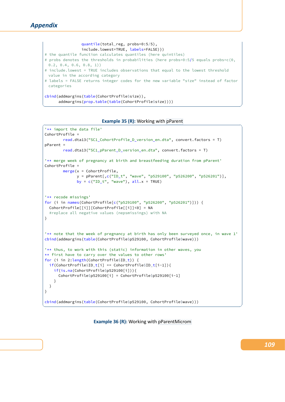

# **Example 35 (R):** Working with pParent

```
'** import the data file'
CohortProfile =
        read.dta13("SC1_CohortProfile_D_version_en.dta", convert.factors = T)
pParent =
        read.dta13("SC1_pParent_D_version_en.dta", convert.factors = T)
'** merge week of pregnancy at birth and breastfeeding duration from pParent'
CohortProfile =
        merge(x = CohortProfile,
              y = pParent[,c("ID_t", "wave", "p529100", "p526200", "p526201")],
              by = c("ID_t", "wave"), all.x = TRUE)'** recode missings'
for (i in names(CohortProfile[c("p529100", "p526200", "p526201")])) {
 CohortProfile[[i]][CohortProfile[[i]]<0] = NA
 #replace all negative values (nepsmissings) with NA
}
'** note that the week of pregnancy at birth has only been surveyed once, in wave 1'
cbind(addmargins(table(CohortProfile$p529100, CohortProfile$wave)))
'** thus, to work with this (static) information in other waves, you
** first have to carry over the values to other rows'
for (i in 2:length(CohortProfile$ID_t)) {
 if(CohortProfile$ID_t[i] == CohortProfile$ID_t[i-1]){
   if(is.na(CohortProfile$p529100[i])){
      CohortProfile$p529100[i] = CohortProfile$p529100[i-1]
    }
 }
}
cbind(addmargins(table(CohortProfile$p529100, CohortProfile$wave)))
```
**Example 36 (R):** Working with pParentMicrom

✝ ✆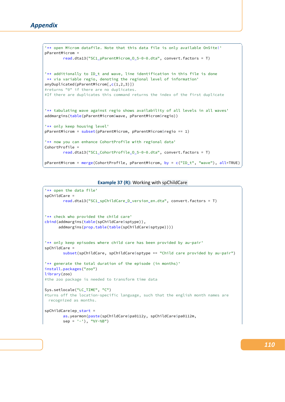```
\sqrt{2} \sqrt{2} \sqrt{2} \sqrt{2} \sqrt{2} \sqrt{2} \sqrt{2} \sqrt{2} \sqrt{2} \sqrt{2} \sqrt{2} \sqrt{2} \sqrt{2} \sqrt{2} \sqrt{2} \sqrt{2} \sqrt{2} \sqrt{2} \sqrt{2} \sqrt{2} \sqrt{2} \sqrt{2} \sqrt{2} \sqrt{2} \sqrt{2} \sqrt{2} \sqrt{2} \sqrt{2'** open Microm datafile. Note that this data file is only available OnSite!'
pParentMicrom =
          read.dta13("SC1_pParentMicrom_O_5-0-0.dta", convert.factors = T)
'** additionally to ID_t and wave, line identification in this file is done
 ** via variable regio, denoting the regional level of information'
anyDuplicated(pParentMicrom[,c(1,2,3)])
#returns "0" if there are no duplicates.
#If there are duplicates this command returns the index of the first duplicate
'** tabulating wave against regio shows availability of all levels in all waves'
addmargins(table(pParentMicrom$wave, pParentMicrom$regio))
'** only keep housing level'
pParentMicrom = subset(pParentMicrom, pParentMicrom$regio == 1)
'** now you can enhance CohortProfile with regional data'
CohortProfile =
         read.dta13("SC1_CohortProfile_O_5-0-0.dta", convert.factors = T)
pParentMicrom = merge(CohortProfile, pParentMicrom, by = c("ID_t", "wave"), all=TRUE)
```
#### **Example 37 (R):** Working with spChildCare

✝ ✆

```
'** open the data file'
spChildCare =
        read.dta13("SC1_spChildCare_D_version_en.dta", convert.factors = T)
'** check who provided the child care'
cbind(addmargins(table(spChildCare$sptype)),
      addmargins(prop.table(table(spChildCare$sptype))))
'** only keep episodes where child care has been provided by au-pair'
spChildCare =
        subset(spChildCare, spChildCare$sptype == "Child care provided by au-pair")
'** generate the total duration of the episode (in months)'
install.packages("zoo")
library(zoo)
#the zoo package is needed to transform time data
Sys.setlocale("LC_TIME", "C")
#turns off the location-specific language, such that the english month names are
 recognized as months.
spChildCare$ep_start =
        as.yearmon(paste(spChildCare$pa0112y, spChildCare$pa0112m,
        sep = '-1), "%Y-%B")
```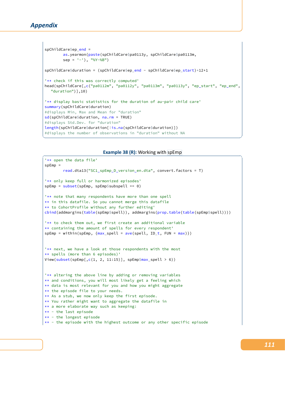```
spChildCare$ep_end =
       as.yearmon(paste(spChildCare$pa0113y, spChildCare$pa0113m,
       sep = ' - '), "%Y-%B")
spChildCare$duration = (spChildCare$ep_end - spChildCare$ep_start)*12+1
'** check if this was correctly computed'
head(spChildCare[,c("pa0112m", "pa0112y", "pa0113m", "pa0113y", "ep_start", "ep_end",
  "duration")],10)
'** display basic statistics for the duration of au-pair child care'
summary(spChildCare$duration)
#displays Min, Max and Mean for "duration"
sd(spChildCare$duration, na.rm = TRUE)
#displays Std.Dev. for "duration"
length(spChildCare$duration[!is.na(spChildCare$duration)])
#displays the number of observations in "duration" without NA
✝ ✆
```
#### **Example 38 (R):** Working with spEmp

```
'** open the data file'
spEmp =
        read.dta13("SC1_spEmp_D_version_en.dta", convert.factors = T)
'** only keep full or harmonized episodes'
spEmp = subset(spEmp, spEmp$subspell == 0)
'** note that many respondents have more than one spell
** in this datafile. So you cannot merge this datafile
** to CohortProfile without any further editing'
cbind(addmargins(table(spEmp$spell)), addmargins(prop.table(table(spEmp$spell))))
'** to check them out, we first create an additional variable
** containing the amount of spells for every respondent'
spEmp = within(spEmp, \{max_s\}pell = ave(spell, ID_t, FUN = max)})
'** next, we have a look at those respondents with the most
** spells (more than 6 episodes)'
View(subset(spEmp[,c(1, 2, 11:15)], spEmp$max_spell > 6))
'** altering the above line by adding or removing variables
** and conditions, you will most likely get a feeling which
** data is most relevant for you and how you might aggregate
** the episode file to your needs.
** As a stub, we now only keep the first episode.
** You rather might want to aggregate the datafile in
** a more elaborate way such as keeping:
** - the last episode
** - the longest episode
** - the episode with the highest outcome or any other specific episode
```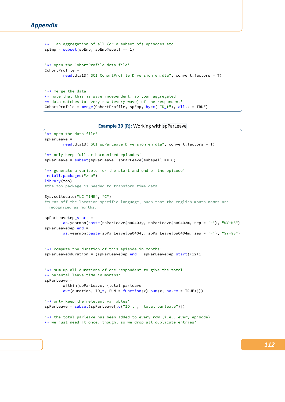```
** - an aggregation of all (or a subset of) episodes etc.'
spEmp = subset(spEmp, spEmp$spell == 1)
'** open the CohortProfile data file'
CohortProfile =
       read.dta13("SC1_CohortProfile_D_version_en.dta", convert.factors = T)
'** merge the data
** note that this is wave independent, so your aggregated
** data matches to every row (every wave) of the respondent'
CohortProfile = merge(CohortProfile, spEmp, by=c("ID_t"), all.x = TRUE)
✝ ✆
```
## **Example 39 (R):** Working with spParLeave

```
'** open the data file'
spParLeave =
       read.dta13("SC1_spParLeave_D_version_en.dta", convert.factors = T)
'** only keep full or harmonized episodes'
spParLeave = subset(spParLeave, spParLeave$subspell == 0)
'** generate a variable for the start and end of the episode'
install.packages("zoo")
library(zoo)
#the zoo package is needed to transform time data
Sys.setlocale("LC_TIME", "C")
#turns off the location-specific language, such that the english month names are
 recognized as months.
spParLeave$ep_start =
       as.yearmon(paste(spParLeave$pa0403y, spParLeave$pa0403m, sep = '-'), "%Y-%B")
spParLeave$ep_end =
       as.yearmon(paste(spParLeave$pa0404y, spParLeave$pa0404m, sep = '-'), "%Y-%B")
'** compute the duration of this episode in months'
spParLeave$duration = (spParLeave$ep_end - spParLeave$ep_start)*12+1
'** sum up all durations of one respondent to give the total
** parental leave time in months'
spParLeave =
       within(spParLeave, {total_parleave =
       ave(duration, ID_t, FUN = function(x) sum(x, na.rm = TRUE))'** only keep the relevant variables'
spParLeave = subset(spParLeave[,c("ID_t", "total_parleave")])
'** the total parleave has been added to every row (i.e., every episode)
** we just need it once, though, so we drop all duplicate entries'
```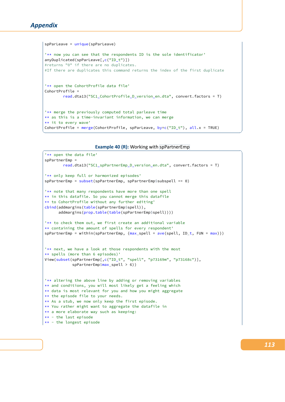```
spParLeave = unique(spParLeave)
'** now you can see that the respondents ID is the sole identificator'
anyDuplicated(spParLeave[,c("ID_t")])
#returns "0" if there are no duplicates.
#If there are duplicates this command returns the index of the first duplicate
'** open the CohortProfile data file'
CohortProfile =
       read.dta13("SC1_CohortProfile_D_version_en.dta", convert.factors = T)
'** merge the previously computed total parleave time
** as this is a time-invariant information, we can merge
** it to every wave'
CohortProfile = merge(CohortProfile, spParLeave, by=c("ID_t"), all.x = TRUE)
✝ ✆
```
#### **Example 40 (R):** Working with spPartnerEmp

```
'** open the data file'
spPartnerEmp =
       read.dta13("SC1_spPartnerEmp_D_version_en.dta", convert.factors = T)
'** only keep full or harmonized episodes'
spPartnerEmp = subset(spPartnerEmp, spPartnerEmp$subspell == 0)
'** note that many respondents have more than one spell
** in this datafile. So you cannot merge this datafile
** to CohortProfile without any further editing'
cbind(addmargins(table(spPartnerEmp$spell)),
      addmargins(prop.table(table(spPartnerEmp$spell))))
'** to check them out, we first create an additional variable
** containing the amount of spells for every respondent'
spPartnerEmp = within(spPartnerEmp, {max_spell = ave(spell, ID_t, FUN = max)})
'** next, we have a look at those respondents with the most
** spells (more than 6 episodes)'
View(subset(spPartnerEmp[,c("ID_t", "spell", "p73169m", "p73168c")],
            spPartnerEmp$max_spell > 6))
'** altering the above line by adding or removing variables
** and conditions, you will most likely get a feeling which
** data is most relevant for you and how you might aggregate
** the episode file to your needs.
** As a stub, we now only keep the first episode.
** You rather might want to aggregate the datafile in
** a more elaborate way such as keeping:
** - the last episode
** - the longest episode
```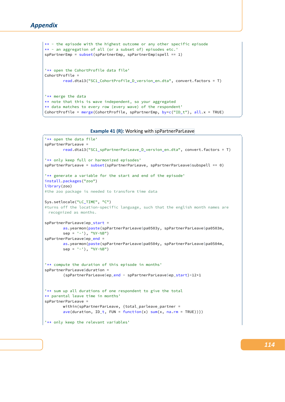```
** - the episode with the highest outcome or any other specific episode
** - an aggregation of all (or a subset of) episodes etc.'
spPartnerEmp = subset(spPartnerEmp, spPartnerEmp$spell == 1)
'** open the CohortProfile data file'
CohortProfile =
       read.dta13("SC1_CohortProfile_D_version_en.dta", convert.factors = T)
'** merge the data
** note that this is wave independent, so your aggregated
** data matches to every row (every wave) of the respondent'
CohortProfile = merge(CohortProfile, spPartnerEmp, by=c("ID_t"), all.x = TRUE)✝ ✆
```


```
'** open the data file'
spPartnerParLeave =
       read.dta13("SC1_spPartnerParLeave_D_version_en.dta", convert.factors = T)
'** only keep full or harmonized episodes'
spPartnerParLeave = subset(spPartnerParLeave, spPartnerParLeave$subspell == 0)
'** generate a variable for the start and end of the episode'
install.packages("zoo")
library(zoo)
#the zoo package is needed to transform time data
Sys.setlocale("LC_TIME", "C")
#turns off the location-specific language, such that the english month names are
 recognized as months.
spPartnerParLeave$ep_start =
       as.yearmon(paste(spPartnerParLeave$pa0503y, spPartnerParLeave$pa0503m,
       sep = '-1), "%Y-%B")
spPartnerParLeave$ep_end =
       as.yearmon(paste(spPartnerParLeave$pa0504y, spPartnerParLeave$pa0504m,
        sep = '-1), "%Y-%B")
'** compute the duration of this episode in months'
spPartnerParLeave$duration =
        (spPartnerParLeave$ep_end - spPartnerParLeave$ep_start)*12+1
'** sum up all durations of one respondent to give the total
** parental leave time in months'
spPartnerParLeave =
       within(spPartnerParLeave, {total_parleave_partner =
       ave(duration, ID_t, FUN = function(x) sum(x, na.rm = TRUE))'** only keep the relevant variables'
```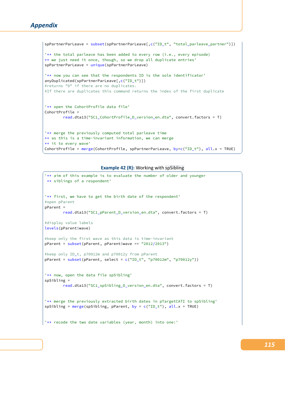# *Appendix*

```
spPartnerParLeave = subset(spPartnerParLeave[,c("ID_t", "total_parleave_partner")])
'** the total parleave has been added to every row (i.e., every episode)
** we just need it once, though, so we drop all duplicate entries'
spPartnerParLeave = unique(spPartnerParLeave)
'** now you can see that the respondents ID is the sole identificator'
anyDuplicated(spPartnerParLeave[,c("ID_t")])
#returns "0" if there are no duplicates.
#If there are duplicates this command returns the index of the first duplicate
'** open the CohortProfile data file'
CohortProfile =
        read.dta13("SC1_CohortProfile_D_version_en.dta", convert.factors = T)
'** merge the previously computed total parleave time
** as this is a time-invariant information, we can merge
** it to every wave'
CohortProfile = merge(CohortProfile, spPartnerParLeave, by=c("ID_t"), all.x = TRUE)
```
**Example 42 (R):** Working with spSibling

✝ ✆

```
'** aim of this example is to evaluate the number of older and younger
 ** siblings of a respondent'
'** first, we have to get the birth date of the respondent'
#open pParent
pParent =
        read.dta13("SC1_pParent_D_version_en.dta", convert.factors = T)
#display value labels
levels(pParent$wave)
#keep only the first wave as this data is time-invariant
pParent = subset(pParent, pParent$wave == "2012/2013")
#keep only ID_t, p70012m and p70012y from pParent
pParent = subset(pParent, select = c("ID_t", "p70012m", "p70012y"))'** now, open the data file spSibling'
spSibling =
        read.dta13("SC1_spSibling_D_version_en.dta", convert.factors = T)
'** merge the previously extracted birth dates in pTargetCATI to spSibling'
spSibling = merge(spSibling, pParent, by = c("ID_t"), all.x = TRUE)'** recode the two date variables (year, month) into one:'
```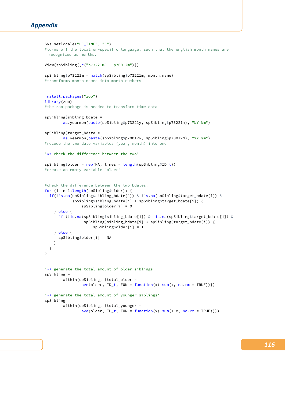```
Sys.setlocale("LC_TIME", "C")
#turns off the location-specific language, such that the english month names are
 recognized as months.
View(spSibling[,c("p73221m", "p70012m")])
spSibling$p73221m = match(spSibling$p73221m, month.name)
#transforms month names into month numbers
install.packages("zoo")
library(zoo)
#the zoo package is needed to transform time data
spSibling$sibling_bdate =
        as.yearmon(paste(spSibling$p73221y, spSibling$p73221m), "%Y %m")
spSibling$target_bdate =
        as.yearmon(paste(spSibling$p70012y, spSibling$p70012m), "%Y %m")
#recode the two date variables (year, month) into one
'** check the difference between the two'
spSibling$older = rep(NA, times = length(spSibling$ID_t))
#create an empty variable "older"
#check the difference between the two bdates:
for (i in 1:length(spSibling$older)) {
 if(!is.na(spSibling$sibling_bdate[i]) & !is.na(spSibling$target_bdate[i]) &
            spSibling$sibling_bdate[i] > spSibling$target_bdate[i]) {
                spSibling$older[i] = 0
    } else {
      if (!is.na(spSibling$sibling_bdate[i]) & !is.na(spSibling$target_bdate[i]) &
                 spSibling$sibling_bdate[i] < spSibling$target_bdate[i]) {
                     spSibling$older[i] = 1
    } else {
      spSibling$older[i] = NA
   \overline{1}}
}
'** generate the total amount of older siblings'
spSibling =
        within(spSibling, {total_older =
                ave(older, ID_t, FUN = function(x) sum(x, na.rm = TRUE))'** generate the total amount of younger siblings'
spSibling =
        within(spSibling, {total_younger =
                ave(older, ID_t, FUN = function(x) sum(1-x, na.rm = TRUE))
```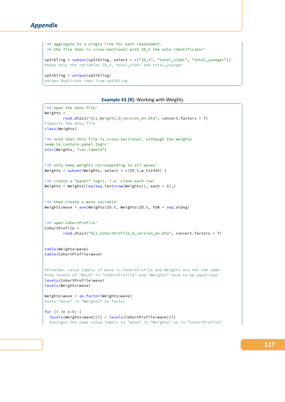```
'** aggregate to a single line for each respondent.
** the file then is cross-sectional with ID_t the sole identificator'
spSibling = subset(spSibling, select = c("ID_t", "total_older", "total_younger"))
#keep only the variables ID_t, total_older and total_younger
spSibling = unique(spSibling)
#drops duplicate rows from spSibling
```
## **Example 43 (R): Working with Weights**

✝ ✆

```
'** open the data file'
Weights =
        read.dta13("SC1_Weights_D_version_en.dta", convert.factors = T)
#imports the data file
class(Weights)
'** note that this file is cross-sectional, although the weights
seem to contain panel logic'
attr(Weights, "var.labels")
'** only keep weights corresponding to all waves'
Weights = subset(Weights, select = c(ID_t, w_t12345))
'** create a "panel" logic, i.e. clone each row'
Weights = Weights[rep(seq_{len}(nrow(Weights)), each = 5),]
'** then create a wave variable'
Weights$wave = ave(Weights$ID_t, Weights$ID_t, FUN = seq_along)
'** open CohortProfile'
CohortProfile =
        read.dta13("SC1_CohortProfile_D_version_en.dta", convert.factors = T)
table(Weights$wave)
table(CohortProfile$wave)
#Problem: value labels of wave in CohortProfile and Weights are not the same
#the levels of "Wave" in "CohortProfile" and "Weights" have to be equalized
levels(CohortProfile$wave)
levels(Weights$wave)
Weights$wave = as.factor(Weights$wave)
#sets "wave" in "Weights" as factor
for (i in 1:5) {
 levels(Weights$wave)[i] = levels(CohortProfile$wave)[i]
  #assigns the same value labels to "wave" in "Weights" as in "CohortProfile"
```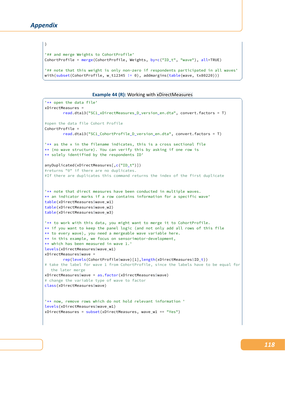}

```
'## and merge Weights to CohortProfile'
CohortProfile = merge(CohortProfile, Weights, by=c("ID_t", "wave"), all=TRUE)
'## note that this weight is only non-zero if respondents participated in all waves'
```
with(subset(CohortProfile, w\_t12345 != 0), addmargins(table(wave, tx80220)))

**Example 44 (R):** Working with xDirectMeasures

✝ ✆

```
'** open the data file'
xDirectMeasures =
       read.dta13("SC1_xDirectMeasures_D_version_en.dta", convert.factors = T)
#open the data file Cohort Profile
CohortProfile =
       read.dta13("SC1_CohortProfile_D_version_en.dta", convert.factors = T)
'** as the x in the filename indicates, this is a cross sectional file
** (no wave structure). You can verify this by asking if one row is
** solely identified by the respondents ID'
anyDuplicated(xDirectMeasures[,c("ID_t")])
#returns "0" if there are no duplicates.
#If there are duplicates this command returns the index of the first duplicate
'** note that direct measures have been conducted in multiple waves.
** an indicator marks if a row contains information for a specific wave'
table(xDirectMeasures$wave_w1)
table(xDirectMeasures$wave_w2)
table(xDirectMeasures$wave_w3)
'** to work with this data, you might want to merge it to CohortProfile.
** if you want to keep the panel logic (and not only add all rows of this file
** to every wave), you need a mergeable wave variable here.
** in this example, we focus on sensorimotor-development,
** which has been measured in wave 1.'
levels(xDirectMeasures$wave_w1)
xDirectMeasures$wave =
        rep(levels(CohortProfile$wave)[1], length(xDirectMeasures$ID_t))
# take the label for wave 1 from CohortProfile, since the labels have to be equal for
  the later merge
xDirectMeasures$wave = as.factor(xDirectMeasures$wave)
# change the variable type of wave to factor
class(xDirectMeasures$wave)
'** now, remove rows which do not hold relevant information '
levels(xDirectMeasures$wave_w1)
xDirectMeasures = subset(xDirectMeasures, wave_w1 == "Yes")
```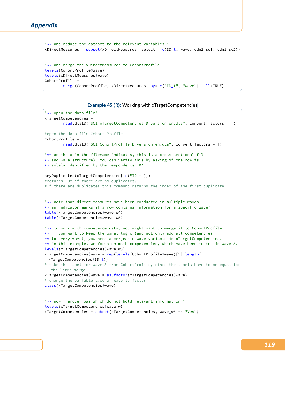```
'** and reduce the dataset to the relevant variables '
xDirectMeasures = subset(xDirectMeasures, select = c(ID_t, wave, cdn1_sc1, cdn1_sc2))'** and merge the xDirectMeasures to CohortProfile'
levels(CohortProfile$wave)
levels(xDirectMeasures$wave)
CohortProfile =
       merge(CohortProfile, xDirectMeasures, by= c("ID_t", "wave"), all=TRUE)
```

```
Example 45 (R): Working with xTargetCompetencies
```
✝ ✆

```
'** open the data file'
xTargetCompetencies =
        read.dta13("SC1_xTargetCompetencies_D_version_en.dta", convert.factors = T)
#open the data file Cohort Profile
CohortProfile =
        read.dta13("SC1_CohortProfile_D_version_en.dta", convert.factors = T)
'** as the x in the filename indicates, this is a cross sectional file
** (no wave structure). You can verify this by asking if one row is
** solely identified by the respondents ID'
anyDuplicated(xTargetCompetencies[,c("ID_t")])
#returns "0" if there are no duplicates.
#If there are duplicates this command returns the index of the first duplicate
'** note that direct measures have been conducted in multiple waves.
** an indicator marks if a row contains information for a specific wave'
table(xTargetCompetencies$wave_w4)
table(xTargetCompetencies$wave_w5)
'** to work with competence data, you might want to merge it to CohortProfile.
** if you want to keep the panel logic (and not only add all competencies
** to every wave), you need a mergeable wave variable in xTargetCompetencies.
** in this example, we focus on math competencies, which have been tested in wave 5.'
levels(xTargetCompetencies$wave_w5)
xTargetCompetencies$wave = rep(levels(CohortProfile$wave)[5],length(
 xTargetCompetencies$ID_t))
# take the label for wave 5 from CohortProfile, since the labels have to be equal for
  the later merge
xTargetCompetencies$wave = as.factor(xTargetCompetencies$wave)
# change the variable type of wave to factor
class(xTargetCompetencies$wave)
'** now, remove rows which do not hold relevant information '
levels(xTargetCompetencies$wave_w5)
xTargetCompetencies = subset(xTargetCompetencies, wave_w5 == "Yes")
```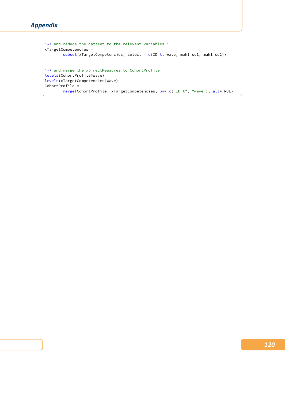```
'** and reduce the dataset to the relevant variables '
xTargetCompetencies =
            subset(xTargetCompetencies, select = c(ID_t, wave, mak1_sc1, mak1_sc2))
'** and merge the xDirectMeasures to CohortProfile'
levels(CohortProfile$wave)
levels(xTargetCompetencies$wave)
CohortProfile =
            merge(CohortProfile, xTargetCompetencies, by= c("ID_t", "wave"), all=TRUE)
\begin{pmatrix} 1 & 0 & 0 \\ 0 & 0 & 0 \\ 0 & 0 & 0 \\ 0 & 0 & 0 \\ 0 & 0 & 0 \\ 0 & 0 & 0 \\ 0 & 0 & 0 & 0 \\ 0 & 0 & 0 & 0 \\ 0 & 0 & 0 & 0 \\ 0 & 0 & 0 & 0 \\ 0 & 0 & 0 & 0 & 0 \\ 0 & 0 & 0 & 0 & 0 \\ 0 & 0 & 0 & 0 & 0 \\ 0 & 0 & 0 & 0 & 0 & 0 \\ 0 & 0 & 0 & 0 & 0 & 0 \\ 0 & 0 & 0 & 0 & 0 & 0 & 0 \\ 0 & 0 & 0 &
```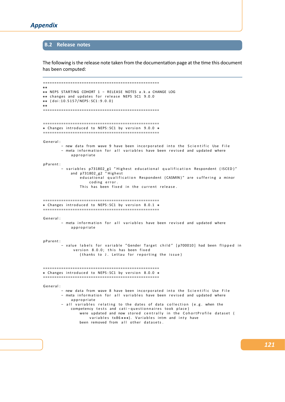# **B.2 Release notes**

The following is the release note taken from the documentation page at the time this document has been computed:

```
===================================================
**
**
NEPS STARTING COHORT 1 − RELEASE NOTES a . k . a CHANGE LOG
** changes and updates for release NEPS SC1 9.0.0
**
( d o i : 1 0 . 5 1 5 7 / NEPS : SC1 : 9 . 0 . 0 )
**
===================================================
===================================================
* Changes introduced to NEPS:SC1 by version 9.0.0 *
===================================================
General:
        - new data from wave 9 have been incorporated into the Scientific Use File
        - meta information for all variables have been revised and updated where
            a p p r o p r i a t e
p P a r e n t :
        − variables p731802_g1 "Highest educational qualification Respondent (ISCED)"
             and p731802_g2 "Highest
                educational qualification Respondent (CASMIN)" are suffering a minor
                    coding error.
                This has been fixed in the current release.
===================================================
* Changes introduced to NEPS: SC1 by version 8.0.1 *
===================================================
General:
        − meta information for all variables have been revised and updated where
            a p p r o p r i a t e
p P a rent :
        − value labels for variable "Gender Target child" [p700010] had been flipped in
             version 8.0.0; this has been fixed
                (thanks to J. Lettau for reporting the issue)
===================================================
* Changes introduced to NEPS:SC1 by version 8.0.0 *
===================================================
General:
        - new data from wave 8 have been incorporated into the Scientific Use File
        - meta information for all variables have been revised and updated where
            a p p r o p r i a t e
        - all variables relating to the dates of data collection (e.g. when the
            competency tests and cati-questionnaires took place)
                were updated and now stored centrally in the CohortProfile dataset (
                     variables tx86***). Variables intm and inty have
                been removed from all other datasets.
```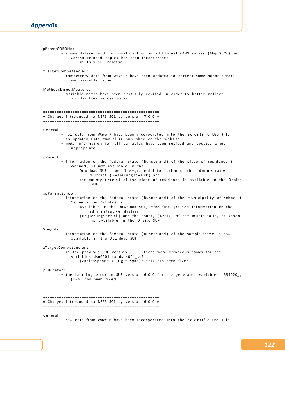# *Appendix*

pParentCORONA : - a new dataset with information from an additional CAWI survey (May 2020) on Corona related topics has been incorporated in this SUF release. x Target Competencies : - competency data from wave 7 have been updated to correct some minor errors and variable names MethodsDirectMeasures: - variable names have been partially revised in order to better reflect similarities across waves =================================================== \* Changes introduced to NEPS:SC1 by version 7.0.0 \* =================================================== General: − new data from Wave 7 have been incorporated into the Scientific Use File - an updated Data Manual is published on the website - meta information for all variables have been revised and updated where a p p r o p r i a t e p P a r e n t : - information on the federal state (Bundesland) of the place of residence ( Wohnort) is now available in the Download SUF: more fine − grained information on the administrative district (Regierungsbezirk) and the county (Kreis) of the place of residence is available in the Onsite SUF s p P a r e n t S c h o o l : - information on the federal state (Bundesland) of the municipality of school ( Gemeinde der Schule) is now available in the Download SUF; more fine − grained information on the ad ministrative district ( Regierungsbezirk ) and the county (Kreis ) of the municipality of school is available in the Onsite SUF Weights: − information on the federal state (Bundesland) of the sample frame is now available in the Download SUF x Target Competencies : - in the previous SUF version 6.0.0 there were erroneous names for the variables dsn4201 to dsn4001\_sc9 (Zahlenspanne / Digit span); this has been fixed p Educator: − the labeling error in SUF version 6.0.0 for the generated variables e539020 g  $[1 - 6]$  has been fixed =================================================== \* Changes introduced to NEPS:SC1 by version 6.0.0 \* ===================================================

General:

- new data from Wave 6 have been incorporated into the Scientific Use File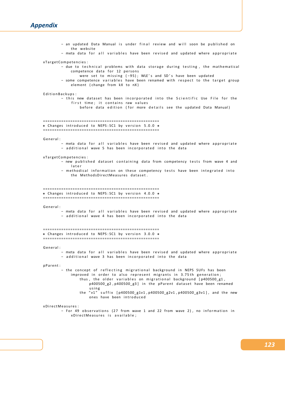# *Appendix*

| - an updated Data Manual is under final review and will soon be published on                                                                                                                                                                                                                                                                                                                                                                                                                                              |
|---------------------------------------------------------------------------------------------------------------------------------------------------------------------------------------------------------------------------------------------------------------------------------------------------------------------------------------------------------------------------------------------------------------------------------------------------------------------------------------------------------------------------|
| the website<br>- meta data for all variables have been revised and updated where appropriate                                                                                                                                                                                                                                                                                                                                                                                                                              |
| xTargetCompetencies:<br>- due to technical problems with data storage during testing, the mathematical<br>competence data for 12 persons<br>were set to missing (-95); WLE's and SD's have been updated<br>- some competence variables have been renamed with respect to the target group<br>element (change from kX to nX)                                                                                                                                                                                               |
| EditionBackups:<br>- this new dataset has been incorporated into the Scientific Use File for the<br>first time; it contains raw values<br>before data edition (for more details see the updated Data Manual)                                                                                                                                                                                                                                                                                                              |
| * Changes introduced to NEPS: SC1 by version 5.0.0 *                                                                                                                                                                                                                                                                                                                                                                                                                                                                      |
| General:<br>- meta data for all variables have been revised and updated where appropriate<br>- additional wave 5 has been incorporated into the data                                                                                                                                                                                                                                                                                                                                                                      |
| xTargetCompetencies:<br>- new published dataset containing data from competency tests from wave 4 and<br>later<br>- methodical information on these competency tests have been integrated into<br>the MethodsDirectMeasures dataset.                                                                                                                                                                                                                                                                                      |
| * Changes introduced to NEPS: SC1 by version 4.0.0 *                                                                                                                                                                                                                                                                                                                                                                                                                                                                      |
| General:<br>- meta data for all variables have been revised and updated where appropriate<br>- additional wave 4 has been incorporated into the data                                                                                                                                                                                                                                                                                                                                                                      |
| * Changes introduced to NEPS: SC1 by version 3.0.0 *                                                                                                                                                                                                                                                                                                                                                                                                                                                                      |
| General:<br>- meta data for all variables have been revised and updated where appropriate<br>- additional wave 3 has been incorporated into the data                                                                                                                                                                                                                                                                                                                                                                      |
| pParent:<br>- the concept of reflecting migrational background in NEPS SUFs has been<br>improved in order to also represent migrants in 3.75th generation;<br>thus, the older variables on migrational background $[p400500 g1,$<br>p400500 g2, p400500 g3] in the pParent dataset have been renamed<br>using<br>the "v1" suffix [p400500_g1v1, p400500_g2v1, p400500_g3v1], and the new<br>ones have been introduced<br>xDirectMeasures:<br>- For 49 observations (27 from wave 1 and 22 from wave 2), no information in |
| xDirectMeasures is available;                                                                                                                                                                                                                                                                                                                                                                                                                                                                                             |